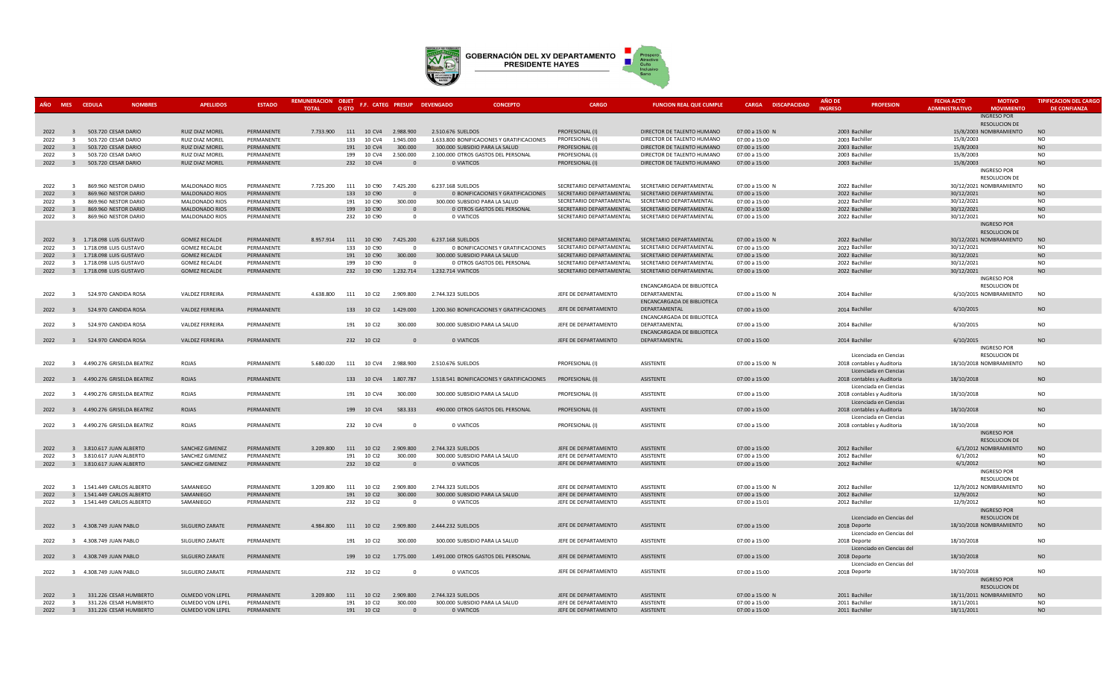

|              | MES CEDULA                       | <b>NOMBRES</b>                               | <b>APELLIDOS</b>                 | <b>ESTADO</b>            | <b>REMUNERACION OBJET</b><br><b>TOTAL</b> | O GTO                    |            | F.F. CATEG PRESUP DEVENGADO | <b>CONCEPTO</b>                            | CARGO                                                | <b>FUNCION REAL QUE CUMPLI</b>                       | <b>CARGA DISCAPACIDAD</b>      | <b>AÑO DI</b><br><b>INGRESO</b>  | <b>PROFESION</b>                                     | <b>FECHA ACTO</b><br><b>ADMINISTRATIVO</b> | <b>MOTIVO</b><br><b>MOVIMIENTO</b>         | <b>TIPIFICACION DEL CARGO</b><br><b>DE CONFIANZA</b> |
|--------------|----------------------------------|----------------------------------------------|----------------------------------|--------------------------|-------------------------------------------|--------------------------|------------|-----------------------------|--------------------------------------------|------------------------------------------------------|------------------------------------------------------|--------------------------------|----------------------------------|------------------------------------------------------|--------------------------------------------|--------------------------------------------|------------------------------------------------------|
|              |                                  |                                              |                                  |                          |                                           |                          |            |                             |                                            |                                                      |                                                      |                                |                                  |                                                      |                                            | <b>INGRESO POR</b><br><b>RESOLUCION DE</b> |                                                      |
| 2022         | $\overline{3}$                   | 503.720 CESAR DARIO                          | <b>RUIZ DIAZ MOREL</b>           | PERMANENTE               | 7.733.900 111 10 CV4                      |                          |            | 2.988.900                   | 2.510.676 SUELDOS                          | PROFESIONAL (I)                                      | DIRECTOR DE TALENTO HUMANO                           | 07:00 a 15:00 N                | 2003 Bachiller                   |                                                      |                                            | 15/8/2003 NOMBRAMIENTO                     | <b>NO</b>                                            |
| 2022         | $\overline{\mathbf{3}}$          | 503.720 CESAR DARIO                          | RUIZ DIAZ MOREL                  | PERMANENTE               |                                           | 133                      | 10 CV4     | 1.945.000                   | 1.633.800 BONIFICACIONES Y GRATIFICACIONES | PROFESIONAL (I)                                      | DIRECTOR DE TALENTO HUMANO                           | 07:00 a 15:00                  | 2003 Bachiller                   |                                                      | 15/8/2003                                  |                                            | <b>NO</b>                                            |
| 2022         | $\overline{3}$                   | 503.720 CESAR DARIO                          | RUIZ DIAZ MOREL                  | PERMANENTE               |                                           | 191 10 CV4               |            | 300.000                     | 300.000 SUBSIDIO PARA LA SALUD             | PROFESIONAL (I)                                      | DIRECTOR DE TALENTO HUMANO                           | 07:00 a 15:00                  | 2003 Bachiller                   |                                                      | 15/8/2003                                  |                                            | <b>NO</b>                                            |
| 2022         | $\overline{\mathbf{3}}$          | 503.720 CESAR DARIO                          | RUIZ DIAZ MOREL                  | PERMANENTE               |                                           | 199                      | 10 CV4     | 2.500.000                   | 2.100.000 OTROS GASTOS DEL PERSONAL        | PROFESIONAL (I)                                      | DIRECTOR DE TALENTO HUMANO                           | 07:00 a 15:00                  | 2003 Bachiller                   |                                                      | 15/8/2003                                  |                                            | NO                                                   |
| 2022         | $\overline{3}$                   | 503.720 CESAR DARIO                          | RUIZ DIAZ MOREL                  | PERMANENTE               |                                           | 232                      | 10 CV4     | $\Omega$                    | 0 VIATICOS                                 | PROFESIONAL (I)                                      | DIRECTOR DE TALENTO HUMANO                           | 07:00 a 15:00                  | 2003 Bachiller                   |                                                      | 15/8/2003                                  |                                            | N <sub>O</sub>                                       |
|              |                                  |                                              |                                  |                          |                                           |                          |            |                             |                                            |                                                      |                                                      |                                |                                  |                                                      |                                            | <b>INGRESO POR</b>                         |                                                      |
|              |                                  |                                              |                                  |                          |                                           |                          |            |                             |                                            |                                                      |                                                      |                                |                                  |                                                      |                                            | <b>RESOLUCION DE</b>                       |                                                      |
| 2022         | $\mathbf{R}$                     | 869.960 NESTOR DARIO                         | MALDONADO RIOS                   | PERMANENTE               | 7.725.200                                 | 111 10 C90               |            | 7.425.200                   | 6.237.168 SUELDOS                          |                                                      | SECRETARIO DEPARTAMENTAL SECRETARIO DEPARTAMENTAL    | 07:00 a 15:00 N                | 2022 Bachiller                   |                                                      |                                            | 30/12/2021 NOMBRAMIENTO                    | N <sub>O</sub>                                       |
| 2022         |                                  | 869.960 NESTOR DARIO                         | MALDONADO RIOS                   | PERMANENTE               |                                           | 133                      | 10 C90     | $\overline{0}$              | 0 BONIFICACIONES Y GRATIFICACIONES         | SECRETARIO DEPARTAMENTAL                             | SECRETARIO DEPARTAMENTAL                             | 07:00 a 15:00                  | 2022 Bachiller                   |                                                      | 30/12/2021                                 |                                            | <b>NO</b>                                            |
| 2022         | $\overline{\mathbf{3}}$          | 869.960 NESTOR DARIO                         | MALDONADO RIOS                   | PERMANENTE               |                                           | 191 10 C90               |            | 300.000                     | 300.000 SUBSIDIO PARA LA SALUD             | SECRETARIO DEPARTAMENTAL                             | SECRETARIO DEPARTAMENTAL                             | 07:00 a 15:00                  | 2022 Bachiller                   |                                                      | 30/12/2021                                 |                                            | <b>NO</b>                                            |
| 2022<br>2022 | $\overline{3}$<br>$\overline{3}$ | 869.960 NESTOR DARIO<br>869.960 NESTOR DARIO | MALDONADO RIOS<br>MALDONADO RIOS | PERMANENTE<br>PERMANENTE |                                           | 199 10 C90<br>232 10 C90 |            | $\overline{0}$<br>$\Omega$  | 0 OTROS GASTOS DEL PERSONAL<br>0 VIATICOS  | SECRETARIO DEPARTAMENTAL<br>SECRETARIO DEPARTAMENTAL | SECRETARIO DEPARTAMENTAL<br>SECRETARIO DEPARTAMENTAL | 07:00 a 15:00<br>07:00 a 15:00 | 2022 Bachiller<br>2022 Bachiller |                                                      | 30/12/2021<br>30/12/2021                   |                                            | <b>NO</b><br>NO                                      |
|              |                                  |                                              |                                  |                          |                                           |                          |            |                             |                                            |                                                      |                                                      |                                |                                  |                                                      |                                            | <b>INGRESO POR</b>                         |                                                      |
|              |                                  |                                              |                                  |                          |                                           |                          |            |                             |                                            |                                                      |                                                      |                                |                                  |                                                      |                                            | RESOLUCION DE                              |                                                      |
| 2022         |                                  | 3 1.718.098 LUIS GUSTAVO                     | <b>GOMEZ RECALDE</b>             | PERMANENTE               | 8.957.914                                 | 111 10 C90               |            | 7.425.200                   | 6.237.168 SUELDOS                          |                                                      | SECRETARIO DEPARTAMENTAL SECRETARIO DEPARTAMENTAL    | 07:00 a 15:00 N                | 2022 Bachiller                   |                                                      |                                            | 30/12/2021 NOMBRAMIENTO                    | <b>NO</b>                                            |
| 2022         |                                  | 3 1.718.098 LUIS GUSTAVO                     | <b>GOMEZ RECALDE</b>             | PERMANENTE               |                                           | 133                      | 10 C90     | $\Omega$                    | 0 BONIFICACIONES Y GRATIFICACIONES         | SECRETARIO DEPARTAMENTAL                             | SECRETARIO DEPARTAMENTAL                             | 07:00 a 15:00                  | 2022 Bachiller                   |                                                      | 30/12/2021                                 |                                            | <b>NO</b>                                            |
| 2022         |                                  | 3 1.718.098 LUIS GUSTAVO                     | <b>GOMEZ RECALDE</b>             | PERMANENTE               |                                           |                          | 191 10 C90 | 300.000                     | 300.000 SUBSIDIO PARA LA SALUD             |                                                      | SECRETARIO DEPARTAMENTAL SECRETARIO DEPARTAMENTAL    | 07:00 a 15:00                  | 2022 Bachiller                   |                                                      | 30/12/2021                                 |                                            | <b>NO</b>                                            |
| 2022         |                                  | 3 1.718.098 LUIS GUSTAVO                     | <b>GOMEZ RECALDE</b>             | PERMANENTE               |                                           | 199                      | 10 C90     | $\overline{0}$              | 0 OTROS GASTOS DEL PERSONAL                | SECRETARIO DEPARTAMENTAL                             | SECRETARIO DEPARTAMENTAL                             | 07:00 a 15:00                  | 2022 Bachiller                   |                                                      | 30/12/2021                                 |                                            | <b>NO</b>                                            |
| 2022         |                                  | 3 1.718.098 LUIS GUSTAVO                     | <b>GOMEZ RECALDE</b>             | PERMANENTE               |                                           |                          | 232 10 C90 | 1.232.714                   | 1.232.714 VIATICOS                         |                                                      | SECRETARIO DEPARTAMENTAL SECRETARIO DEPARTAMENTAL    | 07:00 a 15:00                  | 2022 Bachiller                   |                                                      | 30/12/2021                                 |                                            | <b>NO</b>                                            |
|              |                                  |                                              |                                  |                          |                                           |                          |            |                             |                                            |                                                      |                                                      |                                |                                  |                                                      |                                            | <b>INGRESO POR</b>                         |                                                      |
|              |                                  |                                              |                                  |                          |                                           |                          |            |                             |                                            |                                                      | ENCANCARGADA DE BIBLIOTECA                           |                                |                                  |                                                      |                                            | <b>RESOLUCION DE</b>                       |                                                      |
| 2022         | $\overline{3}$                   | 524.970 CANDIDA ROSA                         | <b>VALDEZ FERREIRA</b>           | PERMANENTE               | 4.638.800 111 10 Cl2                      |                          |            | 2.909.800                   | 2.744.323 SUELDOS                          | JEFE DE DEPARTAMENTO                                 | DEPARTAMENTAL                                        | 07:00 a 15:00 N                | 2014 Bachiller                   |                                                      |                                            | 6/10/2015 NOMBRAMIENTO                     | <b>NO</b>                                            |
|              |                                  |                                              |                                  |                          |                                           |                          |            |                             |                                            |                                                      | ENCANCARGADA DE BIBLIOTECA                           |                                |                                  |                                                      |                                            |                                            |                                                      |
| 2022         | $\overline{3}$                   | 524.970 CANDIDA ROSA                         | <b>VALDEZ FERREIRA</b>           | PERMANENTE               |                                           | 133 10 CI2               |            | 1.429.000                   | 1.200.360 BONIFICACIONES Y GRATIFICACIONES | JEFE DE DEPARTAMENTO                                 | DEPARTAMENTAL                                        | 07:00 a 15:00                  | 2014 Bachiller                   |                                                      | 6/10/2015                                  |                                            | <b>NO</b>                                            |
|              |                                  |                                              |                                  |                          |                                           |                          |            |                             |                                            |                                                      | ENCANCARGADA DE BIBLIOTECA                           |                                |                                  |                                                      |                                            |                                            |                                                      |
| 2022         | $\mathbf{R}$                     | 524.970 CANDIDA ROSA                         | VALDEZ FERREIRA                  | PERMANENTE               |                                           | 191                      | 10 CI2     | 300,000                     | 300.000 SUBSIDIO PARA LA SALUD             | JEFE DE DEPARTAMENTO                                 | DEPARTAMENTAL                                        | 07:00 a 15:00                  | 2014 Bachiller                   |                                                      | 6/10/2015                                  |                                            | N <sub>O</sub>                                       |
|              |                                  |                                              |                                  |                          |                                           |                          |            |                             |                                            |                                                      | ENCANCARGADA DE BIBLIOTECA                           |                                |                                  |                                                      |                                            |                                            |                                                      |
| 2022         |                                  | 3 524.970 CANDIDA ROSA                       | <b>VALDEZ FERREIRA</b>           | PERMANENTE               |                                           | 232 10 CI2               |            | $\Omega$                    | 0 VIATICOS                                 | JEFE DE DEPARTAMENTO                                 | DEPARTAMENTAL                                        | 07:00 a 15:00                  | 2014 Bachiller                   |                                                      | 6/10/2015                                  |                                            | <b>NO</b>                                            |
|              |                                  |                                              |                                  |                          |                                           |                          |            |                             |                                            |                                                      |                                                      |                                |                                  |                                                      |                                            | <b>INGRESO POR</b>                         |                                                      |
|              |                                  |                                              |                                  |                          |                                           |                          |            |                             |                                            |                                                      |                                                      |                                |                                  | Licenciada en Ciencias                               |                                            | RESOLUCION DE                              |                                                      |
| 2022         |                                  | 3 4.490.276 GRISELDA BEATRIZ                 | ROJAS                            | PERMANENTE               | 5.680.020                                 |                          |            | 111  10  CV4  2.988.900     | 2.510.676 SUELDOS                          | PROFESIONAL (I)                                      | ASISTENTE                                            | 07:00 a 15:00 N                |                                  | 2018 contables y Auditoria                           |                                            | 18/10/2018 NOMBRAMIENTO                    | N <sub>O</sub>                                       |
| 2022         |                                  | 3 4.490.276 GRISELDA BEATRIZ                 | <b>ROJAS</b>                     | PERMANENTE               |                                           |                          | 133 10 CV4 | 1,807,787                   | 1.518.541 BONIFICACIONES Y GRATIFICACIONES | PROFESIONAL (I)                                      | ASISTENTE                                            | 07:00 a 15:00                  |                                  | Licenciada en Ciencias                               | 18/10/2018                                 |                                            | <b>NO</b>                                            |
|              |                                  |                                              |                                  |                          |                                           |                          |            |                             |                                            |                                                      |                                                      |                                |                                  | 2018 contables y Auditoria<br>Licenciada en Ciencias |                                            |                                            |                                                      |
| 2022         |                                  | 3 4.490.276 GRISELDA BEATRIZ                 | ROJAS                            | PERMANENTE               |                                           | 191                      | 10 CV4     | 300.000                     | 300.000 SUBSIDIO PARA LA SALUD             | PROFESIONAL (I)                                      | ASISTENTE                                            | 07:00 a 15:00                  |                                  | 2018 contables y Auditoria                           | 18/10/2018                                 |                                            | <b>NO</b>                                            |
|              |                                  |                                              |                                  |                          |                                           |                          |            |                             |                                            |                                                      |                                                      |                                |                                  | Licenciada en Ciencias                               |                                            |                                            |                                                      |
| 2022         |                                  | 3 4.490.276 GRISELDA BEATRIZ                 | ROJAS                            | PERMANENTE               |                                           | 199 10 CV4               |            | 583.333                     | 490.000 OTROS GASTOS DEL PERSONAL          | PROFESIONAL (I)                                      | ASISTENTE                                            | 07:00 a 15:00                  |                                  | 2018 contables y Auditoria                           | 18/10/2018                                 |                                            | <b>NO</b>                                            |
|              |                                  |                                              |                                  |                          |                                           |                          |            |                             |                                            |                                                      |                                                      |                                |                                  | Licenciada en Ciencias                               |                                            |                                            |                                                      |
| 2022         |                                  | 3 4.490.276 GRISELDA BEATRIZ                 | ROJAS                            | PERMANENTE               |                                           | 232 10 CV4               |            | $\overline{\mathbf{0}}$     | 0 VIATICOS                                 | PROFESIONAL (I)                                      | ASISTENTE                                            | 07:00 a 15:00                  |                                  | 2018 contables y Auditoria                           | 18/10/2018                                 |                                            | <b>NO</b>                                            |
|              |                                  |                                              |                                  |                          |                                           |                          |            |                             |                                            |                                                      |                                                      |                                |                                  |                                                      |                                            | <b>INGRESO POR</b>                         |                                                      |
|              |                                  |                                              |                                  |                          |                                           |                          |            |                             |                                            |                                                      |                                                      |                                |                                  |                                                      |                                            | <b>RESOLUCION DE</b>                       |                                                      |
| 2022         |                                  | 3 3.810.617 JUAN ALBERTO                     | SANCHEZ GIMENEZ                  | PERMANENTE               | 3.209.800                                 | 111 10 CI2               |            | 2.909.800                   | 2.744.323 SUELDOS                          | JEFE DE DEPARTAMENTO                                 | ASISTENTE                                            | 07:00 a 15:00                  | 2012 Bachiller                   |                                                      |                                            | 6/1/2012 NOMBRAMIENTO                      | <b>NO</b>                                            |
| 2022         |                                  | 3 3.810.617 JUAN ALBERTO                     | SANCHEZ GIMENEZ                  | PERMANENTE               |                                           | 191 10 CI2               |            | 300,000                     | 300.000 SUBSIDIO PARA LA SALUD             | JEFE DE DEPARTAMENTO                                 | ASISTENTE                                            | 07:00 a 15:00                  | 2012 Bachiller                   |                                                      | 6/1/2012                                   |                                            | NO                                                   |
| 2022         |                                  | 3 3.810.617 JUAN ALBERTO                     | SANCHEZ GIMENEZ                  | PERMANENTE               |                                           | 232 10 CI2               |            | $\overline{0}$              | 0 VIATICOS                                 | JEFE DE DEPARTAMENTO                                 | ASISTENTE                                            | 07:00 a 15:00                  | 2012 Bachiller                   |                                                      | 6/1/2012                                   |                                            | <b>NO</b>                                            |
|              |                                  |                                              |                                  |                          |                                           |                          |            |                             |                                            |                                                      |                                                      |                                |                                  |                                                      |                                            | INGRESO POR                                |                                                      |
|              |                                  |                                              |                                  |                          |                                           |                          |            |                             |                                            |                                                      |                                                      |                                |                                  |                                                      |                                            | RESOLUCION DE                              |                                                      |
| 2022         |                                  | 3 1.541.449 CARLOS ALBERTO                   | SAMANIEGO                        | PERMANENTE               | 3.209.800                                 | 111 10 CI2               |            | 2.909.800                   | 2.744.323 SUELDOS                          | JEFE DE DEPARTAMENTO                                 | <b>ASISTENTE</b>                                     | 07:00 a 15:00 N                | 2012 Bachiller                   |                                                      |                                            | 12/9/2012 NOMBRAMIENTO                     | N <sub>O</sub>                                       |
| 2022         |                                  | 3 1.541.449 CARLOS ALBERTO                   | SAMANIEGO                        | PERMANENTE               |                                           | 191 10 CI2               |            | 300.000                     | 300.000 SUBSIDIO PARA LA SALUD             | JEFE DE DEPARTAMENTO                                 | <b>ASISTENTE</b>                                     | 07:00 a 15:00                  | 2012 Bachiller                   |                                                      | 12/9/2012                                  |                                            | <b>NO</b>                                            |
| 2022         |                                  | 3 1.541.449 CARLOS ALBERTO                   | SAMANIEGO                        | PERMANENTE               |                                           | 232 10 CI2               |            | $\Omega$                    | <b>0 VIATICOS</b>                          | JEFE DE DEPARTAMENTO                                 | ASISTENTE                                            | 07:00 a 15:01                  | 2012 Bachiller                   |                                                      | 12/9/2012                                  |                                            | <b>NO</b>                                            |
|              |                                  |                                              |                                  |                          |                                           |                          |            |                             |                                            |                                                      |                                                      |                                |                                  |                                                      |                                            | <b>INGRESO POR</b>                         |                                                      |
|              | $\overline{3}$                   |                                              |                                  |                          |                                           |                          |            | 2.909.800                   |                                            | JEFE DE DEPARTAMENTO                                 | ASISTENTE                                            |                                |                                  | Licenciado en Ciencias del                           |                                            | RESOLUCION DE<br>18/10/2018 NOMBRAMIENTO   | <b>NO</b>                                            |
| 2022         |                                  | 4.308.749 JUAN PABLO                         | SILGUERO ZARATE                  | PERMANENTE               | 4.984.800 111 10 Cl2                      |                          |            |                             | 2.444.232 SUELDOS                          |                                                      |                                                      | 07:00 a 15:00                  | 2018 Deporte                     |                                                      |                                            |                                            |                                                      |
| 2022         |                                  | 3 4.308.749 JUAN PABLO                       | SILGUERO ZARATE                  | PERMANENTE               |                                           | 191 10 CI2               |            | 300,000                     | 300.000 SUBSIDIO PARA LA SALUD             | JEFE DE DEPARTAMENTO                                 | ASISTENTE                                            | 07:00 a 15:00                  | 2018 Deporte                     | Licenciado en Ciencias del                           | 18/10/2018                                 |                                            | NO                                                   |
|              |                                  |                                              |                                  |                          |                                           |                          |            |                             |                                            |                                                      |                                                      |                                |                                  | Licenciado en Ciencias del                           |                                            |                                            |                                                      |
| 2022         |                                  | 3 4.308.749 JUAN PABLO                       | <b>SILGUERO ZARATE</b>           | PERMANENTE               |                                           | 199 10 CI2               |            | 1.775.000                   | 1.491.000 OTROS GASTOS DEL PERSONAL        | JEFE DE DEPARTAMENTO                                 | ASISTENTE                                            | 07:00 a 15:00                  | 2018 Deporte                     |                                                      | 18/10/2018                                 |                                            | <b>NO</b>                                            |
|              |                                  |                                              |                                  |                          |                                           |                          |            |                             |                                            |                                                      |                                                      |                                |                                  | Licenciado en Ciencias del                           |                                            |                                            |                                                      |
| 2022         |                                  | 3 4.308.749 JUAN PABLO                       | SILGUERO ZARATE                  | PERMANENTE               |                                           | 232 10 CI2               |            | $\overline{0}$              | 0 VIATICOS                                 | JEFE DE DEPARTAMENTO                                 | ASISTENTE                                            | 07:00 a 15:00                  | 2018 Deporte                     |                                                      | 18/10/2018                                 |                                            | <b>NO</b>                                            |
|              |                                  |                                              |                                  |                          |                                           |                          |            |                             |                                            |                                                      |                                                      |                                |                                  |                                                      |                                            | <b>INGRESO POR</b>                         |                                                      |
|              |                                  |                                              |                                  |                          |                                           |                          |            |                             |                                            |                                                      |                                                      |                                |                                  |                                                      |                                            | RESOLUCION DE                              |                                                      |
| 2022         | $\mathbf{3}$                     | 331.226 CESAR HUMBERTO                       | OLMEDO VON LEPEL                 | PERMANENTE               | 3.209.800                                 | 111                      | 10 CI2     | 2.909.800                   | 2.744.323 SUELDOS                          | JEFE DE DEPARTAMENTO                                 | <b>ASISTENTE</b>                                     | 07:00 a 15:00 N                | 2011 Bachiller                   |                                                      |                                            | 18/11/2011 NOMBRAMIENTO                    | <b>NO</b>                                            |
| 2022         | $\overline{3}$                   | 331.226 CESAR HUMBERTO                       | OLMEDO VON LEPEL                 | PERMANENTE               |                                           | 191                      | 10 CI2     | 300,000                     | 300.000 SUBSIDIO PARA LA SALUD             | JEFE DE DEPARTAMENTO                                 | <b>ASISTENTE</b>                                     | 07:00 a 15:00                  | 2011 Bachiller                   |                                                      | 18/11/2011                                 |                                            | NO                                                   |
| 2022         |                                  | 3 331.226 CESAR HUMBERTO                     | OLMEDO VON LEPEL                 | PERMANENTE               |                                           | 191 10 CI2               |            | - 0                         | <b>0 VIATICOS</b>                          | JEFE DE DEPARTAMENTO                                 | ASISTENTE                                            | 07:00 a 15:00                  | 2011 Bachiller                   |                                                      | 18/11/2011                                 |                                            | N <sub>O</sub>                                       |
|              |                                  |                                              |                                  |                          |                                           |                          |            |                             |                                            |                                                      |                                                      |                                |                                  |                                                      |                                            |                                            |                                                      |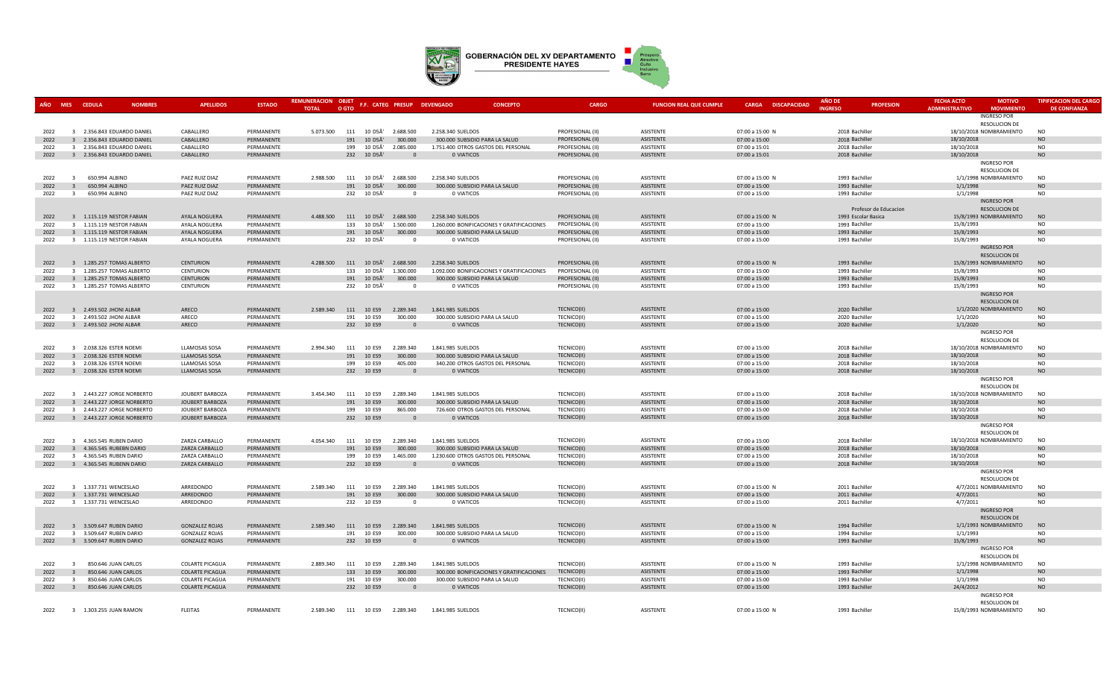

| AÑO  | MES CEDULA              | <b>NOMBRES</b>             | <b>APELLIDOS</b>       | <b>ESTADO</b> | REMUNERACION OBJET<br><b>TOTAL</b> | O GTO |                         | F.F. CATEG PRESUP DEVENGADO | <b>CONCEPTO</b>                            | <b>CARGO</b>     | <b>FUNCION REAL QUE CUMPLE</b> | <b>CARGA DISCAPACIDAD</b> | <b>AÑO DE</b><br><b>INGRESO</b> | <b>PROFESION</b>      | <b>FECHA ACTO</b><br><b>ADMINISTRATIVO</b> | <b>MOTIVO</b><br><b>MOVIMIENTO</b>         | <b>TIPIFICACION DEL CARGO</b><br><b>DE CONFIANZA</b> |
|------|-------------------------|----------------------------|------------------------|---------------|------------------------------------|-------|-------------------------|-----------------------------|--------------------------------------------|------------------|--------------------------------|---------------------------|---------------------------------|-----------------------|--------------------------------------------|--------------------------------------------|------------------------------------------------------|
|      |                         |                            |                        |               |                                    |       |                         |                             |                                            |                  |                                |                           |                                 |                       |                                            | <b>INGRESO POR</b><br><b>RESOLUCION DE</b> |                                                      |
| 2022 |                         | 3 2.356.843 EDUARDO DANIEL | CABALLERO              | PERMANENTE    | 5.073.500                          |       | 111 10 D5Ã'             | 2.688.500                   | 2.258.340 SUELDOS                          | PROFESIONAL (II) | ASISTENTE                      | 07:00 a 15:00 N           |                                 | 2018 Bachiller        |                                            | 18/10/2018 NOMBRAMIENTO                    | N <sub>O</sub>                                       |
| 2022 |                         | 3 2.356.843 EDUARDO DANIEL | CABALLERO              | PERMANENTE    |                                    |       | 191 10 D5Ã'             | 300,000                     | 300,000 SUBSIDIO PARA LA SALUD             | PROFESIONAL (II) | <b>ASISTENTE</b>               | 07:00 a 15:00             |                                 | 2018 Bachiller        | 18/10/2018                                 |                                            | <b>NO</b>                                            |
| 2022 |                         | 3 2.356.843 EDUARDO DANIEL | CABALLERO              | PERMANENTE    |                                    |       | 199 10 D5Ã'             | 2.085.000                   | 1.751.400 OTROS GASTOS DEL PERSONAL        | PROFESIONAL (II) | ASISTENTE                      | 07:00 a 15:01             |                                 | 2018 Bachiller        | 18/10/2018                                 |                                            | <b>NO</b>                                            |
| 2022 |                         | 3 2.356.843 EDUARDO DANIEL | CABALLERO              | PERMANENTE    |                                    |       | 232 10 D5Ã'             | $\Omega$                    | 0 VIATICOS                                 | PROFESIONAL (II) | ASISTENTE                      | 07:00 a 15:01             |                                 | 2018 Bachiller        | 18/10/2018                                 |                                            | <b>NO</b>                                            |
|      |                         |                            |                        |               |                                    |       |                         |                             |                                            |                  |                                |                           |                                 |                       |                                            | <b>INGRESO POR</b>                         |                                                      |
|      |                         |                            |                        |               |                                    |       |                         |                             |                                            |                  |                                |                           |                                 |                       |                                            | <b>RESOLUCION DE</b>                       |                                                      |
| 2022 | $\mathbf{R}$            | 650.994 ALBINO             | PAEZ RUIZ DIAZ         | PERMANENTE    | 2.988.500                          |       | 111 10 D5Ã'             | 2.688.500                   | 2.258.340 SUELDOS                          | PROFESIONAL (II) | <b>ASISTENTE</b>               | 07:00 a 15:00 N           |                                 | 1993 Bachiller        |                                            | 1/1/1998 NOMBRAMIENTO                      | <b>NO</b>                                            |
| 2022 | $\overline{3}$          | 650.994 ALBINO             | PAEZ RUIZ DIAZ         | PERMANENTE    |                                    | 191   | 10 D5Ã'                 | 300.000                     | 300.000 SUBSIDIO PARA LA SALUD             | PROFESIONAL (II) | <b>ASISTENTE</b>               | 07:00 a 15:00             |                                 | 1993 Bachiller        | 1/1/1998                                   |                                            | $NO$                                                 |
| 2022 | $\overline{3}$          | 650.994 ALBINO             | PAEZ RUIZ DIAZ         | PERMANENTE    |                                    |       | 232 10 D5Ã'             | $\Omega$                    | 0 VIATICOS                                 | PROFESIONAL (II) | ASISTENTE                      | 07:00 a 15:00             |                                 | 1993 Bachiller        | 1/1/1998                                   |                                            | <b>NO</b>                                            |
|      |                         |                            |                        |               |                                    |       |                         |                             |                                            |                  |                                |                           |                                 |                       |                                            | <b>INGRESO POR</b>                         |                                                      |
|      |                         |                            |                        |               |                                    |       |                         |                             |                                            |                  |                                |                           |                                 | Profesor de Educacion |                                            | <b>RESOLUCION DE</b>                       |                                                      |
| 2022 |                         | 3 1.115.119 NESTOR FABIAN  | AYALA NOGUERA          | PERMANENTE    | 4.488.500                          |       |                         | 111 10 D5Ã' 2.688.500       | 2.258.340 SUELDOS                          | PROFESIONAL (II) | <b>ASISTENTE</b>               | 07:00 a 15:00 N           |                                 | 1993 Escolar Basica   |                                            | 15/8/1993 NOMBRAMIENTO                     | <b>NO</b>                                            |
| 2022 |                         | 3 1.115.119 NESTOR FABIAN  | AYALA NOGUERA          | PERMANENTE    |                                    |       | 133 10 D5Ã'             | 1.500.000                   | 1.260.000 BONIFICACIONES Y GRATIFICACIONES | PROFESIONAL (II) | ASISTENTE                      | 07:00 a 15:00             |                                 | 1993 Bachiller        | 15/8/1993                                  |                                            | N <sub>O</sub>                                       |
| 2022 |                         | 3 1.115.119 NESTOR FABIAN  | AYALA NOGUERA          | PERMANENTE    |                                    |       | 191 10 D5Ã              | 300.000                     | 300.000 SUBSIDIO PARA LA SALUD             | PROFESIONAL (II) | ASISTENTE                      | 07:00 a 15:00             |                                 | 1993 Bachiller        | 15/8/1993                                  |                                            | N <sub>O</sub>                                       |
| 2022 |                         | 3 1.115.119 NESTOR FABIAN  | AYALA NOGUERA          | PERMANENTE    |                                    |       | 232 10 D5A              | $\Omega$                    | 0 VIATICOS                                 | PROFESIONAL (II) | ASISTENTE                      | 07:00 a 15:00             |                                 | 1993 Bachiller        | 15/8/1993                                  |                                            | <b>NO</b>                                            |
|      |                         |                            |                        |               |                                    |       |                         |                             |                                            |                  |                                |                           |                                 |                       |                                            | <b>INGRESO POR</b>                         |                                                      |
|      |                         |                            |                        |               |                                    |       |                         |                             |                                            |                  |                                |                           |                                 |                       |                                            | <b>RESOLUCION DE</b>                       |                                                      |
| 2022 |                         | 3 1.285.257 TOMAS ALBERTO  | <b>CENTURION</b>       | PERMANENTE    | 4.288.500                          |       | 111 10 D5Ã'             | 2.688.500                   | 2.258.340 SUELDOS                          | PROFESIONAL (II) | ASISTENTE                      | 07:00 a 15:00 N           |                                 | 1993 Bachiller        |                                            | 15/8/1993 NOMBRAMIENTO                     | <b>NO</b>                                            |
| 2022 |                         | 3 1.285.257 TOMAS ALBERTO  | <b>CENTURION</b>       | PERMANENTE    |                                    | 133   | 10 D5Ã'                 | 1.300.000                   | 1.092.000 BONIFICACIONES Y GRATIFICACIONES | PROFESIONAL (II) | ASISTENTE                      | 07:00 a 15:00             |                                 | 1993 Bachiller        | 15/8/1993                                  |                                            | <b>NO</b>                                            |
| 2022 |                         | 3 1.285.257 TOMAS ALBERTO  | <b>CENTURION</b>       | PERMANENTE    |                                    |       | 191 10 D5Ã'             | 300.000                     | 300.000 SUBSIDIO PARA LA SALUD             | PROFESIONAL (II) | <b>ASISTENTE</b>               | 07:00 a 15:00             |                                 | 1993 Bachiller        | 15/8/1993                                  |                                            | <b>NO</b>                                            |
| 2022 |                         | 3 1.285.257 TOMAS ALBERTO  | <b>CENTURION</b>       | PERMANENTE    |                                    |       | 232 10 D5Ã <sup>*</sup> | $\Omega$                    | 0 VIATICOS                                 | PROFESIONAL (II) | ASISTENTE                      | 07:00 a 15:00             |                                 | 1993 Bachiller        | 15/8/1993                                  |                                            | N <sub>O</sub>                                       |
|      |                         |                            |                        |               |                                    |       |                         |                             |                                            |                  |                                |                           |                                 |                       |                                            | <b>INGRESO POR</b>                         |                                                      |
|      |                         |                            |                        |               |                                    |       |                         |                             |                                            |                  |                                |                           |                                 |                       |                                            | <b>RESOLUCION DE</b>                       |                                                      |
| 2022 |                         | 3 2.493.502 JHONI ALBAR    | ARECO                  | PERMANENTE    | 2.589.340                          |       | 111 10 ES9              | 2.289.340                   | 1.841.985 SUELDOS                          | TECNICO(II)      | ASISTENTE                      | 07:00 a 15:00             |                                 | 2020 Bachiller        |                                            | 1/1/2020 NOMBRAMIENTO                      | <b>NO</b>                                            |
| 2022 |                         | 3 2.493.502 JHONI ALBAR    | ARECO                  | PERMANENTE    |                                    |       | 191 10 ES9              | 300.000                     | 300.000 SUBSIDIO PARA LA SALUD             | TECNICO(II)      | ASISTENTE                      | 07:00 a 15:00             |                                 | 2020 Bachiller        | 1/1/2020                                   |                                            | <b>NO</b>                                            |
| 2022 |                         | 3 2.493.502 JHONI ALBAR    | ARECO                  | PERMANENTE    |                                    |       | 232 10 ES9              | $\Omega$                    | 0 VIATICOS                                 | TECNICO(II)      | ASISTENTE                      | 07:00 a 15:00             |                                 | 2020 Bachiller        | 1/1/2020                                   |                                            | <b>NO</b>                                            |
|      |                         |                            |                        |               |                                    |       |                         |                             |                                            |                  |                                |                           |                                 |                       |                                            | <b>INGRESO POR</b>                         |                                                      |
|      |                         |                            |                        |               |                                    |       |                         |                             |                                            |                  |                                |                           |                                 |                       |                                            | <b>RESOLUCION DE</b>                       |                                                      |
| 2022 |                         | 3 2.038.326 ESTER NOEMI    | <b>LLAMOSAS SOSA</b>   | PFRMANFNTF    | 2.994.340                          |       | 111 10 ES9              | 2.289.340                   | 1.841.985 SUELDOS                          | TECNICO(II)      | ASISTENTE                      | 07:00 a 15:00             |                                 | 2018 Bachiller        |                                            | 18/10/2018 NOMBRAMIENTO                    | <b>NO</b>                                            |
| 2022 |                         | 3 2.038.326 ESTER NOEMI    | <b>LLAMOSAS SOSA</b>   | PERMANENTE    |                                    |       | 191 10 ES9              | 300.000                     | 300.000 SUBSIDIO PARA LA SALUD             | TECNICO(II)      | <b>ASISTENTE</b>               | 07:00 a 15:00             |                                 | 2018 Bachiller        | 18/10/2018                                 |                                            | <b>NO</b>                                            |
| 2022 |                         | 3 2.038.326 ESTER NOEMI    | LLAMOSAS SOSA          | PERMANENTE    |                                    |       | 199 10 ES9              | 405.000                     | 340.200 OTROS GASTOS DEL PERSONAL          | TECNICO(II)      | ASISTENTE                      | 07:00 a 15:00             |                                 | 2018 Bachiller        | 18/10/2018                                 |                                            | <b>NO</b>                                            |
| 2022 |                         | 3 2.038.326 ESTER NOEMI    | LLAMOSAS SOSA          | PERMANENTE    |                                    |       | 232 10 ES9              | $\Omega$                    | 0 VIATICOS                                 | TECNICO(II)      | ASISTENTE                      | 07:00 a 15:00             |                                 | 2018 Bachiller        | 18/10/2018                                 |                                            | <b>NO</b>                                            |
|      |                         |                            |                        |               |                                    |       |                         |                             |                                            |                  |                                |                           |                                 |                       |                                            | <b>INGRESO POR</b>                         |                                                      |
|      |                         |                            |                        |               |                                    |       |                         |                             |                                            |                  |                                |                           |                                 |                       |                                            | RESOLUCION DE                              |                                                      |
| 2022 |                         | 3 2.443.227 JORGE NORBERTO | JOUBERT BARBOZA        | PERMANENTE    | 3.454.340                          |       | 111 10 ES9              | 2.289.340                   | 1.841.985 SUELDOS                          | TECNICO(II)      | ASISTENTE                      | 07:00 a 15:00             |                                 | 2018 Bachiller        |                                            | 18/10/2018 NOMBRAMIENTO                    | N <sub>O</sub>                                       |
| 2022 |                         | 3 2.443.227 JORGE NORBERTO | <b>JOUBERT BARBOZA</b> | PERMANENTE    |                                    | 191   | 10 ES9                  | 300,000                     | 300.000 SUBSIDIO PARA LA SALUD             | TECNICO(II)      | ASISTENTE                      | 07:00 a 15:00             |                                 | 2018 Bachiller        | 18/10/2018                                 |                                            | <b>NO</b>                                            |
| 2022 |                         | 3 2.443.227 JORGE NORBERTO | JOUBERT BARBOZA        | PERMANENTE    |                                    | 199   | 10 ES9                  | 865.000                     | 726.600 OTROS GASTOS DEL PERSONAL          | TECNICO(II)      | ASISTENTE                      | 07:00 a 15:00             |                                 | 2018 Bachiller        | 18/10/2018                                 |                                            | N <sub>O</sub>                                       |
| 2022 |                         | 3 2.443.227 JORGE NORBERTO | JOUBERT BARBOZA        | PERMANENTE    |                                    |       | 232 10 ES9              | $\Omega$                    | 0 VIATICOS                                 | TECNICO(II)      | ASISTENTE                      | 07:00 a 15:00             |                                 | 2018 Bachiller        | 18/10/2018                                 |                                            | <b>NO</b>                                            |
|      |                         |                            |                        |               |                                    |       |                         |                             |                                            |                  |                                |                           |                                 |                       |                                            | <b>INGRESO POR</b>                         |                                                      |
|      |                         |                            |                        |               |                                    |       |                         |                             |                                            |                  |                                |                           |                                 |                       |                                            | <b>RESOLUCION DE</b>                       |                                                      |
| 2022 |                         | 3 4.365.545 RUBEN DARIO    | ZARZA CARBALLO         | PERMANENTE    | 4.054.340                          |       | 111 10 ES9              | 2.289.340                   | 1.841.985 SUELDOS                          | TECNICO(II)      | ASISTENTE                      | 07:00 a 15:00             |                                 | 2018 Bachiller        |                                            | 18/10/2018 NOMBRAMIENTO                    | <b>NO</b>                                            |
| 2022 |                         | 3 4.365.545 RUBEBN DARIO   | ZARZA CARBALLO         | PERMANENTE    |                                    |       | 191 10 ES9              | 300.000                     | 300.000 SUBSIDIO PARA LA SALUD             | TECNICO(II)      | ASISTENTE                      | 07:00 a 15:00             |                                 | 2018 Bachiller        | 18/10/2018                                 |                                            | <b>NO</b>                                            |
| 2022 |                         | 3 4.365.545 RUBEN DARIO    | ZARZA CARBALLO         | PERMANENTE    |                                    |       | 199 10 ES9              | 1.465.000                   | 1.230.600 OTROS GASTOS DEL PERSONAL        | TECNICO(II)      | ASISTENTE                      | 07:00 a 15:00             |                                 | 2018 Bachiller        | 18/10/2018                                 |                                            | <b>NO</b>                                            |
| 2022 |                         | 3 4.365.545 RUBENN DARIO   | ZARZA CARBALLO         | PERMANENTE    |                                    |       | 232 10 ES9              | $\Omega$                    | 0 VIATICOS                                 | TECNICO(II)      | ASISTENTE                      | 07:00 a 15:00             |                                 | 2018 Bachiller        | 18/10/2018                                 |                                            | <b>NO</b>                                            |
|      |                         |                            |                        |               |                                    |       |                         |                             |                                            |                  |                                |                           |                                 |                       |                                            | <b>INGRESO POR</b>                         |                                                      |
|      |                         |                            |                        |               |                                    |       |                         |                             |                                            |                  |                                |                           |                                 |                       |                                            | RESOLUCION DE                              |                                                      |
| 2022 |                         | 3 1.337.731 WENCESLAO      | ARREDONDO              | PERMANENTE    | 2.589.340                          | 111   | 10 ES9                  | 2.289.340                   | 1.841.985 SUELDOS                          | TECNICO(II)      | ASISTENTE                      | 07:00 a 15:00 N           |                                 | 2011 Bachiller        |                                            | 4/7/2011 NOMBRAMIENTO                      | <b>NO</b>                                            |
| 2022 |                         | 3 1.337.731 WENCESLAO      | ARREDONDO              | PERMANENTE    |                                    |       | 191 10 ES9              | 300.000                     | 300.000 SUBSIDIO PARA LA SALUD             | TECNICO(II)      | ASISTENTE                      | 07:00 a 15:00             |                                 | 2011 Bachiller        | 4/7/2011                                   |                                            | <b>NO</b>                                            |
| 2022 |                         | 3 1.337.731 WENCESLAO      | ARREDONDO              | PERMANENTE    |                                    |       | 232 10 ES9              | $\mathbf{0}$                | 0 VIATICOS                                 | TECNICO(II)      | ASISTENTE                      | 07:00 a 15:00             |                                 | 2011 Bachiller        | 4/7/2011                                   |                                            | N <sub>O</sub>                                       |
|      |                         |                            |                        |               |                                    |       |                         |                             |                                            |                  |                                |                           |                                 |                       |                                            | <b>INGRESO POR</b>                         |                                                      |
|      |                         |                            |                        |               |                                    |       |                         |                             |                                            |                  |                                |                           |                                 |                       |                                            | <b>RESOLUCION DE</b>                       |                                                      |
| 2022 |                         | 3 3.509.647 RUBEN DARIO    | <b>GONZALEZ ROJAS</b>  | PERMANENTE    | 2.589.340 111 10 ES9               |       |                         | 2.289.340                   | 1.841.985 SUELDOS                          | TECNICO(II)      | <b>ASISTENTE</b>               | 07:00 a 15:00 N           |                                 | 1994 Bachiller        |                                            | 1/1/1993 NOMBRAMIENTO                      | <b>NO</b>                                            |
| 2022 |                         | 3 3.509.647 RUBEN DARIO    | <b>GONZALEZ ROJAS</b>  | PERMANENTE    |                                    | 191   | 10 ES9                  | 300.000                     | 300.000 SUBSIDIO PARA LA SALUD             | TECNICO(II)      | ASISTENTE                      | 07:00 a 15:00             |                                 | 1994 Bachiller        | 1/1/1993                                   |                                            | <b>NO</b>                                            |
| 2022 |                         | 3 3.509.647 RUBEN DARIO    | <b>GONZALEZ ROJAS</b>  | PERMANENTE    |                                    |       | 232 10 ES9              | $\Omega$                    | 0 VIATICOS                                 | TECNICO(II)      | ASISTENTE                      | 07:00 a 15:00             |                                 | 1993 Bachiller        | 15/8/1993                                  |                                            | <b>NO</b>                                            |
|      |                         |                            |                        |               |                                    |       |                         |                             |                                            |                  |                                |                           |                                 |                       |                                            | <b>INGRESO POR</b>                         |                                                      |
|      |                         |                            |                        |               |                                    |       |                         |                             |                                            |                  |                                |                           |                                 |                       |                                            | <b>RESOLUCION DE</b>                       |                                                      |
| 2022 | $\overline{a}$          | 850.646 JUAN CARLOS        | <b>COLARTE PICAGUA</b> | PERMANENTE    | 2.889.340                          |       | 111 10 ES9              | 2.289.340                   | 1.841.985 SUELDOS                          | TECNICO(II)      | ASISTENTE                      | 07:00 a 15:00 N           |                                 | 1993 Bachiller        |                                            | 1/1/1998 NOMBRAMIENTO                      | <b>NO</b>                                            |
| 2022 | $\overline{3}$          | 850.646 JUAN CARLOS        | <b>COLARTE PICAGUA</b> | PERMANENTE    |                                    |       | 133 10 ES9              | 300.000                     | 300.000 BONIFICACIONES Y GRATIFICACIONES   | TECNICO(II)      | <b>ASISTENTE</b>               | 07:00 a 15:00             |                                 | 1993 Bachiller        | 1/1/1998                                   |                                            | <b>NO</b>                                            |
| 2022 | $\mathbf{R}$            | 850.646 JUAN CARLOS        | <b>COLARTE PICAGUA</b> | PERMANENTE    |                                    |       | 191 10 ES9              | 300.000                     | 300.000 SUBSIDIO PARA LA SALUD             | TECNICO(II)      | ASISTENTE                      | 07:00 a 15:00             |                                 | 1993 Bachiller        | 1/1/1998                                   |                                            | N <sub>O</sub>                                       |
|      |                         |                            | <b>COLARTE PICAGUA</b> | PERMANENTE    |                                    |       |                         | $\mathbf{0}$                | 0 VIATICOS                                 |                  |                                |                           |                                 |                       | 24/4/2012                                  |                                            | <b>NO</b>                                            |
| 2022 | $\overline{\mathbf{3}}$ | 850.646 JUAN CARLOS        |                        |               |                                    |       | 232 10 ES9              |                             |                                            | TECNICO(II)      | ASISTENTE                      | 07:00 a 15:00             |                                 | 1993 Bachiller        |                                            | <b>INGRESO POR</b>                         |                                                      |
|      |                         |                            |                        |               |                                    |       |                         |                             |                                            |                  |                                |                           |                                 |                       |                                            | RESOLUCION DE                              |                                                      |
| 2022 |                         | 3 1.303.255 JUAN RAMON     | <b>FLEITAS</b>         | PERMANENTE    | 2.589.340                          |       | 111 10 ES9              | 2.289.340                   | 1.841.985 SUELDOS                          | TECNICO(II)      | ASISTENTE                      | 07:00 a 15:00 N           |                                 | 1993 Bachiller        |                                            | 15/8/1993 NOMBRAMIENTO                     | N <sub>O</sub>                                       |
|      |                         |                            |                        |               |                                    |       |                         |                             |                                            |                  |                                |                           |                                 |                       |                                            |                                            |                                                      |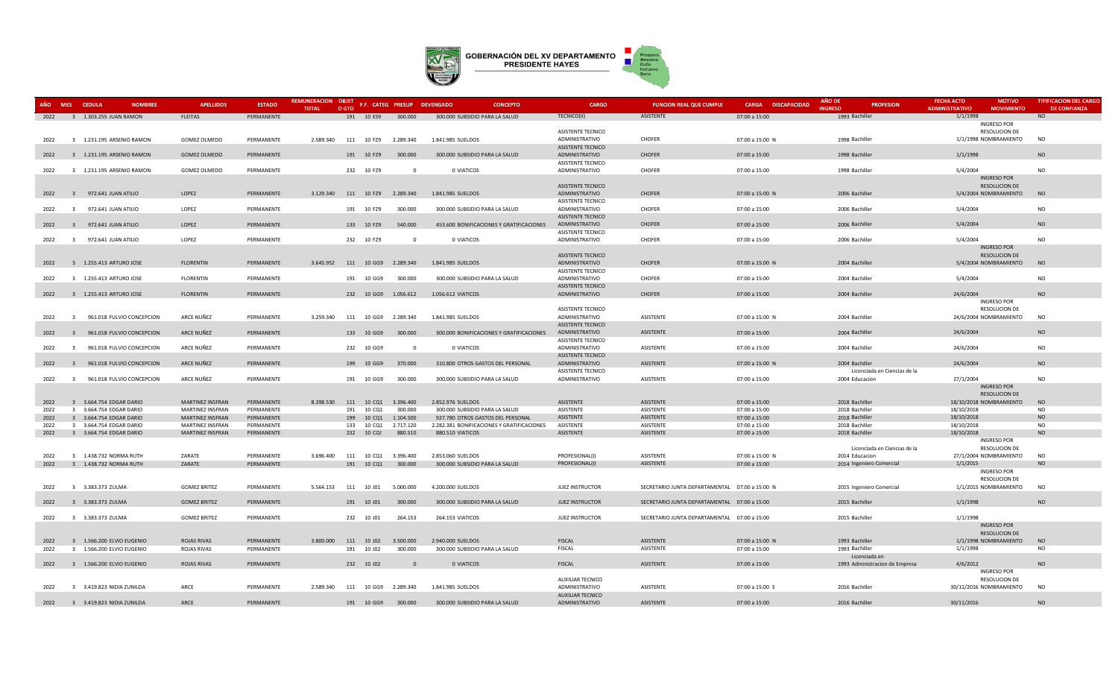

| AÑO  <br><b>MES</b> | <b>CEDULA</b><br><b>NOMBRES</b>           | <b>APELLIDOS</b>    | <b>ESTADO</b> | <b>REMUNERACION OBJET</b><br><b>TOTAL</b> | O GTO      | F.F. CATEG PRESUP DEVENGADO        |                         | <b>CONCEPTO</b>                            | CARGO                                      | <b>FUNCION REAL QUE CUMPLE</b>                 | CARGA DISCAPACIDAD | AÑO DE<br><b>INGRESO</b> | <b>PROFESION</b>               | <b>FECHA ACTO</b><br><b>ADMINISTRATIVO</b> | <b>MOTIVO</b><br><b>MOVIMIENTO</b>              | <b>TIPIFICACION DEL CARGO</b><br><b>DE CONFIANZA</b> |
|---------------------|-------------------------------------------|---------------------|---------------|-------------------------------------------|------------|------------------------------------|-------------------------|--------------------------------------------|--------------------------------------------|------------------------------------------------|--------------------|--------------------------|--------------------------------|--------------------------------------------|-------------------------------------------------|------------------------------------------------------|
| 2022                | 3 1.303.255 JUAN RAMON                    | <b>FLEITAS</b>      | PERMANENTE    |                                           |            | 191  10  ES9  300.000              |                         | 300.000 SUBSIDIO PARA LA SALUD             | TECNICO(II)                                | ASISTENTE                                      | 07:00 a 15:00      | 1993 Bachiller           |                                | 1/1/1998                                   |                                                 | <b>NO</b>                                            |
|                     |                                           |                     |               |                                           |            |                                    |                         |                                            |                                            |                                                |                    |                          |                                |                                            | <b>INGRESO POR</b>                              |                                                      |
|                     |                                           |                     |               |                                           |            |                                    |                         |                                            | <b>ASISTENTE TECNICO</b>                   |                                                |                    |                          |                                |                                            | <b>RESOLUCION DE</b>                            |                                                      |
| 2022                | 3 1.231.195 ARSENIO RAMON                 | GOMEZ OLMEDO        | PERMANENTE    | 2.589.340                                 |            | 111 10 FZ9 2.289.340               |                         | 1.841.985 SUELDOS                          | ADMINISTRATIVO                             | CHOFER                                         | 07:00 a 15:00 N    | 1998 Bachiller           |                                |                                            | 1/1/1998 NOMBRAMIENTO                           | <b>NO</b>                                            |
|                     |                                           |                     |               |                                           |            |                                    |                         |                                            | <b>ASISTENTE TECNICO</b>                   |                                                |                    |                          |                                |                                            |                                                 |                                                      |
| 2022                | 3 1.231.195 ARSENIO RAMON                 | <b>GOMEZ OLMEDO</b> | PERMANENTE    |                                           | 191 10 FZ9 |                                    | 300.000                 | 300.000 SUBSIDIO PARA LA SALUD             | ADMINISTRATIVO                             | <b>CHOFER</b>                                  | 07:00 a 15:00      | 1998 Bachiller           |                                | 1/1/1998                                   |                                                 | <b>NO</b>                                            |
| 2022                | 3 1.231.195 ARSENIO RAMON                 | GOMEZ OLMEDO        | PERMANENTE    |                                           | 232 10 FZ9 |                                    | $\overline{\mathbf{0}}$ | 0 VIATICOS                                 | <b>ASISTENTE TECNICO</b><br>ADMINISTRATIVO | CHOFER                                         | 07:00 a 15:00      | 1998 Bachiller           |                                | 5/4/2004                                   |                                                 | <b>NO</b>                                            |
|                     |                                           |                     |               |                                           |            |                                    |                         |                                            |                                            |                                                |                    |                          |                                |                                            | <b>INGRESO POR</b>                              |                                                      |
|                     |                                           |                     |               |                                           |            |                                    |                         |                                            | <b>ASISTENTE TECNICO</b>                   |                                                |                    |                          |                                |                                            | <b>RESOLUCION DE</b>                            |                                                      |
|                     | 2022 3 972.641 JUAN ATILIO                | LOPEZ               | PERMANENTE    |                                           |            | 3.129.340  111  10  FZ9  2.289.340 |                         | 1.841.985 SUELDOS                          | ADMINISTRATIVO                             | <b>CHOFER</b>                                  | 07:00 a 15:00 N    | 2006 Bachiller           |                                |                                            | 5/4/2004 NOMBRAMIENTO                           | <b>NO</b>                                            |
|                     |                                           |                     |               |                                           |            |                                    |                         |                                            | ASISTENTE TECNICO                          |                                                |                    |                          |                                |                                            |                                                 |                                                      |
| 2022                | 3 972.641 JUAN ATILIO                     | LOPEZ               | PERMANENTE    |                                           | 191 10 FZ9 |                                    | 300.000                 | 300.000 SUBSIDIO PARA LA SALUD             | ADMINISTRATIVO                             | CHOFER                                         | 07:00 a 15:00      | 2006 Bachiller           |                                | 5/4/2004                                   |                                                 | <b>NO</b>                                            |
|                     |                                           |                     |               |                                           |            |                                    |                         |                                            | <b>ASISTENTE TECNICO</b>                   |                                                |                    |                          |                                |                                            |                                                 |                                                      |
| 2022                | 3 972.641 JUAN ATILIO                     | LOPEZ               | PERMANENTE    |                                           | 133 10 FZ9 |                                    | 540.000                 | 453.600 BONIFICACIONES Y GRATIFICACIONES   | ADMINISTRATIVO                             | <b>CHOFER</b>                                  | 07:00 a 15:00      | 2006 Bachiller           |                                | 5/4/2004                                   |                                                 | <b>NO</b>                                            |
|                     |                                           |                     |               |                                           |            |                                    |                         |                                            | <b>ASISTENTE TECNICO</b>                   |                                                |                    |                          |                                |                                            |                                                 |                                                      |
| 2022                | 3 972.641 JUAN ATILIO                     | LOPEZ               | PERMANENTE    |                                           | 232 10 FZ9 |                                    | $\Omega$                | 0 VIATICOS                                 | ADMINISTRATIVO                             | CHOFER                                         | 07:00 a 15:00      | 2006 Bachiller           |                                | 5/4/2004                                   |                                                 | <b>NO</b>                                            |
|                     |                                           |                     |               |                                           |            |                                    |                         |                                            |                                            |                                                |                    |                          |                                |                                            | <b>INGRESO POR</b>                              |                                                      |
|                     |                                           |                     |               |                                           |            |                                    |                         |                                            | ASISTENTE TECNICO                          |                                                |                    |                          |                                |                                            | <b>RESOLUCION DE</b>                            |                                                      |
| 2022                | 3 1.255.413 ARTURO JOSE                   | <b>FLORENTIN</b>    | PERMANENTE    |                                           |            | 3.645.952  111  10  GG9  2.289.340 |                         | 1.841.985 SUELDOS                          | ADMINISTRATIVO<br>ASISTENTE TECNICO        | <b>CHOFER</b>                                  | 07:00 a 15:00 N    | 2004 Bachiller           |                                |                                            | 5/4/2004 NOMBRAMIENTO                           | <b>NO</b>                                            |
| 2022                | 3 1.255.413 ARTURO JOSE                   | <b>FLORENTIN</b>    | PERMANENTE    |                                           | 191 10 GG9 |                                    | 300,000                 | 300.000 SUBSIDIO PARA LA SALUD             | ADMINISTRATIVO                             | CHOFER                                         | 07:00 a 15:00      | 2004 Bachiller           |                                | 5/4/2004                                   |                                                 | N <sub>O</sub>                                       |
|                     |                                           |                     |               |                                           |            |                                    |                         |                                            | ASISTENTE TECNICO                          |                                                |                    |                          |                                |                                            |                                                 |                                                      |
| 2022                | 3 1.255.413 ARTURO JOSE                   | <b>FLORENTIN</b>    | PERMANENTE    |                                           |            | 232 10 GG9 1.056.612               |                         | 1.056.612 VIATICOS                         | ADMINISTRATIVO                             | <b>CHOFER</b>                                  | 07:00 a 15:00      | 2004 Bachiller           |                                | 24/6/2004                                  |                                                 | <b>NO</b>                                            |
|                     |                                           |                     |               |                                           |            |                                    |                         |                                            |                                            |                                                |                    |                          |                                |                                            | <b>INGRESO POR</b>                              |                                                      |
|                     |                                           |                     |               |                                           |            |                                    |                         |                                            | <b>ASISTENTE TECNICO</b>                   |                                                |                    |                          |                                |                                            | <b>RESOLUCION DE</b>                            |                                                      |
| 2022                | 961.018 FULVIO CONCEPCION<br>$\mathbf{R}$ | ARCE NUÑEZ          | PERMANENTE    | 3.259.340                                 |            | 111  10  GG9  2.289.340            |                         | 1.841.985 SUELDOS                          | ADMINISTRATIVO                             | <b>ASISTENTE</b>                               | 07:00 a 15:00 N    | 2004 Bachiller           |                                |                                            | 24/6/2004 NOMBRAMIENTO                          | <b>NO</b>                                            |
|                     |                                           |                     |               |                                           |            |                                    |                         |                                            | <b>ASISTENTE TECNICO</b>                   |                                                |                    |                          |                                |                                            |                                                 |                                                      |
| 2022                | 3<br>961.018 FULVIO CONCEPCION            | ARCE NUÑEZ          | PERMANENTE    |                                           | 133 10 GG9 |                                    | 300.000                 | 300.000 BONIFICACIONES Y GRATIFICACIONES   | ADMINISTRATIVO                             | ASISTENTE                                      | 07:00 a 15:00      | 2004 Bachiller           |                                | 24/6/2004                                  |                                                 | <b>NO</b>                                            |
|                     |                                           |                     |               |                                           |            |                                    |                         |                                            | <b>ASISTENTE TECNICO</b>                   |                                                |                    |                          |                                |                                            |                                                 |                                                      |
| 2022                | 961.018 FULVIO CONCEPCION<br>$\mathbf{R}$ | ARCE NUÑEZ          | PERMANENTE    |                                           | 232 10 GG9 |                                    | $\Omega$                | 0 VIATICOS                                 | ADMINISTRATIVO                             | ASISTENTE                                      | 07:00 a 15:00      | 2004 Bachiller           |                                | 24/6/2004                                  |                                                 | <b>NO</b>                                            |
|                     |                                           |                     |               |                                           |            |                                    |                         |                                            | <b>ASISTENTE TECNICO</b>                   |                                                |                    |                          |                                |                                            |                                                 |                                                      |
| 2022                | 961.018 FULVIO CONCEPCION                 | ARCE NUÑEZ          | PERMANENTE    |                                           | 199 10 GG9 |                                    | 370.000                 | 310.800 OTROS GASTOS DEL PERSONAL          | ADMINISTRATIVO                             | ASISTENTE                                      | 07:00 a 15:00 N    | 2004 Bachiller           |                                | 24/6/2004                                  |                                                 | <b>NO</b>                                            |
|                     | $\overline{3}$                            | ARCE NUÑEZ          | PERMANENTE    |                                           |            |                                    | 300.000                 | 300.000 SUBSIDIO PARA LA SALUD             | <b>ASISTENTE TECNICO</b><br>ADMINISTRATIVO | ASISTENTE                                      | 07:00 a 15:00      |                          | Licenciada en Ciencias de la   |                                            |                                                 | <b>NO</b>                                            |
| 2022                | 961.018 FULVIO CONCEPCION                 |                     |               |                                           | 191 10 GG9 |                                    |                         |                                            |                                            |                                                |                    | 2004 Educacion           |                                | 27/1/2004                                  | INGRESO POR                                     |                                                      |
|                     |                                           |                     |               |                                           |            |                                    |                         |                                            |                                            |                                                |                    |                          |                                |                                            | <b>RESOLUCION DE</b>                            |                                                      |
| 2022                | 3 3.664.754 EDGAR DARIO                   | MARTINEZ INSFRAN    | PERMANENTE    | 8.398.530 111 10 CQ1                      |            | 3.396.400                          |                         | 2.852.976 SUELDOS                          | <b>ASISTENTE</b>                           | ASISTENTE                                      | 07:00 a 15:00      | 2018 Bachiller           |                                |                                            | 18/10/2018 NOMBRAMIENTO                         | <b>NO</b>                                            |
| 2022                | 3 3.664.754 EDGAR DARIO                   | MARTINEZ INSFRAN    | PERMANENTE    |                                           | 191        | 10 CQ1                             | 300.000                 | 300.000 SUBSIDIO PARA LA SALUD             | ASISTENTE                                  | ASISTENTE                                      | 07:00 a 15:00      | 2018 Bachiller           |                                | 18/10/2018                                 |                                                 | <b>NO</b>                                            |
| 2022                | 3 3.664.754 EDGAR DARIO                   | MARTINEZ INSFRAN    | PERMANENTE    |                                           | 199        | 1.104.500<br>10 CQ1                |                         | 927.780 OTROS GASTOS DEL PERSONAL          | ASISTENTE                                  | ASISTENTE                                      | 07:00 a 15:00      | 2018 Bachiller           |                                | 18/10/2018                                 |                                                 | <b>NO</b>                                            |
| 2022                | 3 3.664.754 EDGAR DARIO                   | MARTINEZ INSFRAN    | PERMANENTE    |                                           | 133 10 CQ1 | 2.717.120                          |                         | 2.282.381 BONIFICACIONES Y GRATIFICACIONES | ASISTENTE                                  | ASISTENTE                                      | 07:00 a 15:00      | 2018 Bachiller           |                                | 18/10/2018                                 |                                                 | N <sub>O</sub>                                       |
| 2022                | 3 3.664.754 EDGAR DARIO                   | MARTINEZ INSFRAN    | PERMANENTE    |                                           | 232 10 CQ! |                                    | 880.510                 | 880.510 VIATICOS                           | <b>ASISTENTE</b>                           | ASISTENTE                                      | 07:00 a 15:00      | 2018 Bachiller           |                                | 18/10/2018                                 |                                                 | N <sub>O</sub>                                       |
|                     |                                           |                     |               |                                           |            |                                    |                         |                                            |                                            |                                                |                    |                          |                                |                                            | <b>INGRESO POR</b>                              |                                                      |
|                     |                                           |                     |               |                                           |            |                                    |                         |                                            |                                            |                                                |                    |                          | Licenciada en Ciencias de la   |                                            | <b>RESOLUCION DE</b>                            |                                                      |
| 2022                | 3 1.438.732 NORMA RUTH                    | ZARATE              | PERMANENTE    | 3.696.400 111 10 CQ1                      |            | 3.396.400                          |                         | 2.853.060 SUELDOS                          | PROFESIONAL(I)                             | ASISTENTE                                      | 07:00 a 15:00 N    | 2014 Educacion           |                                |                                            | 27/1/2004 NOMBRAMIENTO                          | <b>NO</b>                                            |
| 2022                | 3 1.438.732 NORMA RUTH                    | ZARATE              | PERMANENTE    |                                           | 191 10 CQ1 |                                    | 300.000                 | 300.000 SUBSIDIO PARA LA SALUD             | PROFESIONAL(I)                             | ASISTENTE                                      | 07:00 a 15:00      |                          | 2014 Ingeniero Comercial       | 1/1/2015                                   |                                                 | <b>NO</b>                                            |
|                     |                                           |                     |               |                                           |            |                                    |                         |                                            |                                            |                                                |                    |                          |                                |                                            | <b>INGRESO POR</b><br>RESOLUCION DE             |                                                      |
| 2022                | 3 3.383.373 ZULMA                         | <b>GOMEZ BRITEZ</b> | PERMANENTE    | 5.564.153                                 | 111 10 J01 | 5.000.000                          |                         | 4.200.000 SUELDOS                          | <b>JUEZ INSTRUCTOR</b>                     | SECRETARIO JUNTA DEPARTAMENTAL 07:00 a 15:00 N |                    |                          | 2015 Ingeniero Comercial       |                                            | 1/1/2015 NOMBRAMIENTO                           | <b>NO</b>                                            |
|                     |                                           |                     |               |                                           |            |                                    |                         |                                            |                                            |                                                |                    |                          |                                |                                            |                                                 |                                                      |
| 2022                | 3 3.383.373 ZULMA                         | <b>GOMEZ BRITEZ</b> | PERMANENTE    |                                           | 191 10 J01 |                                    | 300.000                 | 300.000 SUBSIDIO PARA LA SALUD             | <b>JUEZ INSTRUCTOR</b>                     | SECRETARIO JUNTA DEPARTAMENTAL 07:00 a 15:00   |                    | 2015 Bachiller           |                                | 1/1/1998                                   |                                                 | <b>NO</b>                                            |
|                     |                                           |                     |               |                                           |            |                                    |                         |                                            |                                            |                                                |                    |                          |                                |                                            |                                                 |                                                      |
| 2022                | 3 3.383.373 ZULMA                         | <b>GOMEZ BRITEZ</b> | PERMANENTE    |                                           | 232 10 J01 |                                    | 264.153                 | 264.153 VIATICOS                           | <b>JUEZ INSTRUCTOR</b>                     | SECRETARIO JUNTA DEPARTAMENTAL 07:00 a 15:00   |                    | 2015 Bachiller           |                                | 1/1/1998                                   |                                                 |                                                      |
|                     |                                           |                     |               |                                           |            |                                    |                         |                                            |                                            |                                                |                    |                          |                                |                                            | <b>INGRESO POR</b>                              |                                                      |
|                     |                                           |                     |               |                                           |            |                                    |                         |                                            |                                            |                                                |                    |                          |                                |                                            | <b>RESOLUCION DE</b>                            |                                                      |
| 2022                | 3 1.566.200 ELVIO EUGENIO                 | <b>ROJAS RIVAS</b>  | PERMANENTE    | 3.800.000 111 10 J02                      |            | 3.500.000                          |                         | 2.940.000 SUELDOS                          | <b>FISCAL</b>                              | ASISTENTE                                      | 07:00 a 15:00 N    | 1993 Bachiller           |                                |                                            | 1/1/1998 NOMBRAMIENTO                           | <b>NO</b>                                            |
| 2022                | 3 1.566.200 ELVIO EUGENIO                 | <b>ROJAS RIVAS</b>  | PERMANENTE    |                                           | 191 10 J02 |                                    | 300.000                 | 300.000 SUBSIDIO PARA LA SALUD             | <b>FISCAL</b>                              | ASISTENTE                                      | 07:00 a 15:00      | 1993 Bachiller           |                                | 1/1/1998                                   |                                                 | <b>NO</b>                                            |
|                     |                                           |                     |               |                                           |            |                                    |                         |                                            |                                            |                                                |                    |                          | Licenciada en                  |                                            |                                                 |                                                      |
| 2022                | 3 1.566.200 ELVIO EUGENIO                 | <b>ROJAS RIVAS</b>  | PERMANENTE    |                                           | 232 10 J02 |                                    | $\Omega$                | 0 VIATICOS                                 | <b>FISCAL</b>                              | ASISTENTE                                      | 07:00 a 15:00      |                          | 1993 Administracion de Empresa | 4/6/2012                                   |                                                 | <b>NO</b>                                            |
|                     |                                           |                     |               |                                           |            |                                    |                         |                                            |                                            |                                                |                    |                          |                                |                                            | <b>INGRESO POR</b>                              |                                                      |
| 2022                | 3 3.419.823 NIDIA ZUNILDA                 | ARCE                | PERMANENTE    | 2.589.340                                 | 111        | 10 GG9<br>2.289.340                |                         | 1.841.985 SUELDOS                          | <b>AUXILIAR TECNICO</b><br>ADMINISTRATIVO  | ASISTENTE                                      | 07:00 a 15:00 S    | 2016 Bachiller           |                                |                                            | <b>RESOLUCION DE</b><br>30/11/2016 NOMBRAMIENTO | <b>NO</b>                                            |
|                     |                                           |                     |               |                                           |            |                                    |                         |                                            | <b>AUXILIAR TECNICO</b>                    |                                                |                    |                          |                                |                                            |                                                 |                                                      |
| 2022                | 3 3.419.823 NIDIA ZUNILDA                 | ARCE                | PERMANENTE    |                                           | 191 10 GG9 |                                    | 300.000                 | 300.000 SUBSIDIO PARA LA SALUD             | ADMINISTRATIVO                             | <b>ASISTENTE</b>                               | 07:00 a 15:00      | 2016 Bachiller           |                                | 30/11/2016                                 |                                                 | N <sub>O</sub>                                       |
|                     |                                           |                     |               |                                           |            |                                    |                         |                                            |                                            |                                                |                    |                          |                                |                                            |                                                 |                                                      |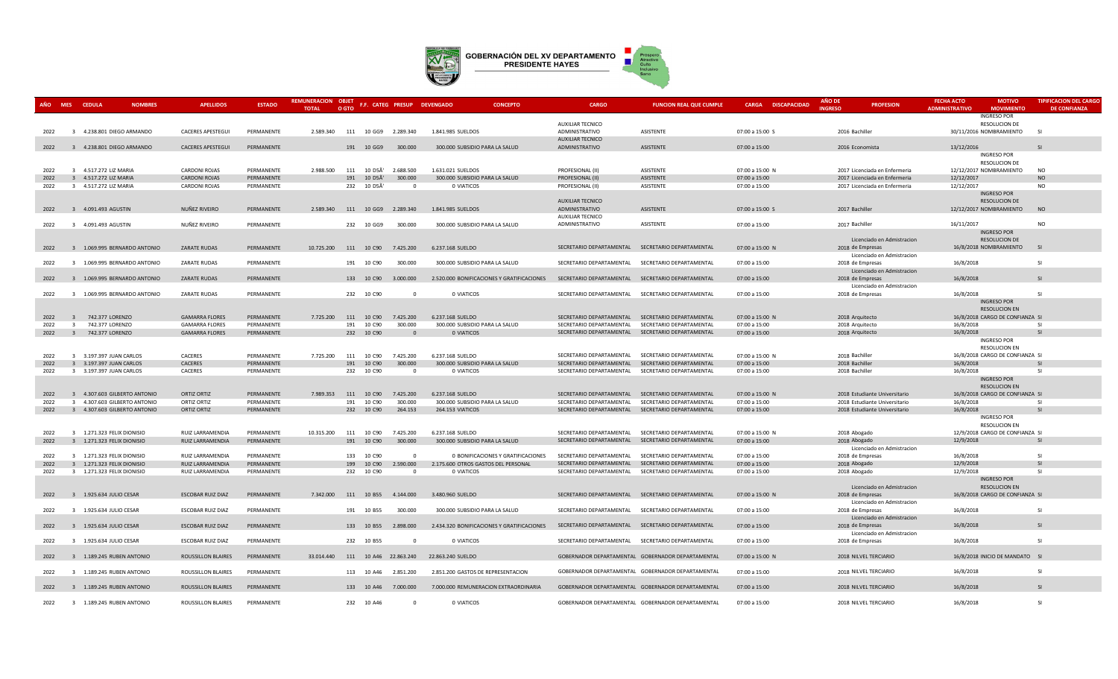

| <b>MES</b><br>ΔÑΩ | <b>CEDULA</b>                                                  | <b>NOMBRES</b> | <b>APELLIDOS</b>               | <b>ESTADO</b>            | <b>REMUNERACION</b><br><b>TOTAL</b> | <b>OBJET</b><br>O GTO        | F.F. CATEG PRESUP DEVENGADO          |                   | <b>CONCEPTO</b>                            | <b>CARGO</b>                         | <b>FUNCION REAL QUE CUMPLE</b>                    | <b>CARGA DISCAPACIDAD</b>        | <b>AÑO D</b><br><b>INGRESC</b> |                                                                | <b>PROFESION</b>                                               | <b>FECHA ACTO</b><br><b>ADMINISTRATIVO</b> | <b>MOTIVO</b><br><b>MOVIMIENTO</b>                      | <b>TIPIFICACION DEL CARGO</b><br><b>DE CONFIANZA</b> |
|-------------------|----------------------------------------------------------------|----------------|--------------------------------|--------------------------|-------------------------------------|------------------------------|--------------------------------------|-------------------|--------------------------------------------|--------------------------------------|---------------------------------------------------|----------------------------------|--------------------------------|----------------------------------------------------------------|----------------------------------------------------------------|--------------------------------------------|---------------------------------------------------------|------------------------------------------------------|
|                   |                                                                |                |                                |                          |                                     |                              |                                      |                   |                                            | <b>AUXILIAR TECNICO</b>              |                                                   |                                  |                                |                                                                |                                                                |                                            | <b>INGRESO POR</b><br><b>RESOLUCION DE</b>              |                                                      |
| 2022              | 3 4.238.801 DIEGO ARMANDO                                      |                | <b>CACERES APESTEGUI</b>       | PERMANENTE               | 2.589.340                           | 111 10 GG9                   | 2.289.340                            | 1.841.985 SUELDOS |                                            | ADMINISTRATIVO                       | ASISTENTE                                         | 07:00 a 15:00 S                  |                                | 2016 Bachiller                                                 |                                                                |                                            | 30/11/2016 NOMBRAMIENTO                                 | -SI                                                  |
|                   |                                                                |                |                                |                          |                                     |                              |                                      |                   |                                            | <b>AUXILIAR TECNICO</b>              |                                                   |                                  |                                |                                                                |                                                                |                                            |                                                         |                                                      |
| 2022              | 3 4.238.801 DIEGO ARMANDO                                      |                | <b>CACERES APESTEGUI</b>       | PERMANENTE               |                                     | 191 10 GG9                   | 300,000                              |                   | 300.000 SUBSIDIO PARA LA SALUD             | ADMINISTRATIVO                       | ASISTENTE                                         | 07:00 a 15:00                    |                                | 2016 Economista                                                |                                                                | 13/12/2016                                 |                                                         | SI                                                   |
|                   |                                                                |                |                                |                          |                                     |                              |                                      |                   |                                            |                                      |                                                   |                                  |                                |                                                                |                                                                |                                            | <b>INGRESO POR</b>                                      |                                                      |
|                   |                                                                |                |                                |                          |                                     |                              |                                      |                   |                                            |                                      |                                                   |                                  |                                |                                                                |                                                                |                                            | <b>RESOLUCION DE</b>                                    |                                                      |
| 2022<br>2022      | 3 4.517.272 LIZ MARIA<br>4.517.272 LIZ MARIA<br>$\overline{3}$ |                | CARDONI ROJAS<br>CARDONI ROJAS | PERMANENTE<br>PERMANENTE | 2.988.500                           | 111 10 D5Ã'<br>10 D5Ã<br>191 | 2.688.500<br>300.000                 | 1.631.021 SUELDOS | 300.000 SUBSIDIO PARA LA SALUD             | PROFESIONAL (II)<br>PROFESIONAL (II) | ASISTENTE<br>ASISTENTE                            | 07:00 a 15:00 N<br>07:00 a 15:00 |                                |                                                                | 2017 Licenciada en Enfermeria<br>2017 Licenciada en Enfermeria | 12/12/2017                                 | 12/12/2017 NOMBRAMIENTO                                 | N <sub>O</sub><br><b>NO</b>                          |
| 2022              | 3 4.517.272 LIZ MARIA                                          |                | <b>CARDONI ROJAS</b>           | PERMANENTE               |                                     | 232 10 D5A                   | $\Omega$                             | 0 VIATICOS        |                                            | PROFESIONAL (II)                     | ASISTENTE                                         | 07:00 a 15:00                    |                                |                                                                | 2017 Licenciada en Enfermeria                                  | 12/12/2017                                 |                                                         | <b>NO</b>                                            |
|                   |                                                                |                |                                |                          |                                     |                              |                                      |                   |                                            |                                      |                                                   |                                  |                                |                                                                |                                                                |                                            | <b>INGRESO POR</b>                                      |                                                      |
|                   |                                                                |                |                                |                          |                                     |                              |                                      |                   |                                            | <b>AUXILIAR TECNICO</b>              |                                                   |                                  |                                |                                                                |                                                                |                                            | <b>RESOLUCION DE</b>                                    |                                                      |
| 2022              | 3 4.091.493 AGUSTIN                                            |                | NUÑEZ RIVEIRO                  | PERMANENTE               |                                     |                              | 2.589.340  111  10  GG9  2.289.340   | 1.841.985 SUELDOS |                                            | ADMINISTRATIVO                       | ASISTENTE                                         | 07:00 a 15:00 S                  |                                | 2017 Bachiller                                                 |                                                                |                                            | 12/12/2017 NOMBRAMIENTO                                 | <b>NO</b>                                            |
|                   |                                                                |                | NUÑEZ RIVEIRO                  |                          |                                     |                              |                                      |                   |                                            | <b>AUXILIAR TECNICO</b>              |                                                   |                                  |                                |                                                                |                                                                |                                            |                                                         | <b>NO</b>                                            |
| 2022              | 3 4.091.493 AGUSTIN                                            |                |                                | PERMANENTE               |                                     | 232 10 GG9                   | 300.000                              |                   | 300.000 SUBSIDIO PARA LA SALUD             | ADMINISTRATIVO                       | ASISTENTE                                         | 07:00 a 15:00                    |                                | 2017 Bachiller                                                 |                                                                | 16/11/2017                                 | <b>INGRESO POR</b>                                      |                                                      |
|                   |                                                                |                |                                |                          |                                     |                              |                                      |                   |                                            |                                      |                                                   |                                  |                                |                                                                | Licenciado en Admistracion                                     |                                            | <b>RESOLUCION DE</b>                                    |                                                      |
| 2022              | 1.069.995 BERNARDO ANTONIO<br>$\mathbf{3}$                     |                | <b>ZARATE RUDAS</b>            | PERMANENTE               |                                     | 10.725.200 111 10 C90        | 7.425.200                            | 6.237.168 SUELDO  |                                            |                                      | SECRETARIO DEPARTAMENTAL SECRETARIO DEPARTAMENTAL | 07:00 a 15:00 N                  |                                | 2018 de Empresas                                               |                                                                |                                            | 16/8/2018 NOMBRAMIENTO                                  | SI                                                   |
|                   |                                                                |                |                                |                          |                                     |                              |                                      |                   |                                            |                                      |                                                   |                                  |                                |                                                                | Licenciado en Admistracion                                     |                                            |                                                         |                                                      |
| 2022              | 3 1.069.995 BERNARDO ANTONIO                                   |                | <b>ZARATE RUDAS</b>            | PERMANENTE               |                                     | 191 10 C90                   | 300.000                              |                   | 300.000 SUBSIDIO PARA LA SALUD             |                                      | SECRETARIO DEPARTAMENTAL SECRETARIO DEPARTAMENTAL | 07:00 a 15:00                    |                                | 2018 de Empresas                                               |                                                                | 16/8/2018                                  |                                                         | <b>SI</b>                                            |
| 2022              | 3 1.069.995 BERNARDO ANTONIO                                   |                | <b>ZARATE RUDAS</b>            | PERMANENTE               |                                     | 133 10 C90                   | 3.000.000                            |                   | 2.520.000 BONIFICACIONES Y GRATIFICACIONES |                                      | SECRETARIO DEPARTAMENTAL SECRETARIO DEPARTAMENTAL |                                  |                                |                                                                | Licenciado en Admistracion                                     | 16/8/2018                                  |                                                         | $\overline{S}$                                       |
|                   |                                                                |                |                                |                          |                                     |                              |                                      |                   |                                            |                                      |                                                   | 07:00 a 15:00                    |                                | 2018 de Empresas                                               | Licenciado en Admistracion                                     |                                            |                                                         |                                                      |
| 2022              | 3 1.069.995 BERNARDO ANTONIO                                   |                | <b>ZARATE RUDAS</b>            | PERMANENTE               |                                     | 232 10 C90                   | $\Omega$                             | 0 VIATICOS        |                                            |                                      | SECRETARIO DEPARTAMENTAL SECRETARIO DEPARTAMENTAL | 07:00 a 15:00                    |                                | 2018 de Empresas                                               |                                                                | 16/8/2018                                  |                                                         | -SI                                                  |
|                   |                                                                |                |                                |                          |                                     |                              |                                      |                   |                                            |                                      |                                                   |                                  |                                |                                                                |                                                                |                                            | <b>INGRESO POR</b>                                      |                                                      |
|                   |                                                                |                |                                |                          |                                     |                              |                                      |                   |                                            |                                      |                                                   |                                  |                                |                                                                |                                                                |                                            | <b>RESOLUCION EN</b>                                    |                                                      |
| 2022              | 742.377 LORENZO<br>$\overline{3}$                              |                | <b>GAMARRA FLORES</b>          | PERMANENTE               | 7.725.200                           | 111 10 C90                   | 7.425.200                            | 6.237.168 SUELDO  |                                            |                                      | SECRETARIO DEPARTAMENTAL SECRETARIO DEPARTAMENTAL | 07:00 a 15:00 N                  |                                | 2018 Arquitecto                                                |                                                                |                                            | 16/8/2018 CARGO DE CONFIANZA SI                         |                                                      |
| 2022              | $\overline{\mathbf{3}}$<br>742.377 LORENZO                     |                | <b>GAMARRA FLORES</b>          | PERMANENTE               |                                     | 191 10 C90                   | 300,000                              |                   | 300.000 SUBSIDIO PARA LA SALUD             | SECRETARIO DEPARTAMENTAL             | SECRETARIO DEPARTAMENTAL                          | 07:00 a 15:00                    |                                | 2018 Arquitecto                                                |                                                                | 16/8/2018                                  |                                                         | -SI                                                  |
| 2022              | 3 742.377 LORENZO                                              |                | <b>GAMARRA FLORES</b>          | PERMANENTE               |                                     | 232 10 C90                   | $\overline{0}$                       |                   | 0 VIATICOS                                 |                                      | SECRETARIO DEPARTAMENTAL SECRETARIO DEPARTAMENTAL | 07:00 a 15:00                    |                                | 2018 Arquitecto                                                |                                                                | 16/8/2018                                  | <b>INGRESO POR</b>                                      | SI                                                   |
|                   |                                                                |                |                                |                          |                                     |                              |                                      |                   |                                            |                                      |                                                   |                                  |                                |                                                                |                                                                |                                            | <b>RESOLUCION EN</b>                                    |                                                      |
| 2022              | 3 3.197.397 JUAN CARLOS                                        |                | CACERES                        | PERMANENTE               | 7.725.200                           | 111 10 C90                   | 7.425.200                            | 6.237.168 SUELDO  |                                            | SECRETARIO DEPARTAMENTAL             | SECRETARIO DEPARTAMENTAL                          | 07:00 a 15:00 N                  |                                | 2018 Bachiller                                                 |                                                                |                                            | 16/8/2018 CARGO DE CONFIANZA SI                         |                                                      |
| 2022              | 3 3.197.397 JUAN CARLOS                                        |                | CACERES                        | PERMANENTE               |                                     | 191<br>10 C90                | 300.000                              |                   | 300.000 SUBSIDIO PARA LA SALUD             | SECRETARIO DEPARTAMENTAL             | SECRETARIO DEPARTAMENTAL                          | 07:00 a 15:00                    |                                | 2018 Bachiller                                                 |                                                                | 16/8/2018                                  |                                                         | <sub>SI</sub>                                        |
| 2022              | 3 3.197.397 JUAN CARLOS                                        |                | CACERES                        | PERMANENTE               |                                     | 232 10 C90                   | $\sqrt{2}$                           | 0 VIATICOS        |                                            | SECRETARIO DEPARTAMENTAL             | SECRETARIO DEPARTAMENTAL                          | 07:00 a 15:00                    |                                | 2018 Bachiller                                                 |                                                                | 16/8/2018                                  |                                                         | -SI                                                  |
|                   |                                                                |                |                                |                          |                                     |                              |                                      |                   |                                            |                                      |                                                   |                                  |                                |                                                                |                                                                |                                            | <b>INGRESO POR</b>                                      |                                                      |
| 2022              |                                                                |                | <b>ORTIZ ORTIZ</b>             | PERMANENTE               | 7.989.353                           |                              | 7.425.200                            | 6.237.168 SUELDO  |                                            |                                      | SECRETARIO DEPARTAMENTAL SECRETARIO DEPARTAMENTAL |                                  |                                |                                                                |                                                                |                                            | <b>RESOLUCION EN</b><br>16/8/2018 CARGO DE CONFIANZA SI |                                                      |
| 2022              | 3 4.307.603 GILBERTO ANTONIO<br>3 4.307.603 GILBERTO ANTONIO   |                | <b>ORTIZ ORTIZ</b>             | PERMANENTE               |                                     | 111 10 C90<br>191 10 C90     | 300,000                              |                   | 300.000 SUBSIDIO PARA LA SALUD             | SECRETARIO DEPARTAMENTAL             | SECRETARIO DEPARTAMENTAL                          | 07:00 a 15:00 N<br>07:00 a 15:00 |                                | 2018 Estudiante Universitario<br>2018 Estudiante Universitario |                                                                | 16/8/2018                                  |                                                         | -SI                                                  |
| 2022              | 3 4.307.603 GILBERTO ANTONIO                                   |                | ORTIZ ORTIZ                    | PERMANENTE               |                                     | 232 10 C90                   | 264.153                              | 264.153 VIATICOS  |                                            |                                      | SECRETARIO DEPARTAMENTAL SECRETARIO DEPARTAMENTAL | 07:00 a 15:00                    |                                | 2018 Estudiante Universitario                                  |                                                                | 16/8/2018                                  |                                                         | -SI                                                  |
|                   |                                                                |                |                                |                          |                                     |                              |                                      |                   |                                            |                                      |                                                   |                                  |                                |                                                                |                                                                |                                            | INGRESO POR                                             |                                                      |
|                   |                                                                |                |                                |                          |                                     |                              |                                      |                   |                                            |                                      |                                                   |                                  |                                |                                                                |                                                                |                                            | <b>RESOLUCION EN</b>                                    |                                                      |
| 2022              | 3 1.271.323 FELIX DIONISIO                                     |                | RUIZ LARRAMENDIA               | PERMANENTE               | 10.315.200                          | 10 C90<br>111                | 7.425.200                            | 6.237.168 SUELDO  |                                            |                                      | SECRETARIO DEPARTAMENTAL SECRETARIO DEPARTAMENTAL | 07:00 a 15:00 N                  |                                | 2018 Abogado                                                   |                                                                |                                            | 12/9/2018 CARGO DE CONFIANZA SI                         |                                                      |
| 2022              | 3 1.271.323 FELIX DIONISIO                                     |                | RUIZ LARRAMENDIA               | PERMANENTE               |                                     | 191 10 C90                   | 300,000                              |                   | 300.000 SUBSIDIO PARA LA SALUD             |                                      | SECRETARIO DEPARTAMENTAL SECRETARIO DEPARTAMENTAL | 07:00 a 15:00                    |                                | 2018 Abogado                                                   |                                                                | 12/9/2018                                  |                                                         | $\overline{S}$                                       |
| 2022              | 3 1.271.323 FELIX DIONISIO                                     |                | RUIZ LARRAMENDIA               | PERMANENTE               |                                     | 133 10 C90                   | $\overline{0}$                       |                   | 0 BONIFICACIONES Y GRATIFICACIONES         |                                      | SECRETARIO DEPARTAMENTAL SECRETARIO DEPARTAMENTAL | 07:00 a 15:00                    |                                | 2018 de Empresas                                               | Licenciado en Admistracion                                     | 16/8/2018                                  |                                                         | -SI                                                  |
| 2022              | 3 1.271.323 FELIX DIONISIO                                     |                | RUIZ LARRAMENDIA               | PERMANENTE               |                                     | 199 10 C90                   | 2.590.000                            |                   | 2.175.600 OTROS GASTOS DEL PERSONAL        | SECRETARIO DEPARTAMENTAL             | SECRETARIO DEPARTAMENTAL                          | 07:00 a 15:00                    |                                | 2018 Abogado                                                   |                                                                | 12/9/2018                                  |                                                         | <b>SI</b>                                            |
| 2022              | 3 1.271.323 FELIX DIONISIO                                     |                | RUIZ LARRAMENDIA               | PERMANENTE               |                                     | 232 10 C90                   | $\Omega$                             | 0 VIATICOS        |                                            | SECRETARIO DEPARTAMENTAL             | SECRETARIO DEPARTAMENTAL                          | 07:00 a 15:00                    |                                | 2018 Abogado                                                   |                                                                | 12/9/2018                                  |                                                         | SI.                                                  |
|                   |                                                                |                |                                |                          |                                     |                              |                                      |                   |                                            |                                      |                                                   |                                  |                                |                                                                |                                                                |                                            | <b>INGRESO POR</b>                                      |                                                      |
|                   |                                                                |                |                                |                          |                                     |                              |                                      |                   |                                            |                                      |                                                   |                                  |                                |                                                                | Licenciado en Admistracion                                     |                                            | <b>RESOLUCION EN</b>                                    |                                                      |
| 2022              | 1.925.634 JULIO CESAR<br>$\mathbf{R}$                          |                | <b>ESCOBAR RUIZ DIAZ</b>       | PERMANENTE               |                                     | 7.342.000 111 10 B55         | 4.144.000                            | 3.480.960 SUELDO  |                                            |                                      | SECRETARIO DEPARTAMENTAL SECRETARIO DEPARTAMENTAL | 07:00 a 15:00 N                  |                                | 2018 de Empresas                                               |                                                                |                                            | 16/8/2018 CARGO DE CONFIANZA SI                         |                                                      |
| 2022              | 3 1.925.634 JULIO CESAR                                        |                | <b>ESCOBAR RUIZ DIAZ</b>       | PERMANENTE               |                                     | 191 10 B55                   | 300,000                              |                   | 300,000 SUBSIDIO PARA LA SALUD             |                                      | SECRETARIO DEPARTAMENTAL SECRETARIO DEPARTAMENTAL | 07:00 a 15:00                    |                                | 2018 de Empresas                                               | Licenciado en Admistracion                                     | 16/8/2018                                  |                                                         | -SI                                                  |
|                   |                                                                |                |                                |                          |                                     |                              |                                      |                   |                                            |                                      |                                                   |                                  |                                |                                                                | Licenciado en Admistracion                                     |                                            |                                                         |                                                      |
| 2022              | 3 1.925.634 JULIO CESAR                                        |                | ESCOBAR RUIZ DIAZ              | PERMANENTE               |                                     | 133 10 B55                   | 2.898.000                            |                   | 2.434.320 BONIFICACIONES Y GRATIFICACIONES |                                      | SECRETARIO DEPARTAMENTAL SECRETARIO DEPARTAMENTAL | 07:00 a 15:00                    |                                | 2018 de Empresas                                               |                                                                | 16/8/2018                                  |                                                         | <b>SI</b>                                            |
|                   |                                                                |                |                                |                          |                                     |                              |                                      |                   |                                            |                                      |                                                   |                                  |                                |                                                                | Licenciado en Admistracion                                     |                                            |                                                         |                                                      |
| 2022              | 3 1.925.634 JULIO CESAR                                        |                | ESCOBAR RUIZ DIAZ              | PERMANENTE               |                                     | 232 10 B55                   | $\Omega$                             | 0 VIATICOS        |                                            |                                      | SECRETARIO DEPARTAMENTAL SECRETARIO DEPARTAMENTAL | 07:00 a 15:00                    |                                | 2018 de Empresas                                               |                                                                | 16/8/2018                                  |                                                         | SI                                                   |
|                   |                                                                |                |                                |                          |                                     |                              |                                      |                   |                                            |                                      |                                                   |                                  |                                |                                                                |                                                                |                                            |                                                         |                                                      |
| 2022              | 3 1.189.245 RUBEN ANTONIO                                      |                | ROUSSILLON BLAIRES             | PERMANENTE               |                                     |                              | 33.014.440  111  10  A46  22.863.240 | 22.863.240 SUELDO |                                            |                                      | GOBERNADOR DEPARTAMENTAL GOBERNADOR DEPARTAMENTAL | 07:00 a 15:00 N                  |                                | 2018 NILVEL TERCIARIO                                          |                                                                |                                            | 16/8/2018 INICIO DE MANDATO SI                          |                                                      |
| 2022              | 3 1.189.245 RUBEN ANTONIO                                      |                | ROUSSILLON BLAIRES             | PERMANENTE               |                                     | 113 10 A46                   | 2.851.200                            |                   | 2.851.200 GASTOS DE REPRESENTACION         |                                      | GOBERNADOR DEPARTAMENTAL GOBERNADOR DEPARTAMENTAL | 07:00 a 15:00                    |                                | 2018 NILVEL TERCIARIO                                          |                                                                | 16/8/2018                                  |                                                         | -SI                                                  |
|                   |                                                                |                |                                |                          |                                     |                              |                                      |                   |                                            |                                      |                                                   |                                  |                                |                                                                |                                                                |                                            |                                                         |                                                      |
| 2022              | 3 1.189.245 RUBEN ANTONIO                                      |                | ROUSSILLON BLAIRES             | PERMANENTE               |                                     | 133 10 A46                   | 7.000.000                            |                   | 7,000,000 REMUNERACION EXTRAORDINARIA      |                                      | GOBERNADOR DEPARTAMENTAL GOBERNADOR DEPARTAMENTAL | 07:00 a 15:00                    |                                | 2018 NILVEL TERCIARIO                                          |                                                                | 16/8/2018                                  |                                                         | -SI                                                  |
|                   |                                                                |                |                                |                          |                                     |                              |                                      |                   |                                            |                                      |                                                   |                                  |                                |                                                                |                                                                |                                            |                                                         |                                                      |
| 2022              | 3 1.189.245 RUBEN ANTONIO                                      |                | ROUSSILLON BLAIRES             | PERMANENTE               |                                     | 232 10 A46                   | $\Omega$                             | 0 VIATICOS        |                                            |                                      | GOBERNADOR DEPARTAMENTAL GOBERNADOR DEPARTAMENTAL | 07:00 a 15:00                    |                                | 2018 NILVEL TERCIARIO                                          |                                                                | 16/8/2018                                  |                                                         | SI.                                                  |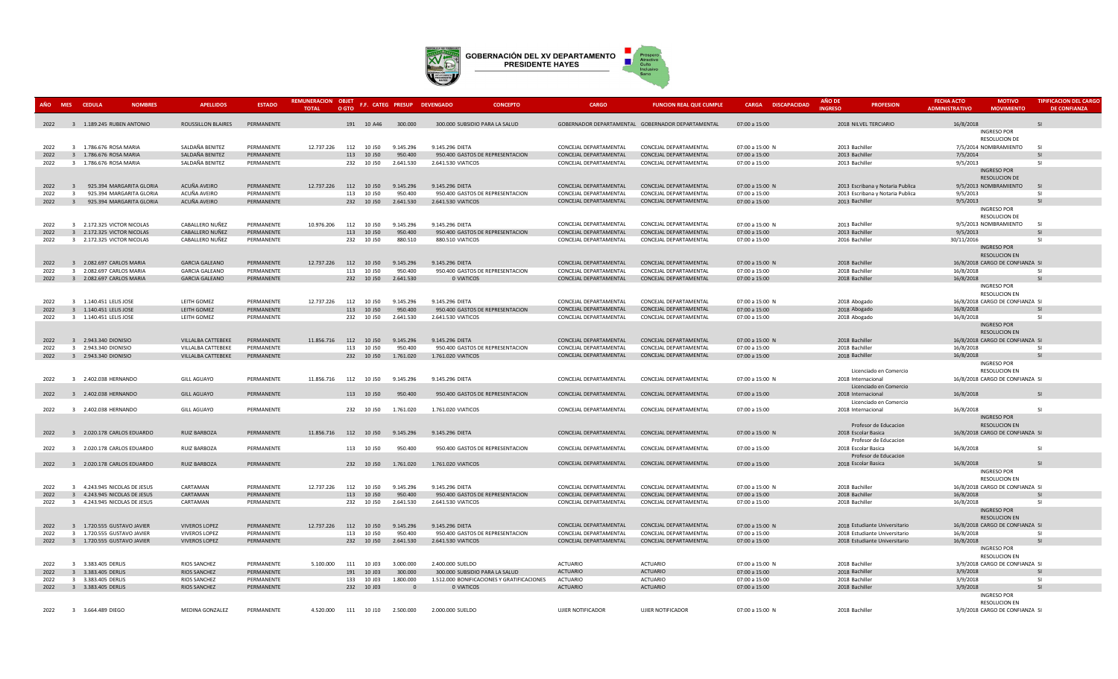

| AÑO MES CEDULA |                | <b>NOMBRES</b>                                           | <b>APELLIDOS</b>                             | <b>ESTADO</b>            | REMUNERACION OBJET<br><b>TOTAL</b>  | O GTO |                          | F.F. CATEG PRESUP DEVENGADO |                    | <b>CONCEPTO</b>                            | CARGO                                            | <b>FUNCION REAL QUE CUMPLE</b>                    | <b>CARGA DISCAPACIDAD</b>        | <b>AÑO DE</b><br><b>INGRESC</b> | <b>PROFESION</b>                                               | <b>FECHA ACTO</b><br><b>ADMINISTRATIVO</b> | <b>MOTIVO</b><br><b>MOVIMIENTO</b>         | <b>TIPIFICACION DEL CARGO</b><br><b>DE CONFIANZA</b> |
|----------------|----------------|----------------------------------------------------------|----------------------------------------------|--------------------------|-------------------------------------|-------|--------------------------|-----------------------------|--------------------|--------------------------------------------|--------------------------------------------------|---------------------------------------------------|----------------------------------|---------------------------------|----------------------------------------------------------------|--------------------------------------------|--------------------------------------------|------------------------------------------------------|
|                |                | 2022 3 1.189.245 RUBEN ANTONIO                           | ROUSSILLON BLAIRES                           | PERMANENTE               |                                     |       | 191 10 A46               | 300,000                     |                    | 300,000 SUBSIDIO PARA LA SALUD             |                                                  | GOBERNADOR DEPARTAMENTAL GOBERNADOR DEPARTAMENTAL | 07:00 a 15:00                    |                                 | 2018 NILVEL TERCIARIO                                          | 16/8/2018                                  |                                            | $\overline{\mathbf{S}}$                              |
|                |                |                                                          |                                              |                          |                                     |       |                          |                             |                    |                                            |                                                  |                                                   |                                  |                                 |                                                                |                                            | <b>INGRESO POR</b><br><b>RESOLUCION DE</b> |                                                      |
| 2022           |                | 3 1.786.676 ROSA MARIA                                   | SALDAÑA BENITEZ                              | PERMANENTE               | 12.737.226                          |       | 112 10 J50               | 9.145.296                   | 9.145.296 DIETA    |                                            | CONCEJAL DEPARTAMENTAL                           | CONCEJAL DEPARTAMENTAL                            | 07:00 a 15:00 N                  |                                 | 2013 Bachiller                                                 |                                            | 7/5/2014 NOMBRAMIENTO                      | - 51                                                 |
| 2022           |                | 3 1.786.676 ROSA MARIA                                   | SALDAÑA BENITEZ                              | PERMANENTE               |                                     |       | 113 10 J50               | 950,400                     |                    | 950.400 GASTOS DE REPRESENTACION           | CONCEJAL DEPARTAMENTAL                           | CONCEJAL DEPARTAMENTAL                            | 07:00 a 15:00                    |                                 | 2013 Bachiller                                                 | 7/5/2014                                   |                                            | <b>SI</b>                                            |
| 2022           |                | 3 1.786.676 ROSA MARIA                                   | SALDAÑA BENITEZ                              | PERMANENTE               |                                     |       | 232 10 J50               | 2.641.530                   | 2.641.530 VIATICOS |                                            | CONCEJAL DEPARTAMENTAL                           | CONCEJAL DEPARTAMENTAL                            | 07:00 a 15:00                    |                                 | 2013 Bachiller                                                 | 9/5/2013                                   |                                            | SI.                                                  |
|                |                |                                                          |                                              |                          |                                     |       |                          |                             |                    |                                            |                                                  |                                                   |                                  |                                 |                                                                |                                            | <b>INGRESO POR</b>                         |                                                      |
|                |                |                                                          |                                              |                          |                                     |       |                          |                             |                    |                                            |                                                  |                                                   |                                  |                                 |                                                                |                                            | <b>RESOLUCION DE</b>                       |                                                      |
| 2022           | $\overline{3}$ | 925.394 MARGARITA GLORIA                                 | ACUÑA AVEIRO                                 | PERMANENTE               | 12.737.226 112 10 J50               |       |                          | 9.145.296                   | 9.145.296 DIETA    |                                            | CONCEJAL DEPARTAMENTAL                           | CONCEJAL DEPARTAMENTAL                            | 07:00 a 15:00 N                  |                                 | 2013 Escribana y Notaria Publica                               |                                            | 9/5/2013 NOMBRAMIENTO                      | SI                                                   |
| 2022           | $\overline{3}$ | 925.394 MARGARITA GLORIA                                 | ACUÑA AVEIRO                                 | PERMANENTE               |                                     |       | 113 10 J50               | 950.400                     |                    | 950.400 GASTOS DE REPRESENTACION           | CONCEJAL DEPARTAMENTAL                           | CONCEJAL DEPARTAMENTAL                            | 07:00 a 15:00                    |                                 | 2013 Escribana y Notaria Publica                               | 9/5/2013                                   |                                            | <b>SI</b>                                            |
| 2022           | $\overline{3}$ | 925.394 MARGARITA GLORIA                                 | ACUÑA AVEIRO                                 | PERMANENTE               |                                     |       | 232 10 J50               | 2.641.530                   | 2.641.530 VIATICOS |                                            | CONCEJAL DEPARTAMENTAL                           | CONCEJAL DEPARTAMENTAL                            | 07:00 a 15:00                    |                                 | 2013 Bachiller                                                 | 9/5/2013                                   |                                            | SI                                                   |
|                |                |                                                          |                                              |                          |                                     |       |                          |                             |                    |                                            |                                                  |                                                   |                                  |                                 |                                                                |                                            | <b>INGRESO POR</b>                         |                                                      |
|                |                |                                                          | CABALLERO NUÑEZ                              |                          |                                     |       |                          |                             |                    |                                            |                                                  |                                                   |                                  |                                 |                                                                |                                            | <b>RESOLUCION DE</b>                       | SI                                                   |
| 2022<br>2022   |                | 3 2.172.325 VICTOR NICOLAS<br>3 2.172.325 VICTOR NICOLAS | CABALLERO NUÑEZ                              | PERMANENTE<br>PERMANENTE | 10.976.206                          |       | 112 10 J50<br>113 10 J50 | 9.145.296<br>950.400        | 9.145.296 DIETA    | 950.400 GASTOS DE REPRESENTACION           | CONCEJAL DEPARTAMENTAL<br>CONCEJAL DEPARTAMENTAL | CONCEJAL DEPARTAMENTAL<br>CONCEJAL DEPARTAMENTAL  | 07:00 a 15:00 N<br>07:00 a 15:00 |                                 | 2013 Bachiller<br>2013 Bachiller                               | 9/5/2013                                   | 9/5/2013 NOMBRAMIENTO                      | SI                                                   |
| 2022           |                | 3 2.172.325 VICTOR NICOLAS                               | CABALLERO NUÑEZ                              | PERMANENTE               |                                     |       | 232 10 J50               | 880.510                     | 880.510 VIATICOS   |                                            | CONCEJAL DEPARTAMENTAL                           | CONCEJAL DEPARTAMENTAL                            | 07:00 a 15:00                    |                                 | 2016 Bachiller                                                 | 30/11/2016                                 |                                            | SI.                                                  |
|                |                |                                                          |                                              |                          |                                     |       |                          |                             |                    |                                            |                                                  |                                                   |                                  |                                 |                                                                |                                            | <b>INGRESO POR</b>                         |                                                      |
|                |                |                                                          |                                              |                          |                                     |       |                          |                             |                    |                                            |                                                  |                                                   |                                  |                                 |                                                                |                                            | <b>RESOLUCION EN</b>                       |                                                      |
| 2022           |                | 3 2.082.697 CARLOS MARIA                                 | <b>GARCIA GALEANO</b>                        | PERMANENTE               | 12.737.226 112 10 J50               |       |                          | 9.145.296                   | 9.145.296 DIETA    |                                            | CONCEJAL DEPARTAMENTAL                           | CONCEJAL DEPARTAMENTAL                            | 07:00 a 15:00 N                  |                                 | 2018 Bachiller                                                 |                                            | 16/8/2018 CARGO DE CONFIANZA SI            |                                                      |
| 2022           |                | 3 2.082.697 CARLOS MARIA                                 | <b>GARCIA GALEANO</b>                        | PERMANENTE               |                                     | 113   | 10 J50                   | 950.400                     |                    | 950.400 GASTOS DE REPRESENTACION           | CONCEJAL DEPARTAMENTAL                           | CONCEJAL DEPARTAMENTAL                            | 07:00 a 15:00                    |                                 | 2018 Bachiller                                                 | 16/8/2018                                  |                                            | -SI                                                  |
| 2022           |                | 3 2.082.697 CARLOS MARIA                                 | <b>GARCIA GALEANO</b>                        | PERMANENTE               |                                     |       | 232 10 J50               | 2.641.530                   | 0 VIATICOS         |                                            | CONCEJAL DEPARTAMENTAL                           | CONCEJAL DEPARTAMENTAL                            | 07:00 a 15:00                    |                                 | 2018 Bachiller                                                 | 16/8/2018                                  |                                            | SI                                                   |
|                |                |                                                          |                                              |                          |                                     |       |                          |                             |                    |                                            |                                                  |                                                   |                                  |                                 |                                                                |                                            | INGRESO POR                                |                                                      |
|                |                |                                                          |                                              |                          |                                     |       |                          |                             |                    |                                            |                                                  |                                                   |                                  |                                 |                                                                |                                            | <b>RESOLUCION EN</b>                       |                                                      |
| 2022           |                | 3 1.140.451 LELIS JOSE                                   | LEITH GOMEZ                                  | PERMANENTE               | 12.737.226                          |       | 112 10 J50               | 9.145.296                   | 9.145.296 DIETA    |                                            | CONCEIAL DEPARTAMENTAL                           | CONCEJAL DEPARTAMENTAL                            | 07:00 a 15:00 N                  |                                 | 2018 Abogado                                                   |                                            | 16/8/2018 CARGO DE CONFIANZA SI            |                                                      |
| 2022           |                | 3 1.140.451 LELIS JOSE                                   | LEITH GOMEZ                                  | PERMANENTE               |                                     |       | 113 10 J50               | 950.400                     |                    | 950.400 GASTOS DE REPRESENTACION           | CONCEJAL DEPARTAMENTAL                           | CONCEJAL DEPARTAMENTAL                            | 07:00 a 15:00                    |                                 | 2018 Abogado                                                   | 16/8/2018                                  |                                            | <b>SI</b>                                            |
| 2022           |                | 3 1.140.451 LELIS JOSE                                   | LEITH GOMEZ                                  | PERMANENTE               |                                     |       | 232 10 J50               | 2.641.530                   | 2.641.530 VIATICOS |                                            | CONCEJAL DEPARTAMENTAL                           | CONCEJAL DEPARTAMENTAL                            | 07:00 a 15:00                    |                                 | 2018 Abogado                                                   | 16/8/2018                                  |                                            | -SI                                                  |
|                |                |                                                          |                                              |                          |                                     |       |                          |                             |                    |                                            |                                                  |                                                   |                                  |                                 |                                                                |                                            | <b>INGRESO POR</b><br><b>RESOLUCION EN</b> |                                                      |
| 2022           |                | 3 2.943.340 DIONISIO                                     | VILLALBA CATTEBEKE                           | PERMANENTE               | 11.856.716                          |       | 112 10 J50               | 9.145.296                   | 9.145.296 DIETA    |                                            | CONCEJAL DEPARTAMENTAL                           | CONCEJAL DEPARTAMENTAL                            | 07:00 a 15:00 N                  |                                 | 2018 Bachiller                                                 |                                            | 16/8/2018 CARGO DE CONFIANZA SI            |                                                      |
| 2022           |                | 3 2.943.340 DIONISIO                                     | VILLALBA CATTEBEKE                           | PERMANENTE               |                                     |       | 113 10 J50               | 950.400                     |                    | 950.400 GASTOS DE REPRESENTACION           | CONCEJAL DEPARTAMENTAL                           | CONCEJAL DEPARTAMENTAL                            | 07:00 a 15:00                    |                                 | 2018 Bachiller                                                 | 16/8/2018                                  |                                            | -SI                                                  |
| 2022           |                | 3 2.943.340 DIONISIO                                     | VILLALBA CATTEBEKE                           | PERMANENTE               |                                     |       | 232 10 J50               | 1.761.020                   | 1.761.020 VIATICOS |                                            | CONCEJAL DEPARTAMENTAL                           | CONCEJAL DEPARTAMENTAL                            | 07:00 a 15:00                    |                                 | 2018 Bachiller                                                 | 16/8/2018                                  |                                            | SI                                                   |
|                |                |                                                          |                                              |                          |                                     |       |                          |                             |                    |                                            |                                                  |                                                   |                                  |                                 |                                                                |                                            | <b>INGRESO POR</b>                         |                                                      |
|                |                |                                                          |                                              |                          |                                     |       |                          |                             |                    |                                            |                                                  |                                                   |                                  |                                 | Licenciado en Comercio                                         |                                            | <b>RESOLUCION EN</b>                       |                                                      |
| 2022           |                | 3 2.402.038 HERNANDO                                     | <b>GILL AGUAYO</b>                           | PERMANENTE               | 11.856.716                          |       | 112 10 J50               | 9.145.296                   | 9.145.296 DIETA    |                                            | CONCEJAL DEPARTAMENTAL                           | CONCEJAL DEPARTAMENTAL                            | 07:00 a 15:00 N                  |                                 | 2018 Internacional                                             |                                            | 16/8/2018 CARGO DE CONFIANZA SI            |                                                      |
|                |                |                                                          |                                              |                          |                                     |       |                          |                             |                    |                                            |                                                  |                                                   |                                  |                                 | Licenciado en Comercio                                         |                                            |                                            |                                                      |
| 2022           |                | 3 2402 038 HERNANDO                                      | GILL AGUAYO                                  | PERMANENTE               |                                     |       | 113 10 J50               | 950,400                     |                    | 950.400 GASTOS DE REPRESENTACION           | CONCEIAL DEPARTAMENTAL                           | CONCEIAL DEPARTAMENTAL                            | 07:00 a 15:00                    |                                 | 2018 Internacional                                             | 16/8/2018                                  |                                            | <b>SI</b>                                            |
|                |                |                                                          |                                              |                          |                                     |       |                          |                             |                    |                                            |                                                  |                                                   |                                  |                                 | Licenciado en Comercio                                         |                                            |                                            |                                                      |
| 2022           |                | 3 2.402.038 HERNANDO                                     | <b>GILL AGUAYO</b>                           | PERMANENTE               |                                     |       | 232 10 J50               | 1.761.020                   | 1.761.020 VIATICOS |                                            | CONCEJAL DEPARTAMENTAL                           | CONCEJAL DEPARTAMENTAL                            | 07:00 a 15:00                    |                                 | 2018 Internacional                                             | 16/8/2018                                  |                                            | -SI                                                  |
|                |                |                                                          |                                              |                          |                                     |       |                          |                             |                    |                                            |                                                  |                                                   |                                  |                                 |                                                                |                                            | <b>INGRESO POR</b>                         |                                                      |
|                |                |                                                          |                                              |                          |                                     |       |                          |                             |                    |                                            |                                                  |                                                   |                                  |                                 | Profesor de Educacion                                          |                                            | <b>RESOLUCION EN</b>                       |                                                      |
| 2022           |                | 3 2.020.178 CARLOS EDUARDO                               | <b>RUIZ BARBOZA</b>                          | PERMANENTE               | 11.856.716  112  10  150  9.145.296 |       |                          |                             | 9.145.296 DIETA    |                                            | CONCEIAL DEPARTAMENTAL                           | CONCEJAL DEPARTAMENTAL                            | 07:00 a 15:00 N                  |                                 | 2018 Escolar Basica<br>Profesor de Educacion                   |                                            | 16/8/2018 CARGO DE CONFIANZA SI            |                                                      |
| 2022           |                | 3 2.020.178 CARLOS EDUARDO                               | <b>RUIZ BARBOZA</b>                          | PERMANENTE               |                                     |       | 113 10 J50               | 950.400                     |                    | 950,400 GASTOS DE REPRESENTACION           | CONCEJAL DEPARTAMENTAL                           | CONCEJAL DEPARTAMENTAL                            | 07:00 a 15:00                    |                                 | 2018 Escolar Basica                                            | 16/8/2018                                  |                                            | <b>SI</b>                                            |
|                |                |                                                          |                                              |                          |                                     |       |                          |                             |                    |                                            |                                                  |                                                   |                                  |                                 | Profesor de Educacion                                          |                                            |                                            |                                                      |
| 2022           |                | 3 2.020.178 CARLOS EDUARDO                               | <b>RUIZ BARBOZA</b>                          | PERMANENTE               |                                     |       | 232 10 J50               | 1.761.020                   | 1.761.020 VIATICOS |                                            | CONCEJAL DEPARTAMENTAL                           | CONCEJAL DEPARTAMENTAL                            | 07:00 a 15:00                    |                                 | 2018 Escolar Basica                                            | 16/8/2018                                  |                                            | <b>SI</b>                                            |
|                |                |                                                          |                                              |                          |                                     |       |                          |                             |                    |                                            |                                                  |                                                   |                                  |                                 |                                                                |                                            | INGRESO POR                                |                                                      |
|                |                |                                                          |                                              |                          |                                     |       |                          |                             |                    |                                            |                                                  |                                                   |                                  |                                 |                                                                |                                            | <b>RESOLUCION EN</b>                       |                                                      |
| 2022           |                | 3 4.243.945 NICOLAS DE JESUS                             | CARTAMAN                                     | PERMANENTE               | 12.737.226                          | 112   | 10 J50                   | 9.145.296                   | 9.145.296 DIETA    |                                            | CONCEJAL DEPARTAMENTAL                           | CONCEJAL DEPARTAMENTAL                            | 07:00 a 15:00 N                  |                                 | 2018 Bachiller                                                 |                                            | 16/8/2018 CARGO DE CONFIANZA SI            |                                                      |
| 2022           |                | 3 4.243.945 NICOLAS DE JESUS                             | CARTAMAN                                     | PERMANENTE               |                                     |       | 113 10 J50               | 950.400                     |                    | 950.400 GASTOS DE REPRESENTACION           | CONCEJAL DEPARTAMENTAL                           | CONCEJAL DEPARTAMENTAL                            | 07:00 a 15:00                    |                                 | 2018 Bachiller                                                 | 16/8/2018                                  |                                            | $\varsigma$                                          |
| 2022           |                | 3 4.243.945 NICOLAS DE JESUS                             | CARTAMAN                                     | PERMANENTE               |                                     |       | 232 10 J50               | 2.641.530                   | 2.641.530 VIATICOS |                                            | CONCEJAL DEPARTAMENTAL                           | CONCEJAL DEPARTAMENTAL                            | 07:00 a 15:00                    |                                 | 2018 Bachiller                                                 | 16/8/2018                                  |                                            | SI                                                   |
|                |                |                                                          |                                              |                          |                                     |       |                          |                             |                    |                                            |                                                  |                                                   |                                  |                                 |                                                                |                                            | <b>INGRESO POR</b>                         |                                                      |
|                |                |                                                          |                                              |                          |                                     |       |                          |                             |                    |                                            |                                                  |                                                   |                                  |                                 |                                                                |                                            | <b>RESOLUCION EN</b>                       |                                                      |
| 2022           |                | 3 1.720.555 GUSTAVO JAVIER                               | <b>VIVEROS LOPEZ</b>                         | PERMANENTE               | 12.737.226 112 10 J50               |       |                          | 9.145.296                   | 9.145.296 DIETA    |                                            | CONCEJAL DEPARTAMENTAL                           | CONCEJAL DEPARTAMENTAL                            | 07:00 a 15:00 N                  |                                 | 2018 Estudiante Universitario                                  |                                            | 16/8/2018 CARGO DE CONFIANZA SI            |                                                      |
| 2022<br>2022   |                | 3 1.720.555 GUSTAVO JAVIER<br>3 1.720.555 GUSTAVO JAVIER | <b>VIVEROS LOPEZ</b><br><b>VIVEROS LOPEZ</b> | PERMANENTE<br>PERMANENTE |                                     |       | 113 10 J50<br>232 10 J50 | 950.400<br>2.641.530        | 2.641.530 VIATICOS | 950.400 GASTOS DE REPRESENTACION           | CONCEJAL DEPARTAMENTAL<br>CONCEJAL DEPARTAMENTAL | CONCEJAL DEPARTAMENTAL<br>CONCEJAL DEPARTAMENTAL  | 07:00 a 15:00<br>07:00 a 15:00   |                                 | 2018 Estudiante Universitario<br>2018 Estudiante Universitario | 16/8/2018<br>16/8/2018                     |                                            | -SI<br><b>SI</b>                                     |
|                |                |                                                          |                                              |                          |                                     |       |                          |                             |                    |                                            |                                                  |                                                   |                                  |                                 |                                                                |                                            | <b>INGRESO POR</b>                         |                                                      |
|                |                |                                                          |                                              |                          |                                     |       |                          |                             |                    |                                            |                                                  |                                                   |                                  |                                 |                                                                |                                            | <b>RESOLUCION EN</b>                       |                                                      |
| 2022           |                | 3 3.383.405 DERLIS                                       | <b>RIOS SANCHEZ</b>                          | PERMANENTE               | 5.100.000                           |       | 111 10 J03               | 3.000.000                   | 2.400.000 SUELDO   |                                            | <b>ACTUARIO</b>                                  | <b>ACTUARIO</b>                                   | 07:00 a 15:00 N                  |                                 | 2018 Bachiller                                                 |                                            | 3/9/2018 CARGO DE CONFIANZA SI             |                                                      |
| 2022           |                | 3 3.383.405 DERLIS                                       | <b>RIOS SANCHEZ</b>                          | PERMANENTE               |                                     |       | 191 10 J03               | 300.000                     |                    | 300.000 SUBSIDIO PARA LA SALUD             | <b>ACTUARIO</b>                                  | <b>ACTUARIO</b>                                   | 07:00 a 15:00                    |                                 | 2018 Bachiller                                                 | 3/9/2018                                   |                                            | $\mathsf{S}$                                         |
| 2022           |                | 3 3.383.405 DERLIS                                       | <b>RIOS SANCHEZ</b>                          | PERMANENTE               |                                     |       | 133 10 J03               | 1.800.000                   |                    | 1.512.000 BONIFICACIONES Y GRATIFICACIONES | ACTUARIO                                         | <b>ACTUARIO</b>                                   | 07:00 a 15:00                    |                                 | 2018 Bachiller                                                 | 3/9/2018                                   |                                            | <b>SI</b>                                            |
| 2022           |                | 3 3.383.405 DERLIS                                       | RIOS SANCHEZ                                 | PERMANENTE               |                                     |       | 232 10 J03               | $\overline{0}$              | 0 VIATICOS         |                                            | <b>ACTUARIO</b>                                  | <b>ACTUARIO</b>                                   | 07:00 a 15:00                    |                                 | 2018 Bachiller                                                 | 3/9/2018                                   |                                            | SI                                                   |
|                |                |                                                          |                                              |                          |                                     |       |                          |                             |                    |                                            |                                                  |                                                   |                                  |                                 |                                                                |                                            | <b>INGRESO POR</b>                         |                                                      |
|                |                |                                                          |                                              |                          |                                     |       |                          |                             |                    |                                            |                                                  |                                                   |                                  |                                 |                                                                |                                            | <b>RESOLUCION EN</b>                       |                                                      |
| 2022           |                | 3 3.664.489 DIEGO                                        | MEDINA GONZALEZ                              | PERMANENTE               | 4.520.000 111 10 J10                |       |                          | 2.500.000                   | 2.000.000 SUELDO   |                                            | UJIER NOTIFICADOR                                | UJIER NOTIFICADOR                                 | 07:00 a 15:00 N                  |                                 | 2018 Bachiller                                                 |                                            | 3/9/2018 CARGO DE CONFIANZA SI             |                                                      |
|                |                |                                                          |                                              |                          |                                     |       |                          |                             |                    |                                            |                                                  |                                                   |                                  |                                 |                                                                |                                            |                                            |                                                      |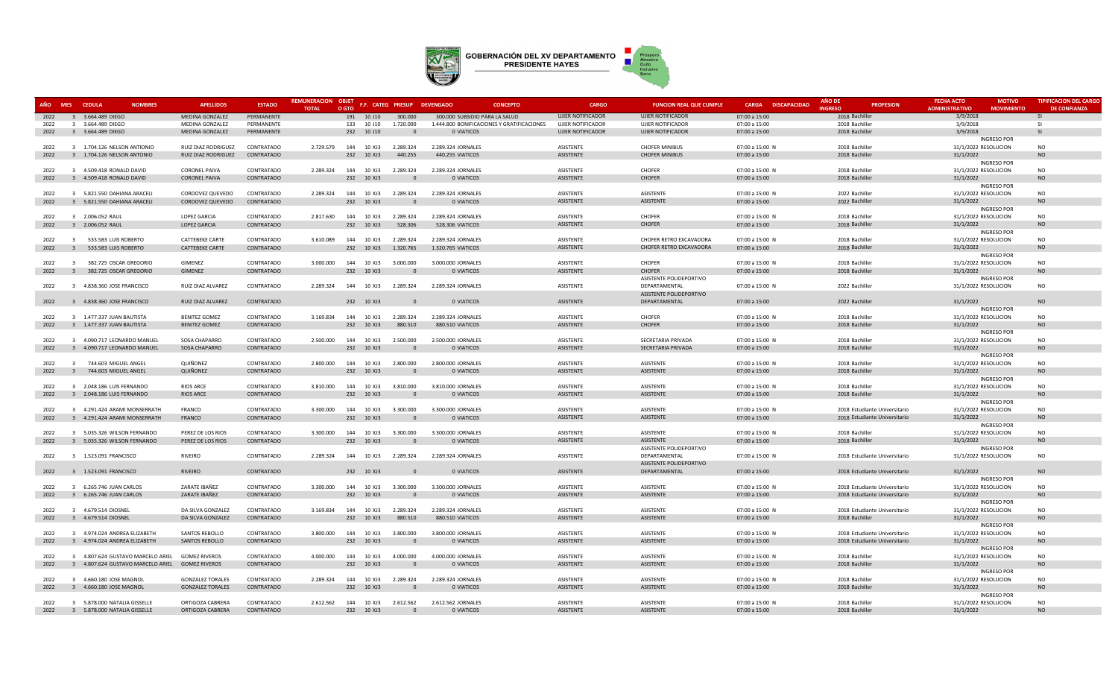

| AÑO MES CEDULA | <b>NOMBRES</b>                                  | <b>APELLIDOS</b>        | <b>ESTADO</b>            | REMUNERACION OBJET<br><b>TOTAL</b> | O GTO                    |                        |                       | F.F. CATEG PRESUP DEVENGADO<br><b>CONCEPTO</b> | CARGO                    | <b>FUNCION REAL QUE CUMPLE</b> | CARGA DISCAPACIDAD | <b>AÑO DE</b><br><b>INGRESO</b> | <b>PROFESION</b>              | <b>FECHA ACTO</b><br><b>ADMINISTRATIVO</b> | <b>MOTIVO</b><br><b>MOVIMIENTO</b> | <b>TIPIFICACION DEL CARGO</b><br><b>DE CONFIANZA</b> |
|----------------|-------------------------------------------------|-------------------------|--------------------------|------------------------------------|--------------------------|------------------------|-----------------------|------------------------------------------------|--------------------------|--------------------------------|--------------------|---------------------------------|-------------------------------|--------------------------------------------|------------------------------------|------------------------------------------------------|
| 2022           | 3 3.664.489 DIEGO                               | MEDINA GONZALEZ         | PERMANENTE               |                                    | 191                      | 10 J10                 | 300.000               | 300.000 SUBSIDIO PARA LA SALUD                 | <b>UJIER NOTIFICADOR</b> | UJIER NOTIFICADOR              | 07:00 a 15:00      | 2018 Bachiller                  |                               | 3/9/2018                                   |                                    | <b>SI</b>                                            |
| 2022           | 3 3.664.489 DIEGO                               | MEDINA GONZALEZ         | PERMANENTE               |                                    | 133 10 J10               |                        | 1.720.000             | 1.444.800 BONIFICACIONES Y GRATIFICACIONES     | <b>UJIER NOTIFICADOR</b> | UJIER NOTIFICADOR              | 07:00 a 15:00      | 2018 Bachiller                  |                               | 3/9/2018                                   |                                    | SI.                                                  |
| 2022           | 3 3.664.489 DIEGO                               | MEDINA GONZALEZ         | PERMANENTE               |                                    | 232 10 J10               |                        | $\Omega$              | 0 VIATICOS                                     | <b>UJIER NOTIFICADOR</b> | <b>UJIER NOTIFICADOR</b>       | 07:00 a 15:00      | 2018 Bachiller                  |                               | 3/9/2018                                   |                                    | <b>SI</b>                                            |
|                |                                                 |                         |                          |                                    |                          |                        |                       |                                                |                          |                                |                    |                                 |                               |                                            | <b>INGRESO POR</b>                 |                                                      |
| 2022           | 3 1.704.126 NELSON ANTIONIO                     | RUIZ DIAZ RODRIGUEZ     | CONTRATADO               | 2.729.579                          |                          | 144  10 XJ3  2.289.324 |                       | 2.289.324 JORNALES                             | ASISTENTE                | <b>CHOFER MINIBUS</b>          | 07:00 a 15:00 N    | 2018 Bachiller                  |                               | 31/1/2022 RESOLUCION                       |                                    | <b>NO</b>                                            |
| 2022           | 3 1.704.126 NELSON ANTONIO                      | RUIZ DIAZ RODRIGUEZ     | CONTRATADO               |                                    | 232 10 XJ3               |                        | 440.255               | 440.255 VIATICOS                               | ASISTENTE                | <b>CHOFER MINIBUS</b>          | 07:00 a 15:00      | 2018 Bachiller                  |                               | 31/1/2022                                  |                                    | <b>NO</b>                                            |
|                |                                                 |                         |                          |                                    |                          |                        |                       |                                                |                          |                                |                    |                                 |                               |                                            | <b>INGRESO POR</b>                 |                                                      |
| 2022           | 3 4.509.418 RONALD DAVID                        | <b>CORONEL PAIVA</b>    | CONTRATADO               | 2.289.324                          | 144 10 XJ3               |                        | 2.289.324             | 2.289.324 JORNALES                             | ASISTENTE                | CHOFER                         | 07:00 a 15:00 N    | 2018 Bachiller                  |                               | 31/1/2022 RESOLUCION                       |                                    | <b>NO</b>                                            |
| 2022           | 3 4.509.418 RONALD DAVID                        | <b>CORONEL PAIVA</b>    | CONTRATADO               |                                    | 232 10 XJ3               |                        | $\mathbf{0}$          | 0 VIATICOS                                     | ASISTENTE                | <b>CHOFER</b>                  | 07:00 a 15:00      | 2018 Bachiller                  |                               | 31/1/2022                                  |                                    | <b>NO</b>                                            |
|                |                                                 |                         |                          |                                    |                          |                        |                       |                                                | ASISTENTE                | <b>ASISTENTE</b>               |                    |                                 |                               |                                            | <b>INGRESO POR</b>                 | <b>NO</b>                                            |
| 2022           | 3 5.821.550 DAHIANA ARACELI                     | CORDOVEZ QUEVEDO        | CONTRATADO<br>CONTRATADO | 2.289.324                          | 144 10 XJ3<br>232 10 XJ3 |                        | 2.289.324<br>$\Omega$ | 2.289.324 JORNALES                             | ASISTENTE                |                                | 07:00 a 15:00 N    | 2022 Bachiller                  |                               | 31/1/2022 RESOLUCION                       |                                    | <b>NO</b>                                            |
| 2022           | 3 5.821.550 DAHIANA ARACELI                     | CORDOVEZ QUEVEDO        |                          |                                    |                          |                        |                       | 0 VIATICOS                                     |                          | <b>ASISTENTE</b>               | 07:00 a 15:00      | 2022 Bachiller                  |                               | 31/1/2022                                  | <b>INGRESO POR</b>                 |                                                      |
| 2022           | 3 2.006.052 RAUL                                | <b>LOPEZ GARCIA</b>     | CONTRATADO               | 2.817.630                          |                          | 144  10 XJ3  2.289.324 |                       | 2.289.324 JORNALES                             | ASISTENTE                | CHOFER                         | 07:00 a 15:00 N    | 2018 Bachiller                  |                               | 31/1/2022 RESOLUCION                       |                                    | <b>NO</b>                                            |
| 2022           | 3 2.006.052 RAUL                                | LOPEZ GARCIA            | CONTRATADO               |                                    | 232 10 XJ3               |                        | 528,306               | 528,306 VIATICOS                               | ASISTENTE                | <b>CHOFER</b>                  | 07:00 a 15:00      | 2018 Bachiller                  |                               | 31/1/2022                                  |                                    | <b>NO</b>                                            |
|                |                                                 |                         |                          |                                    |                          |                        |                       |                                                |                          |                                |                    |                                 |                               |                                            | <b>INGRESO POR</b>                 |                                                      |
| 2022           | 3 533.583 LUIS ROBERTO                          | <b>CATTEBEKE CARTE</b>  | CONTRATADO               | 3.610.089                          | 144 10 XJ3               |                        | 2.289.324             | 2.289.324 JORNALES                             | ASISTENTE                | CHOFER RETRO EXCAVADORA        | 07:00 a 15:00 N    | 2018 Bachiller                  |                               | 31/1/2022 RESOLUCION                       |                                    | <b>NO</b>                                            |
| 2022           | $\overline{\mathbf{3}}$<br>533.583 LUIS ROBERTO | CATTEBEKE CARTE         | CONTRATADO               |                                    | 232 10 XJ3               |                        | 1.320.765             | 1.320.765 VIATICOS                             | ASISTENTE                | CHOFER RETRO EXCAVADORA        | 07:00 a 15:00      | 2018 Bachiller                  |                               | 31/1/2022                                  |                                    | <b>NO</b>                                            |
|                |                                                 |                         |                          |                                    |                          |                        |                       |                                                |                          |                                |                    |                                 |                               |                                            | <b>INGRESO POR</b>                 |                                                      |
| 2022           | 382.725 OSCAR GREGORIO<br>$\mathbf{R}$          | GIMENEZ                 | CONTRATADO               | 3.000.000                          | 144 10 XJ3               |                        | 3.000.000             | 3.000.000 JORNALES                             | ASISTENTE                | CHOFER                         | 07:00 a 15:00 N    | 2018 Bachiller                  |                               | 31/1/2022 RESOLUCION                       |                                    | <b>NO</b>                                            |
| 2022           | $3^{\circ}$<br>382.725 OSCAR GREGORIO           | GIMENEZ                 | CONTRATADO               |                                    | 232 10 XJ3               |                        | $\mathbf{0}$          | 0 VIATICOS                                     | ASISTENTE                | <b>CHOFER</b>                  | 07:00 a 15:00      | 2018 Bachiller                  |                               | 31/1/2022                                  |                                    | <b>NO</b>                                            |
|                |                                                 |                         |                          |                                    |                          |                        |                       |                                                |                          | ASISTENTE POLIDEPORTIVO        |                    |                                 |                               |                                            | <b>INGRESO POR</b>                 |                                                      |
| 2022           | 3 4.838.360 JOSE FRANCISCO                      | RUIZ DIAZ ALVAREZ       | CONTRATADO               | 2.289.324                          |                          | 144 10 XJ3 2.289.324   |                       | 2.289.324 JORNALES                             | ASISTENTE                | DEPARTAMENTAL                  | 07:00 a 15:00 N    | 2022 Bachiller                  |                               | 31/1/2022 RESOLUCION                       |                                    | <b>NO</b>                                            |
|                |                                                 |                         |                          |                                    |                          |                        |                       |                                                |                          | ASISTENTE POLIDEPORTIVO        |                    |                                 |                               |                                            |                                    |                                                      |
| 2022           | 3 4.838.360 JOSE FRANCISCO                      | RUIZ DIAZ ALVAREZ       | CONTRATADO               |                                    | 232 10 XJ3               |                        | $\Omega$              | 0 VIATICOS                                     | ASISTENTE                | DEPARTAMENTAL                  | 07:00 a 15:00      | 2022 Bachiller                  |                               | 31/1/2022                                  |                                    | <b>NO</b>                                            |
|                |                                                 |                         |                          |                                    |                          |                        |                       |                                                |                          |                                |                    |                                 |                               |                                            | <b>INGRESO POR</b>                 |                                                      |
| 2022           | 3 1.477.337 JUAN BAUTISTA                       | <b>BENITEZ GOMEZ</b>    | CONTRATADO               | 3.169.834                          | 144 10 XJ3               |                        | 2.289.324             | 2.289.324 JORNALES                             | ASISTENTE                | CHOFER                         | 07:00 a 15:00 N    | 2018 Bachiller                  |                               | 31/1/2022 RESOLUCION                       |                                    | NO.                                                  |
| 2022           | 3 1.477.337 JUAN BAUTISTA                       | <b>BENITEZ GOMEZ</b>    | CONTRATADO               |                                    | 232 10 XJ3               |                        | 880.510               | 880.510 VIATICOS                               | ASISTENTE                | <b>CHOFER</b>                  | 07:00 a 15:00      | 2018 Bachiller                  |                               | 31/1/2022                                  |                                    | <b>NO</b>                                            |
|                |                                                 |                         |                          |                                    |                          |                        |                       |                                                |                          |                                |                    |                                 |                               |                                            | <b>INGRESO POR</b>                 |                                                      |
| 2022           | 3 4.090.717 LEONARDO MANUEL                     | <b>SOSA CHAPARRO</b>    | CONTRATADO               | 2.500.000                          | 144 10 XJ3               |                        | 2.500.000             | 2.500.000 JORNALES                             | ASISTENTE                | SECRETARIA PRIVADA             | 07:00 a 15:00 N    | 2018 Bachiller                  |                               | 31/1/2022 RESOLUCION                       |                                    | <b>NO</b>                                            |
| 2022           | 3 4.090.717 LEONARDO MANUEL                     | SOSA CHAPARRO           | CONTRATADO               |                                    | 232 10 XJ3               |                        | $\Omega$              | 0 VIATICOS                                     | ASISTENTE                | SECRETARIA PRIVADA             | 07:00 a 15:00      | 2018 Bachiller                  |                               | 31/1/2022                                  |                                    | <b>NO</b>                                            |
|                |                                                 |                         |                          |                                    |                          |                        |                       |                                                |                          |                                |                    |                                 |                               |                                            | <b>INGRESO POR</b>                 |                                                      |
| 2022           | 3 744,603 MIGUEL ANGEL                          | QUIÑONEZ                | CONTRATADO               | 2.800.000                          |                          | 144  10 XJ3  2.800.000 |                       | 2.800.000 JORNALES                             | ASISTENTE                | <b>ASISTENTE</b>               | 07:00 a 15:00 N    | 2018 Bachiller                  |                               | 31/1/2022 RESOLUCION                       |                                    | <b>NO</b>                                            |
| 2022           | 744.603 MIGUEL ANGEL<br>$\overline{\mathbf{3}}$ | QUIÑONEZ                | CONTRATADO               |                                    | 232 10 XJ3               |                        | $\mathbf{0}$          | 0 VIATICOS                                     | ASISTENTE                | <b>ASISTENTE</b>               | 07:00 a 15:00      | 2018 Bachiller                  |                               | 31/1/2022                                  |                                    | $NO$                                                 |
|                |                                                 |                         |                          |                                    |                          |                        |                       |                                                |                          |                                |                    |                                 |                               |                                            | <b>INGRESO POR</b>                 |                                                      |
| 2022           | 3 2.048.186 LUIS FERNANDO                       | <b>RIOS ARCE</b>        | CONTRATADO               | 3.810.000                          | 144 10 XJ3               |                        | 3.810.000             | 3.810.000 JORNALES                             | ASISTENTE                | <b>ASISTENTE</b>               | 07:00 a 15:00 N    | 2018 Bachiller                  |                               | 31/1/2022 RESOLUCION                       |                                    | <b>NO</b>                                            |
| 2022           | 3 2.048.186 LUIS FERNANDO                       | <b>RIOS ARCE</b>        | CONTRATADO               |                                    | 232 10 XJ3               |                        | $\Omega$              | 0 VIATICOS                                     | ASISTENTE                | ASISTENTE                      | 07:00 a 15:00      | 2018 Bachiller                  |                               | 31/1/2022                                  |                                    | <b>NO</b>                                            |
|                |                                                 |                         |                          |                                    |                          |                        |                       |                                                |                          |                                |                    |                                 |                               |                                            | <b>INGRESO POR</b>                 |                                                      |
| 2022           | 3 4.291.424 ARAMI MONSERRATH                    | FRANCO<br>FRANCO        | CONTRATADO               | 3.300.000                          | 144 10 XJ3               |                        | 3.300.000<br>$\Omega$ | 3.300.000 JORNALES                             | <b>ASISTENTE</b>         | <b>ASISTENTE</b>               | 07:00 a 15:00 N    |                                 | 2018 Estudiante Universitario | 31/1/2022 RESOLUCION                       |                                    | <b>NO</b>                                            |
| 2022           | 3 4.291.424 ARAMI MONSERRATH                    |                         | CONTRATADO               |                                    | 232 10 XJ3               |                        |                       | 0 VIATICOS                                     | ASISTENTE                | ASISTENTE                      | 07:00 a 15:00      |                                 | 2018 Estudiante Universitario | 31/1/2022                                  |                                    | <b>NO</b>                                            |
| 2022           | 3 5.035.326 WILSON FERNANDO                     | PEREZ DE LOS RIOS       | CONTRATADO               | 3.300.000                          |                          | 144  10 XJ3  3.300.000 |                       | 3.300.000 JORNALES                             | ASISTENTE                | <b>ASISTENTE</b>               | 07:00 a 15:00 N    | 2018 Bachiller                  |                               | 31/1/2022 RESOLUCION                       | <b>INGRESO POR</b>                 | <b>NO</b>                                            |
| 2022           | 3 5.035.326 WILSON FERNANDO                     | PEREZ DE LOS RIOS       | CONTRATADO               |                                    | 232 10 XJ3               |                        | $\mathbf{0}$          | 0 VIATICOS                                     | ASISTENTE                | ASISTENTE                      | 07:00 a 15:00      | 2018 Bachiller                  |                               | 31/1/2022                                  |                                    | $NO$                                                 |
|                |                                                 |                         |                          |                                    |                          |                        |                       |                                                |                          | ASISTENTE POLIDEPORTIVO        |                    |                                 |                               |                                            | <b>INGRESO POR</b>                 |                                                      |
| 2022           | 3 1.523.091 FRANCISCO                           | RIVEIRO                 | CONTRATADO               | 2.289.324                          | 144 10 XJ3               |                        | 2.289.324             | 2.289.324 JORNALES                             | ASISTENTE                | DEPARTAMENTAL                  | 07:00 a 15:00 N    |                                 | 2018 Estudiante Universitario | 31/1/2022 RESOLUCION                       |                                    | <b>NO</b>                                            |
|                |                                                 |                         |                          |                                    |                          |                        |                       |                                                |                          | ASISTENTE POLIDEPORTIVO        |                    |                                 |                               |                                            |                                    |                                                      |
| 2022           | 3 1.523.091 FRANCISCO                           | RIVEIRO                 | CONTRATADO               |                                    | 232 10 XJ3               |                        | $\Omega$              | 0 VIATICOS                                     | ASISTENTE                | DEPARTAMENTAL                  | 07:00 a 15:00      |                                 | 2018 Estudiante Universitario | 31/1/2022                                  |                                    | <b>NO</b>                                            |
|                |                                                 |                         |                          |                                    |                          |                        |                       |                                                |                          |                                |                    |                                 |                               |                                            | <b>INGRESO POR</b>                 |                                                      |
| 2022           | 3 6.265.746 JUAN CARLOS                         | ZARATE IBAÑEZ           | CONTRATADO               | 3.300.000                          | 144 10 XJ3               |                        | 3.300.000             | 3.300.000 JORNALES                             | ASISTENTE                | <b>ASISTENTE</b>               | 07:00 a 15:00 N    |                                 | 2018 Estudiante Universitario | 31/1/2022 RESOLUCION                       |                                    | <b>NO</b>                                            |
| 2022           | 3 6.265.746 JUAN CARLOS                         | ZARATE IBAÑEZ           | CONTRATADO               |                                    | 232 10 XJ3               |                        | $\Omega$              | 0 VIATICOS                                     | ASISTENTE                | ASISTENTE                      | 07:00 a 15:00      |                                 | 2018 Estudiante Universitario | 31/1/2022                                  |                                    | <b>NO</b>                                            |
|                |                                                 |                         |                          |                                    |                          |                        |                       |                                                |                          |                                |                    |                                 |                               |                                            | <b>INGRESO POR</b>                 |                                                      |
| 2022           | 3 4.679.514 DIOSNEL                             | DA SILVA GONZALEZ       | CONTRATADO               | 3.169.834                          | 144 10 XJ3               |                        | 2.289.324             | 2.289.324 JORNALES                             | ASISTENTE                | ASISTENTE                      | 07:00 a 15:00 N    |                                 | 2018 Estudiante Universitario | 31/1/2022 RESOLUCION                       |                                    | <b>NO</b>                                            |
| 2022           | 3 4.679.514 DIOSNEL                             | DA SILVA GONZALEZ       | CONTRATADO               |                                    | 232 10 XJ3               |                        | 880.510               | 880,510 VIATICOS                               | ASISTENTE                | ASISTENTE                      | 07:00 a 15:00      | 2018 Bachiller                  |                               | 31/1/2022                                  |                                    | <b>NO</b>                                            |
|                |                                                 |                         |                          |                                    |                          |                        |                       |                                                |                          |                                |                    |                                 |                               |                                            | <b>INGRESO POR</b>                 |                                                      |
| 2022           | 3 4.974.024 ANDREA ELIZABETH                    | SANTOS REBOLLO          | CONTRATADO               | 3.800.000                          | 144 10 XJ3               |                        | 3.800.000             | 3.800.000 JORNALES                             | ASISTENTE                | <b>ASISTENTE</b>               | 07:00 a 15:00 N    |                                 | 2018 Estudiante Universitario | 31/1/2022 RESOLUCION                       |                                    | <b>NO</b>                                            |
| 2022           | 3 4.974.024 ANDREA ELIZABETH                    | SANTOS REBOLLO          | CONTRATADO               |                                    | 232 10 XJ3               |                        | $\Omega$              | 0 VIATICOS                                     | ASISTENTE                | <b>ASISTENTE</b>               | 07:00 a 15:00      |                                 | 2018 Estudiante Universitario | 31/1/2022                                  |                                    | <b>NO</b>                                            |
|                |                                                 |                         |                          |                                    |                          |                        |                       |                                                |                          |                                |                    |                                 |                               |                                            | <b>INGRESO POR</b>                 |                                                      |
| 2022           | 3 4.807.624 GUSTAVO MARCELO ARIEL               | <b>GOMEZ RIVEROS</b>    | CONTRATADO               | 4.000.000                          | 144 10 XJ3               |                        | 4.000.000             | 4.000.000 JORNALES                             | ASISTENTE                | <b>ASISTENTE</b>               | 07:00 a 15:00 N    | 2018 Bachiller                  |                               | 31/1/2022 RESOLUCION                       |                                    | <b>NO</b>                                            |
| 2022           | 3 4.807.624 GUSTAVO MARCELO ARIEL GOMEZ RIVEROS |                         | CONTRATADO               |                                    | 232 10 XJ3               |                        | $\mathbf{0}$          | 0 VIATICOS                                     | ASISTENTE                | ASISTENTE                      | 07:00 a 15:00      | 2018 Bachiller                  |                               | 31/1/2022                                  |                                    | <b>NO</b>                                            |
|                |                                                 |                         |                          |                                    |                          |                        |                       |                                                |                          |                                |                    |                                 |                               |                                            | <b>INGRESO POR</b>                 |                                                      |
| 2022           | 3 4.660.180 JOSE MAGNOL                         | <b>GONZALEZ TORALES</b> | CONTRATADO               | 2.289.324                          | 144 10 XJ3               |                        | 2.289.324             | 2.289.324 JORNALES                             | ASISTENTE                | ASISTENTE                      | 07:00 a 15:00 N    | 2018 Bachiller                  |                               | 31/1/2022 RESOLUCION                       |                                    | <b>NO</b>                                            |
| 2022           | 3 4.660.180 JOSE MAGNOL                         | <b>GONZALEZ TORALES</b> | CONTRATADO               |                                    | 232 10 XJ3               |                        | $\Omega$              | 0 VIATICOS                                     | ASISTENTE                | ASISTENTE                      | 07:00 a 15:00      | 2018 Bachiller                  |                               | 31/1/2022                                  |                                    | <b>NO</b>                                            |
|                |                                                 |                         |                          |                                    |                          |                        |                       |                                                |                          |                                |                    |                                 |                               |                                            | <b>INGRESO POR</b>                 |                                                      |
| 2022           | 3 5.878,000 NATALIA GISSELLE                    | ORTIGOZA CABRERA        | CONTRATADO               | 2.612.562                          | 144 10 XJ3               |                        | 2.612.562             | 2.612.562 JORNALES                             | <b>ASISTENTE</b>         | <b>ASISTENTE</b>               | 07:00 a 15:00 N    | 2018 Bachiller                  |                               | 31/1/2022 RESOLUCION                       |                                    | <b>NO</b>                                            |
| 2022           | 3 5.878.000 NATALIA GISSELLE                    | ORTIGOZA CABRERA        | CONTRATADO               |                                    | 232 10 XJ3               |                        | $\Omega$              | 0 VIATICOS                                     | <b>ASISTENTE</b>         | <b>ASISTENTE</b>               | 07:00 a 15:00      | 2018 Bachiller                  |                               | 31/1/2022                                  |                                    | <b>NO</b>                                            |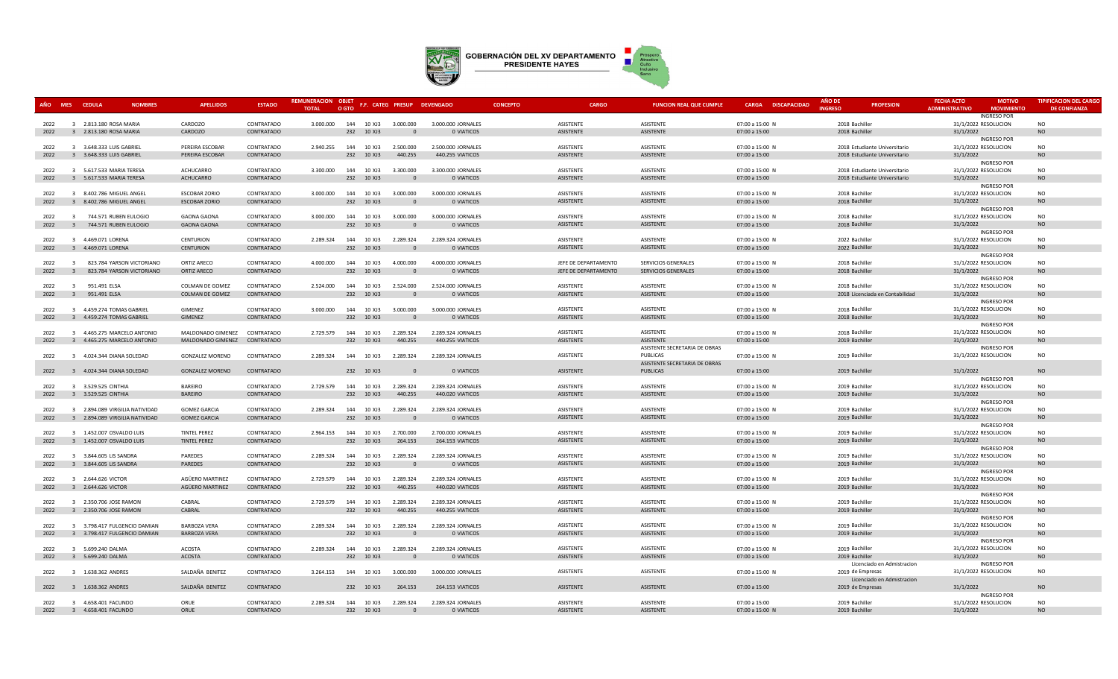

|              |                         | AÑO MES CEDULA<br><b>NOMBRES</b>                 | <b>APELLIDOS</b>                         | <b>ESTADO</b>            | <b>REMUNERACION OBJET</b><br><b>TOTAL</b> | O GTO                              | F.F. CATEG PRESUP DEVENGADO |                                  | <b>CONCEPTO</b> | CARGO                         | <b>FUNCION REAL QUE CUMPLE</b>             | <b>CARGA DISCAPACIDAD</b>        | <b>AÑO DI</b><br><b>INGRESC</b>  | <b>PROFESION</b>                | <b>FECHA ACTO</b><br><b>ADMINISTRATIVO</b> | <b>MOTIVO</b><br><b>MOVIMIENTO</b> | <b>TIPIFICACION DEL CARGO</b><br><b>DE CONFIANZA</b> |
|--------------|-------------------------|--------------------------------------------------|------------------------------------------|--------------------------|-------------------------------------------|------------------------------------|-----------------------------|----------------------------------|-----------------|-------------------------------|--------------------------------------------|----------------------------------|----------------------------------|---------------------------------|--------------------------------------------|------------------------------------|------------------------------------------------------|
|              |                         |                                                  |                                          |                          |                                           |                                    |                             |                                  |                 | <b>ASISTENTE</b>              | ASISTENTE                                  |                                  |                                  |                                 | 31/1/2022 RESOLUCION                       | <b>INGRESO POR</b>                 | <b>NO</b>                                            |
| 2022<br>2022 |                         | 3 2.813.180 ROSA MARIA<br>3 2.813.180 ROSA MARIA | CARDOZO<br>CARDOZO                       | CONTRATADO<br>CONTRATADO | 3.000.000                                 | 144 10 XJ3<br>232 10 XJ3           | 3.000.000<br>$\Omega$       | 3.000.000 JORNALES<br>0 VIATICOS |                 | <b>ASISTENTE</b>              | ASISTENTE                                  | 07:00 a 15:00 N<br>07:00 a 15:00 | 2018 Bachiller<br>2018 Bachiller |                                 | 31/1/2022                                  |                                    | N <sub>O</sub>                                       |
|              |                         |                                                  |                                          |                          |                                           |                                    |                             |                                  |                 |                               |                                            |                                  |                                  |                                 |                                            | <b>INGRESO POR</b>                 |                                                      |
| 2022         |                         | 3 3.648.333 LUIS GABRIEL                         | PEREIRA ESCOBAR                          | CONTRATADO               | 2.940.255                                 | 144 10 XJ3                         | 2.500.000                   | 2.500.000 JORNALES               |                 | ASISTENTE                     | ASISTENTE                                  | 07:00 a 15:00 N                  |                                  | 2018 Estudiante Universitario   | 31/1/2022 RESOLUCION                       |                                    | <b>NO</b>                                            |
| 2022         |                         | 3 3.648.333 LUIS GABRIEL                         | PEREIRA ESCOBAR                          | CONTRATADO               |                                           | 232 10 XJ3                         | 440.255                     | 440.255 VIATICOS                 |                 | ASISTENTE                     | ASISTENTE                                  | 07:00 a 15:00                    |                                  | 2018 Estudiante Universitario   | 31/1/2022                                  |                                    | <b>NO</b>                                            |
|              |                         |                                                  |                                          |                          |                                           |                                    |                             |                                  |                 |                               |                                            |                                  |                                  |                                 |                                            | <b>INGRESO POR</b>                 |                                                      |
| 2022         |                         | 3 5.617.533 MARIA TERESA                         | <b>ACHUCARRO</b>                         | CONTRATADO               | 3.300.000                                 | 10 XJ3<br>144                      | 3.300.000                   | 3.300.000 JORNALES               |                 | <b>ASISTENTE</b>              | ASISTENTE                                  | 07:00 a 15:00 N                  |                                  | 2018 Estudiante Universitario   | 31/1/2022 RESOLUCION                       |                                    | N <sub>O</sub>                                       |
| 2022         |                         | 3 5.617.533 MARIA TERESA                         | ACHUCARRO                                | CONTRATADO               |                                           | 232 10 XJ3                         | $\Omega$                    | 0 VIATICOS                       |                 | ASISTENTE                     | ASISTENTE                                  | 07:00 a 15:00                    |                                  | 2018 Estudiante Universitario   | 31/1/2022                                  |                                    | <b>NO</b>                                            |
|              |                         |                                                  |                                          |                          |                                           |                                    |                             |                                  |                 |                               |                                            |                                  |                                  |                                 |                                            | <b>INGRESO POR</b>                 |                                                      |
| 2022         |                         | 3 8.402.786 MIGUEL ANGEL                         | <b>ESCOBAR ZORIO</b>                     | CONTRATADO               | 3.000.000                                 | 144 10 XJ3                         | 3.000.000                   | 3.000.000 JORNALES               |                 | ASISTENTE                     | ASISTENTE                                  | 07:00 a 15:00 N                  | 2018 Bachiller                   |                                 | 31/1/2022 RESOLUCION                       |                                    | <b>NO</b>                                            |
| 2022         |                         | 3 8.402.786 MIGUEL ANGEL                         | <b>ESCOBAR ZORIO</b>                     | CONTRATADO               |                                           | 232 10 XJ3                         | $\Omega$                    | 0 VIATICOS                       |                 | ASISTENTE                     | ASISTENTE                                  | 07:00 a 15:00                    | 2018 Bachiller                   |                                 | 31/1/2022                                  |                                    | <b>NO</b>                                            |
|              |                         |                                                  |                                          |                          |                                           |                                    |                             |                                  |                 |                               |                                            |                                  |                                  |                                 |                                            | <b>INGRESO POR</b>                 |                                                      |
| 2022<br>2022 | $\overline{\mathbf{3}}$ | 3 744.571 RUBEN EULOGIO<br>744.571 RUBEN EULOGIO | <b>GAONA GAONA</b><br><b>GAONA GAONA</b> | CONTRATADO<br>CONTRATADO | 3.000.000                                 | 144 10 XJ3<br>232 10 XJ3           | 3.000.000<br>$\Omega$       | 3.000.000 JORNALES<br>0 VIATICOS |                 | <b>ASISTENTE</b><br>ASISTENTE | ASISTENTE<br>ASISTENTE                     | 07:00 a 15:00 N                  | 2018 Bachiller                   |                                 | 31/1/2022 RESOLUCION                       |                                    | N <sub>O</sub><br><b>NO</b>                          |
|              |                         |                                                  |                                          |                          |                                           |                                    |                             |                                  |                 |                               |                                            | 07:00 a 15:00                    | 2018 Bachiller                   |                                 | 31/1/2022                                  | <b>INGRESO POR</b>                 |                                                      |
| 2022         |                         | 3 4.469.071 LORENA                               | <b>CENTURION</b>                         | CONTRATADO               | 2.289.324                                 | 144<br>10 XJ3                      | 2.289.324                   | 2.289.324 JORNALES               |                 | <b>ASISTENTE</b>              | ASISTENTE                                  | 07:00 a 15:00 N                  | 2022 Bachiller                   |                                 | 31/1/2022 RESOLUCION                       |                                    | <b>NO</b>                                            |
| 2022         |                         | 3 4.469.071 LORENA                               | CENTURION                                | CONTRATADO               |                                           | 232 10 XJ3                         | $\Omega$                    | 0 VIATICOS                       |                 | ASISTENTE                     | ASISTENTE                                  | 07:00 a 15:00                    | 2022 Bachiller                   |                                 | 31/1/2022                                  |                                    | <b>NO</b>                                            |
|              |                         |                                                  |                                          |                          |                                           |                                    |                             |                                  |                 |                               |                                            |                                  |                                  |                                 |                                            | <b>INGRESO POR</b>                 |                                                      |
| 2022         |                         | 3 823.784 YARSON VICTORIANO                      | ORTIZ ARECO                              | CONTRATADO               | 4.000.000                                 | 144 10 XJ3                         | 4.000.000                   | 4.000.000 JORNALES               |                 | JEFE DE DEPARTAMENTO          | SERVICIOS GENERALES                        | 07:00 a 15:00 N                  | 2018 Bachiller                   |                                 | 31/1/2022 RESOLUCION                       |                                    | <b>NO</b>                                            |
| 2022         | $\overline{3}$          | 823.784 YARSON VICTORIANO                        | ORTIZ ARECO                              | CONTRATADO               |                                           | 232 10 XJ3                         | $\Omega$                    | 0 VIATICOS                       |                 | JEFE DE DEPARTAMENTO          | SERVICIOS GENERALES                        | 07:00 a 15:00                    | 2018 Bachiller                   |                                 | 31/1/2022                                  |                                    | <b>NO</b>                                            |
|              |                         |                                                  |                                          |                          |                                           |                                    |                             |                                  |                 |                               |                                            |                                  |                                  |                                 |                                            | <b>INGRESO POR</b>                 |                                                      |
| 2022         | $\overline{3}$          | 951.491 ELSA                                     | COLMAN DE GOMEZ                          | CONTRATADO               | 2.524.000                                 | 144 10 XJ3 2.524.000               |                             | 2.524.000 JORNALES               |                 | ASISTENTE                     | ASISTENTE                                  | 07:00 a 15:00 N                  | 2018 Bachiller                   |                                 | 31/1/2022 RESOLUCION                       |                                    | <b>NO</b>                                            |
| 2022         | $\overline{3}$          | 951.491 ELSA                                     | COLMAN DE GOMEZ                          | CONTRATADO               |                                           | 232 10 XJ3                         | $\Omega$                    | 0 VIATICOS                       |                 | ASISTENTE                     | ASISTENTE                                  | 07:00 a 15:00                    |                                  | 2018 Licenciada en Contabilidad | 31/1/2022                                  |                                    | <b>NO</b>                                            |
|              |                         |                                                  |                                          |                          |                                           |                                    |                             |                                  |                 |                               |                                            |                                  |                                  |                                 |                                            | <b>INGRESO POR</b>                 |                                                      |
| 2022         |                         | 3 4.459.274 TOMAS GABRIEL                        | GIMENEZ                                  | CONTRATADO               | 3.000.000                                 | 144<br>10 XJ3                      | 3.000.000                   | 3.000.000 JORNALES               |                 | ASISTENTE                     | ASISTENTE                                  | 07:00 a 15:00 N                  | 2018 Bachiller                   |                                 | 31/1/2022 RESOLUCION                       |                                    | <b>NO</b>                                            |
| 2022         |                         | 3 4.459.274 TOMAS GABRIEL                        | GIMENEZ                                  | CONTRATADO               |                                           | 232 10 XJ3                         | $\Omega$                    | 0 VIATICOS                       |                 | ASISTENTE                     | ASISTENTE                                  | 07:00 a 15:00                    | 2018 Bachiller                   |                                 | 31/1/2022                                  |                                    | <b>NO</b>                                            |
|              |                         |                                                  |                                          |                          |                                           |                                    |                             |                                  |                 |                               |                                            |                                  |                                  |                                 |                                            | <b>INGRESO POR</b>                 |                                                      |
| 2022         |                         | 3 4.465.275 MARCELO ANTONIO                      | MALDONADO GIMENEZ CONTRATADO             |                          | 2.729.579                                 | 144 10 XJ3                         | 2.289.324                   | 2.289.324 JORNALES               |                 | ASISTENTE                     | ASISTENTE                                  | 07:00 a 15:00 N                  | 2018 Bachiller                   |                                 | 31/1/2022 RESOLUCION                       |                                    | N <sub>O</sub><br><b>NO</b>                          |
| 2022         |                         | 3 4.465.275 MARCELO ANTONIO                      | MALDONADO GIMENEZ                        | CONTRATADO               |                                           | 232 10 XJ3                         | 440.255                     | 440.255 VIATICOS                 |                 | ASISTENTE                     | ASISTENTE<br>ASISTENTE SECRETARIA DE OBRAS | 07:00 a 15:00                    | 2019 Bachiller                   |                                 | 31/1/2022                                  | <b>INGRESO POR</b>                 |                                                      |
| 2022         |                         | 3 4.024.344 DIANA SOLEDAD                        | <b>GONZALEZ MORENO</b>                   | CONTRATADO               |                                           | 2.289.324  144  10  XJ3  2.289.324 |                             | 2.289.324 JORNALES               |                 | ASISTENTE                     | PUBLICAS                                   | 07:00 a 15:00 N                  | 2019 Bachiller                   |                                 | 31/1/2022 RESOLUCION                       |                                    | <b>NO</b>                                            |
|              |                         |                                                  |                                          |                          |                                           |                                    |                             |                                  |                 |                               | ASISTENTE SECRETARIA DE OBRAS              |                                  |                                  |                                 |                                            |                                    |                                                      |
| 2022         |                         | 3 4.024.344 DIANA SOLEDAD                        | <b>GONZALEZ MORENO</b>                   | CONTRATADO               |                                           | 232 10 XJ3                         | $\Omega$                    | 0 VIATICOS                       |                 | ASISTENTE                     | PUBLICAS                                   | 07:00 a 15:00                    | 2019 Bachiller                   |                                 | 31/1/2022                                  |                                    | <b>NO</b>                                            |
|              |                         |                                                  |                                          |                          |                                           |                                    |                             |                                  |                 |                               |                                            |                                  |                                  |                                 |                                            | <b>INGRESO POR</b>                 |                                                      |
| 2022         |                         | 3 3.529.525 CINTHIA                              | <b>BARFIRO</b>                           | CONTRATADO               | 2.729.579                                 | 144 10 XJ3                         | 2.289.324                   | 2.289.324 JORNALES               |                 | <b>ASISTENTE</b>              | ASISTENTE                                  | 07:00 a 15:00 N                  | 2019 Bachiller                   |                                 | 31/1/2022 RESOLUCION                       |                                    | N <sub>O</sub>                                       |
| 2022         |                         | 3 3.529.525 CINTHIA                              | <b>BAREIRO</b>                           | CONTRATADO               |                                           | 232 10 XJ3                         | 440.255                     | 440.020 VIATICOS                 |                 | ASISTENTE                     | ASISTENTE                                  | 07:00 a 15:00                    | 2019 Bachiller                   |                                 | 31/1/2022                                  |                                    | <b>NO</b>                                            |
|              |                         |                                                  |                                          |                          |                                           |                                    |                             |                                  |                 |                               |                                            |                                  |                                  |                                 |                                            | <b>INGRESO POR</b>                 |                                                      |
| 2022         |                         | 3 2.894.089 VIRGILIA NATIVIDAD                   | <b>GOMEZ GARCIA</b>                      | CONTRATADO               | 2.289.324                                 | 144 10 XJ3                         | 2.289.324                   | 2.289.324 JORNALES               |                 | ASISTENTE                     | ASISTENTE                                  | 07:00 a 15:00 N                  | 2019 Bachiller                   |                                 | 31/1/2022 RESOLUCION                       |                                    | <b>NO</b>                                            |
| 2022         |                         | 3 2.894.089 VIRGILIA NATIVIDAD                   | <b>GOMEZ GARCIA</b>                      | CONTRATADO               |                                           | 232 10 XJ3                         | $\Omega$                    | 0 VIATICOS                       |                 | ASISTENTE                     | ASISTENTE                                  | 07:00 a 15:00                    | 2019 Bachiller                   |                                 | 31/1/2022                                  |                                    | <b>NO</b>                                            |
|              |                         |                                                  |                                          |                          |                                           |                                    |                             |                                  |                 |                               |                                            |                                  |                                  |                                 |                                            | <b>INGRESO POR</b>                 |                                                      |
| 2022         |                         | 3 1.452.007 OSVALDO LUIS                         | <b>TINTEL PEREZ</b>                      | CONTRATADO               | 2.964.153                                 | 144 10 XJ3                         | 2.700.000                   | 2.700.000 JORNALES               |                 | <b>ASISTENTE</b>              | ASISTENTE                                  | 07:00 a 15:00 N                  | 2019 Bachiller                   |                                 | 31/1/2022 RESOLUCION                       |                                    | N <sub>O</sub>                                       |
| 2022         |                         | 3 1.452.007 OSVALDO LUIS                         | <b>TINTEL PEREZ</b>                      | CONTRATADO               |                                           | 232 10 XJ3                         | 264.153                     | 264.153 VIATICOS                 |                 | ASISTENTE                     | <b>ASISTENTE</b>                           | 07:00 a 15:00                    | 2019 Bachiller                   |                                 | 31/1/2022                                  |                                    | N <sub>O</sub>                                       |
| 2022         |                         | 3 3.844.605 LIS SANDRA                           | PAREDES                                  | CONTRATADO               | 2.289.324                                 | 144<br>10 XJ3                      | 2.289.324                   | 2.289.324 JORNALES               |                 | ASISTENTE                     | ASISTENTE                                  | 07:00 a 15:00 N                  | 2019 Bachiller                   |                                 | 31/1/2022 RESOLUCION                       | <b>INGRESO POR</b>                 | <b>NO</b>                                            |
| 2022         |                         | 3 3.844.605 LIS SANDRA                           | PAREDES                                  | CONTRATADO               |                                           | 10 XJ3<br>232                      | $\Omega$                    | 0 VIATICOS                       |                 | ASISTENTE                     | ASISTENTE                                  | 07:00 a 15:00                    | 2019 Bachiller                   |                                 | 31/1/2022                                  |                                    | <b>NO</b>                                            |
|              |                         |                                                  |                                          |                          |                                           |                                    |                             |                                  |                 |                               |                                            |                                  |                                  |                                 |                                            | <b>INGRESO POR</b>                 |                                                      |
| 2022         |                         | 3 2.644.626 VICTOR                               | AGÜERO MARTINEZ                          | CONTRATADO               | 2.729.579                                 | 144 10 XJ3                         | 2.289.324                   | 2.289.324 JORNALES               |                 | ASISTENTE                     | ASISTENTE                                  | 07:00 a 15:00 N                  | 2019 Bachiller                   |                                 | 31/1/2022 RESOLUCION                       |                                    | <b>NO</b>                                            |
| 2022         |                         | 3 2.644.626 VICTOR                               | AGÜERO MARTINEZ                          | CONTRATADO               |                                           | 232 10 XJ3                         | 440.255                     | 440.020 VIATICOS                 |                 | ASISTENTE                     | ASISTENTE                                  | 07:00 a 15:00                    | 2019 Bachiller                   |                                 | 31/1/2022                                  |                                    | <b>NO</b>                                            |
|              |                         |                                                  |                                          |                          |                                           |                                    |                             |                                  |                 |                               |                                            |                                  |                                  |                                 |                                            | <b>INGRESO POR</b>                 |                                                      |
| 2022         |                         | 3 2.350.706 JOSE RAMON                           | CABRAL                                   | CONTRATADO               | 2.729.579                                 | 144 10 XJ3                         | 2.289.324                   | 2.289.324 JORNALES               |                 | ASISTENTE                     | ASISTENTE                                  | 07:00 a 15:00 N                  | 2019 Bachiller                   |                                 | 31/1/2022 RESOLUCION                       |                                    | <b>NO</b>                                            |
| 2022         |                         | 3 2.350.706 JOSE RAMON                           | CABRAL                                   | CONTRATADO               |                                           | 232 10 XJ3                         | 440.255                     | 440.255 VIATICOS                 |                 | ASISTENTE                     | ASISTENTE                                  | 07:00 a 15:00                    | 2019 Bachiller                   |                                 | 31/1/2022                                  |                                    | <b>NO</b>                                            |
|              |                         |                                                  |                                          |                          |                                           |                                    |                             |                                  |                 |                               |                                            |                                  |                                  |                                 |                                            | <b>INGRESO POR</b>                 |                                                      |
| 2022         |                         | 3 3.798.417 FULGENCIO DAMIAN                     | <b>BARBOZA VERA</b>                      | CONTRATADO               | 2.289.324                                 | 10 XJ3<br>144                      | 2.289.324                   | 2.289.324 JORNALES               |                 | ASISTENTE                     | ASISTENTE                                  | 07:00 a 15:00 N                  | 2019 Bachiller                   |                                 | 31/1/2022 RESOLUCION                       |                                    | <b>NO</b>                                            |
| 2022         |                         | 3 3.798.417 FULGENCIO DAMIAN                     | <b>BARBOZA VERA</b>                      | CONTRATADO               |                                           | 10 XJ3<br>232                      | $\Omega$                    | 0 VIATICOS                       |                 | ASISTENTE                     | ASISTENTE                                  | 07:00 a 15:00                    | 2019 Bachiller                   |                                 | 31/1/2022                                  |                                    | <b>NO</b>                                            |
|              |                         |                                                  |                                          |                          |                                           |                                    |                             |                                  |                 |                               |                                            |                                  |                                  |                                 |                                            | <b>INGRESO POR</b>                 |                                                      |
| 2022         |                         | 3 5.699.240 DALMA                                | <b>ACOSTA</b>                            | CONTRATADO               | 2.289.324                                 | 144 10 XJ3                         | 2.289.324                   | 2.289.324 JORNALES               |                 | <b>ASISTENTE</b>              | ASISTENTE                                  | 07:00 a 15:00 N                  | 2019 Bachiller                   |                                 | 31/1/2022 RESOLUCION                       |                                    | N <sub>O</sub>                                       |
| 2022         |                         | 3 5.699.240 DALMA                                | <b>ACOSTA</b>                            | CONTRATADO               |                                           | 232 10 XJ3                         | $\Omega$                    | 0 VIATICOS                       |                 | ASISTENTE                     | ASISTENTE                                  | 07:00 a 15:00                    | 2019 Bachiller                   |                                 | 31/1/2022                                  |                                    | <b>NO</b>                                            |
| 2022         |                         | 3 1.638.362 ANDRES                               | SALDAÑA BENITEZ                          | CONTRATADO               |                                           |                                    |                             | 3.000.000 JORNALES               |                 | ASISTENTE                     |                                            |                                  |                                  | Licenciado en Admistracion      |                                            | <b>INGRESO POR</b>                 | <b>NO</b>                                            |
|              |                         |                                                  |                                          |                          |                                           | 3.264.153  144  10  XJ3  3.000.000 |                             |                                  |                 |                               | ASISTENTE                                  | 07:00 a 15:00 N                  | 2019 de Empresas                 | Licenciado en Admistracion      | 31/1/2022 RESOLUCION                       |                                    |                                                      |
| 2022         |                         | 3 1.638.362 ANDRES                               | SALDAÑA BENITEZ                          | CONTRATADO               |                                           | 232 10 XJ3                         | 264.153                     | 264.153 VIATICOS                 |                 | ASISTENTE                     | ASISTENTE                                  | 07:00 a 15:00                    | 2019 de Empresas                 |                                 | 31/1/2022                                  |                                    | <b>NO</b>                                            |
|              |                         |                                                  |                                          |                          |                                           |                                    |                             |                                  |                 |                               |                                            |                                  |                                  |                                 |                                            | <b>INGRESO POR</b>                 |                                                      |
| 2022         |                         | 3 4.658.401 FACUNDO                              | ORUE                                     | CONTRATADO               | 2.289.324                                 | 144<br>10 XJ3                      | 2.289.324                   | 2.289.324 JORNALES               |                 | <b>ASISTENTE</b>              | ASISTENTE                                  | 07:00 a 15:00                    | 2019 Bachiller                   |                                 | 31/1/2022 RESOLUCION                       |                                    | N <sub>O</sub>                                       |
| 2022         |                         | 3 4.658.401 FACUNDO                              | <b>ORUE</b>                              | CONTRATADO               |                                           | 232 10 XJ3                         |                             | 0 VIATICOS                       |                 | <b>ASISTENTE</b>              | ASISTENTE                                  | 07:00 a 15:00 N                  | 2019 Bachiller                   |                                 | 31/1/2022                                  |                                    | N <sub>O</sub>                                       |
|              |                         |                                                  |                                          |                          |                                           |                                    |                             |                                  |                 |                               |                                            |                                  |                                  |                                 |                                            |                                    |                                                      |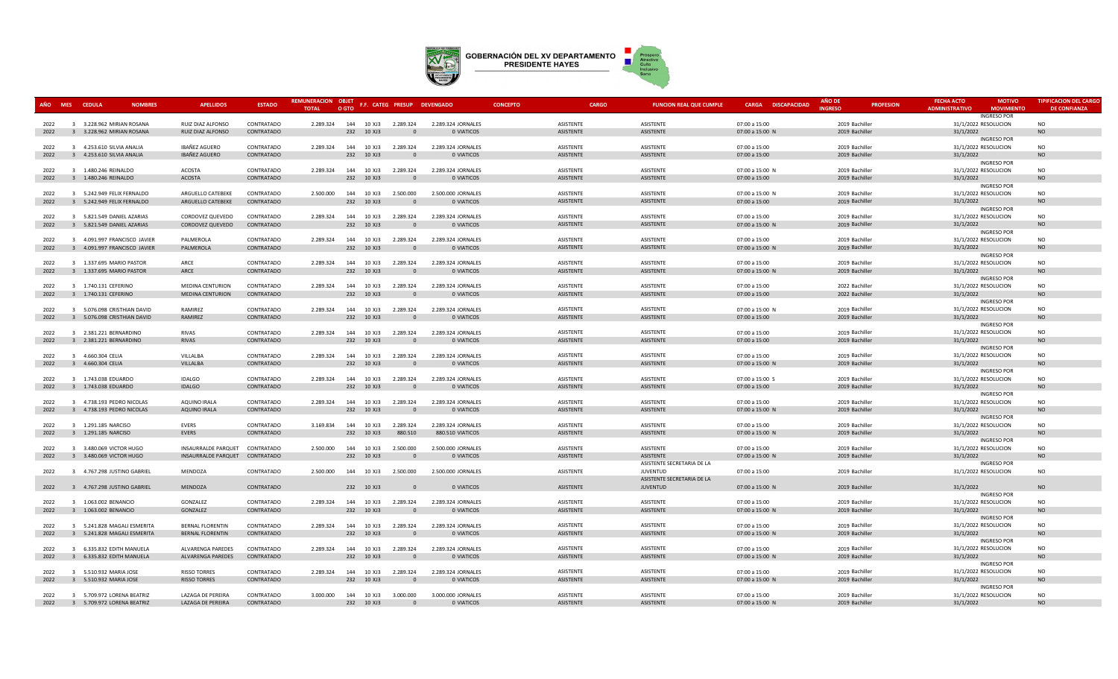

| AÑO          | MES CEDULA<br><b>NOMBRES</b>                               | <b>APELLIDOS</b>                                   | <b>ESTADO</b>            | REMUNERACION OBJET<br><b>TOTAL</b> | O GTO |                          |                                    | F.F. CATEG PRESUP DEVENGADO      | <b>CONCEPTO</b> | <b>CARGO</b>                  | <b>FUNCION REAL QUE CUMPLE</b>                | <b>CARGA DISCAPACIDAD</b>        | AÑO DE<br><b>INGRESO</b>         | <b>PROFESION</b> | <b>FECHA ACTO</b><br><b>ADMINISTRATIVO</b> | <b>MOTIVO</b><br><b>MOVIMIENTO</b> | <b>TIPIFICACION DEL CARGO</b><br><b>DE CONFIANZA</b> |
|--------------|------------------------------------------------------------|----------------------------------------------------|--------------------------|------------------------------------|-------|--------------------------|------------------------------------|----------------------------------|-----------------|-------------------------------|-----------------------------------------------|----------------------------------|----------------------------------|------------------|--------------------------------------------|------------------------------------|------------------------------------------------------|
|              |                                                            |                                                    | CONTRATADO               |                                    |       |                          |                                    |                                  |                 | ASISTENTE                     | ASISTENTE                                     |                                  | 2019 Bachiller                   |                  | 31/1/2022 RESOLUCION                       | <b>INGRESO POR</b>                 | N <sub>O</sub>                                       |
| 2022<br>2022 | 3 3.228.962 MIRIAN ROSANA<br>3 3.228.962 MIRIAN ROSANA     | RUIZ DIAZ ALFONSO<br>RUIZ DIAZ ALFONSO             | CONTRATADO               |                                    |       | 232 10 XJ3               | 2.289.324  144  10  XJ3  2.289.324 | 2.289.324 JORNALES<br>0 VIATICOS |                 | <b>ASISTENTE</b>              | <b>ASISTENTE</b>                              | 07:00 a 15:00<br>07:00 a 15:00 N | 2019 Bachiller                   |                  | 31/1/2022                                  |                                    | <b>NO</b>                                            |
|              |                                                            |                                                    |                          |                                    |       |                          |                                    |                                  |                 |                               |                                               |                                  |                                  |                  |                                            | <b>INGRESO POR</b>                 |                                                      |
| 2022         | 3 4.253.610 SILVIA ANALIA                                  | <b>IBAÑEZ AGUERO</b>                               | CONTRATADO               | 2.289.324                          |       | 144 10 XJ3               | 2.289.324                          | 2.289.324 JORNALES               |                 | ASISTENTE                     | ASISTENTE                                     | 07:00 a 15:00                    | 2019 Bachiller                   |                  | 31/1/2022 RESOLUCION                       |                                    | <b>NO</b>                                            |
| 2022         | 3 4.253.610 SILVIA ANALIA                                  | <b>IBAÑEZ AGUERO</b>                               | CONTRATADO               |                                    |       | 232 10 XJ3               | $\Omega$                           | 0 VIATICOS                       |                 | ASISTENTE                     | ASISTENTE                                     | 07:00 a 15:00                    | 2019 Bachiller                   |                  | 31/1/2022                                  |                                    | <b>NO</b>                                            |
|              |                                                            |                                                    |                          |                                    |       |                          |                                    |                                  |                 |                               |                                               |                                  |                                  |                  |                                            | <b>INGRESO POR</b>                 |                                                      |
| 2022         | 3 1.480.246 REINALDO                                       | ACOSTA                                             | CONTRATADO               | 2.289.324                          |       | 144 10 XJ3               | 2.289.324                          | 2.289.324 JORNALES               |                 | ASISTENTE                     | ASISTENTE                                     | 07:00 a 15:00 N                  | 2019 Bachiller                   |                  | 31/1/2022 RESOLUCION                       |                                    | <b>NO</b>                                            |
| 2022         | 3 1.480.246 REINALDO                                       | <b>ACOSTA</b>                                      | CONTRATADO               |                                    |       | 232 10 XJ3               | $\Omega$                           | 0 VIATICOS                       |                 | ASISTENTE                     | ASISTENTE                                     | 07:00 a 15:00                    | 2019 Bachiller                   |                  | 31/1/2022                                  |                                    | <b>NO</b>                                            |
| 2022         | 3 5.242.949 FELIX FERNALDO                                 | ARGUELLO CATEBEKE                                  | CONTRATADO               | 2.500.000                          |       | 144 10 XJ3               | 2.500.000                          | 2.500.000 JORNALES               |                 | <b>ASISTENTE</b>              | ASISTENTE                                     | 07:00 a 15:00 N                  | 2019 Bachiller                   |                  | 31/1/2022 RESOLUCION                       | <b>INGRESO POR</b>                 | NO                                                   |
| 2022         | 3 5.242.949 FELIX FERNALDO                                 | ARGUELLO CATEBEKE                                  | CONTRATADO               |                                    |       | 232 10 XJ3               | $\Omega$                           | 0 VIATICOS                       |                 | ASISTENTE                     | ASISTENTE                                     | 07:00 a 15:00                    | 2019 Bachiller                   |                  | 31/1/2022                                  |                                    | <b>NO</b>                                            |
|              |                                                            |                                                    |                          |                                    |       |                          |                                    |                                  |                 |                               |                                               |                                  |                                  |                  |                                            | <b>INGRESO POR</b>                 |                                                      |
| 2022         | 3 5.821.549 DANIEL AZARIAS                                 | CORDOVEZ QUEVEDO                                   | CONTRATADO               | 2.289.324                          |       |                          | 144 10 XJ3 2.289.324               | 2.289.324 JORNALES               |                 | ASISTENTE                     | ASISTENTE                                     | 07:00 a 15:00                    | 2019 Bachiller                   |                  | 31/1/2022 RESOLUCION                       |                                    | NO.                                                  |
| 2022         | 3 5.821.549 DANIEL AZARIAS                                 | CORDOVEZ QUEVEDO                                   | CONTRATADO               |                                    |       | 232 10 XJ3               |                                    | 0 VIATICOS                       |                 | ASISTENTE                     | ASISTENTE                                     | 07:00 a 15:00 N                  | 2019 Bachiller                   |                  | 31/1/2022                                  |                                    | <b>NO</b>                                            |
|              |                                                            |                                                    |                          |                                    |       |                          |                                    |                                  |                 |                               |                                               |                                  |                                  |                  |                                            | <b>INGRESO POR</b>                 |                                                      |
| 2022         | 3 4.091.997 FRANCISCO JAVIER                               | PALMEROLA                                          | CONTRATADO               | 2.289.324                          |       | 144 10 XJ3               | 2.289.324                          | 2.289.324 JORNALES               |                 | <b>ASISTENTE</b>              | <b>ASISTENTE</b>                              | 07:00 a 15:00                    | 2019 Bachiller                   |                  | 31/1/2022 RESOLUCION                       |                                    | <b>NO</b>                                            |
| 2022         | 3 4.091.997 FRANCISCO JAVIER                               | PALMEROLA                                          | CONTRATADO               |                                    |       | 232 10 XJ3               | $\Omega$                           | 0 VIATICOS                       |                 | ASISTENTE                     | ASISTENTE                                     | 07:00 a 15:00 N                  | 2019 Bachiller                   |                  | 31/1/2022                                  |                                    | <b>NO</b>                                            |
| 2022         | 3 1.337.695 MARIO PASTOR                                   | ARCE                                               | CONTRATADO               | 2.289.324                          |       | 144 10 XJ3               | 2.289.324                          | 2.289.324 JORNALES               |                 | ASISTENTE                     | ASISTENTE                                     | 07:00 a 15:00                    | 2019 Bachiller                   |                  | 31/1/2022 RESOLUCION                       | <b>INGRESO POR</b>                 | <b>NO</b>                                            |
| 2022         | 3 1.337.695 MARIO PASTOR                                   | ARCE                                               | CONTRATADO               |                                    |       | 232 10 XJ3               | $\Omega$                           | 0 VIATICOS                       |                 | ASISTENTE                     | ASISTENTE                                     | 07:00 a 15:00 N                  | 2019 Bachiller                   |                  | 31/1/2022                                  |                                    | <b>NO</b>                                            |
|              |                                                            |                                                    |                          |                                    |       |                          |                                    |                                  |                 |                               |                                               |                                  |                                  |                  |                                            | <b>INGRESO POR</b>                 |                                                      |
| 2022         | 3 1.740.131 CEFERINO                                       | <b>MEDINA CENTURION</b>                            | CONTRATADO               | 2.289.324                          |       | 144 10 XJ3               | 2.289.324                          | 2.289.324 JORNALES               |                 | ASISTENTE                     | ASISTENTE                                     | 07:00 a 15:00                    | 2022 Bachiller                   |                  | 31/1/2022 RESOLUCION                       |                                    | <b>NO</b>                                            |
| 2022         | 3 1.740.131 CEFERINO                                       | <b>MEDINA CENTURION</b>                            | CONTRATADO               |                                    |       | 232 10 XJ3               | $\Omega$                           | 0 VIATICOS                       |                 | ASISTENTE                     | ASISTENTE                                     | 07:00 a 15:00                    | 2022 Bachiller                   |                  | 31/1/2022                                  |                                    | <b>NO</b>                                            |
|              |                                                            |                                                    |                          |                                    |       |                          |                                    |                                  |                 |                               |                                               |                                  |                                  |                  |                                            | <b>INGRESO POR</b>                 |                                                      |
| 2022         | 3 5.076.098 CRISTHIAN DAVID                                | <b>RAMIREZ</b>                                     | CONTRATADO               | 2.289.324                          |       | 144 10 XJ3               | 2.289.324                          | 2.289.324 JORNALES               |                 | ASISTENTE                     | ASISTENTE                                     | 07:00 a 15:00 N                  | 2019 Bachiller                   |                  | 31/1/2022 RESOLUCION                       |                                    | <b>NO</b>                                            |
| 2022         | 3 5.076.098 CRISTHIAN DAVID                                | RAMIREZ                                            | CONTRATADO               |                                    |       | 232 10 XJ3               | $\Omega$                           | 0 VIATICOS                       |                 | ASISTENTE                     | ASISTENTE                                     | 07:00 a 15:00                    | 2019 Bachiller                   |                  | 31/1/2022                                  |                                    | <b>NO</b>                                            |
| 2022         | 3 2.381.221 BERNARDINO                                     | <b>RIVAS</b>                                       | CONTRATADO               | 2.289.324                          |       |                          | 144  10 XJ3  2.289.324             | 2.289.324 JORNALES               |                 | ASISTENTE                     | ASISTENTE                                     | 07:00 a 15:00                    | 2019 Bachiller                   |                  | 31/1/2022 RESOLUCION                       | <b>INGRESO POR</b>                 | <b>NO</b>                                            |
| 2022         | 3 2.381.221 BERNARDINO                                     | <b>RIVAS</b>                                       | CONTRATADO               |                                    |       | 232 10 XJ3               | $\Omega$                           | 0 VIATICOS                       |                 | ASISTENTE                     | ASISTENTE                                     | 07:00 a 15:00                    | 2019 Bachiller                   |                  | 31/1/2022                                  |                                    | <b>NO</b>                                            |
|              |                                                            |                                                    |                          |                                    |       |                          |                                    |                                  |                 |                               |                                               |                                  |                                  |                  |                                            | <b>INGRESO POR</b>                 |                                                      |
| 2022         | 3 4.660.304 CELIA                                          | VILLALBA                                           | CONTRATADO               | 2.289.324                          |       | 144 10 XJ3               | 2.289.324                          | 2.289.324 JORNALES               |                 | ASISTENTE                     | ASISTENTE                                     | 07:00 a 15:00                    | 2019 Bachiller                   |                  | 31/1/2022 RESOLUCION                       |                                    | <b>NO</b>                                            |
| 2022         | 3 4.660.304 CELIA                                          | VILLALBA                                           | CONTRATADO               |                                    |       | 232 10 XJ3               | $\Omega$                           | 0 VIATICOS                       |                 | ASISTENTE                     | ASISTENTE                                     | 07:00 a 15:00 N                  | 2019 Bachiller                   |                  | 31/1/2022                                  |                                    | <b>NO</b>                                            |
|              |                                                            |                                                    |                          |                                    |       |                          |                                    |                                  |                 |                               |                                               |                                  |                                  |                  |                                            | <b>INGRESO POR</b>                 |                                                      |
| 2022         | 3 1.743.038 EDUARDO                                        | <b>IDALGO</b>                                      | CONTRATADO               | 2.289.324                          |       |                          | 144 10 XJ3 2.289.324               | 2.289.324 JORNALES               |                 | ASISTENTE                     | ASISTENTE                                     | 07:00 a 15:00 S                  | 2019 Bachiller                   |                  | 31/1/2022 RESOLUCION                       |                                    | NO                                                   |
| 2022         | 3 1.743.038 EDUARDO                                        | <b>IDALGO</b>                                      | CONTRATADO               |                                    |       | 232 10 XJ3               | $\Omega$                           | 0 VIATICOS                       |                 | ASISTENTE                     | ASISTENTE                                     | 07:00 a 15:00                    | 2019 Bachiller                   |                  | 31/1/2022                                  | <b>INGRESO POR</b>                 | <b>NO</b>                                            |
| 2022         | 3 4.738.193 PEDRO NICOLAS                                  | AQUINO IRALA                                       | CONTRATADO               | 2.289.324                          |       | 144 10 XJ3               | 2.289.324                          | 2.289.324 JORNALES               |                 | ASISTENTE                     | ASISTENTE                                     | 07:00 a 15:00                    | 2019 Bachiller                   |                  | 31/1/2022 RESOLUCION                       |                                    | <b>NO</b>                                            |
| 2022         | 3 4.738.193 PEDRO NICOLAS                                  | AQUINO IRALA                                       | CONTRATADO               |                                    |       | 232 10 XJ3               | $\Omega$                           | 0 VIATICOS                       |                 | <b>ASISTENTE</b>              | ASISTENTE                                     | 07:00 a 15:00 N                  | 2019 Bachiller                   |                  | 31/1/2022                                  |                                    | <b>NO</b>                                            |
|              |                                                            |                                                    |                          |                                    |       |                          |                                    |                                  |                 |                               |                                               |                                  |                                  |                  |                                            | <b>INGRESO POR</b>                 |                                                      |
| 2022         | 3 1.291.185 NARCISO                                        | <b>EVERS</b>                                       | CONTRATADO               | 3.169.834                          |       | 144 10 XJ3               | 2.289.324                          | 2.289.324 JORNALES               |                 | <b>ASISTENTE</b>              | <b>ASISTENTE</b>                              | 07:00 a 15:00                    | 2019 Bachiller                   |                  | 31/1/2022 RESOLUCION                       |                                    | <b>NO</b>                                            |
| 2022         | 3 1.291.185 NARCISO                                        | <b>EVERS</b>                                       | CONTRATADO               |                                    |       | 232 10 XJ3               | 880.510                            | 880.510 VIATICOS                 |                 | ASISTENTE                     | ASISTENTE                                     | 07:00 a 15:00 N                  | 2019 Bachiller                   |                  | 31/1/2022                                  |                                    | <b>NO</b>                                            |
|              |                                                            |                                                    |                          |                                    |       |                          |                                    |                                  |                 |                               |                                               |                                  |                                  |                  |                                            | <b>INGRESO POR</b>                 |                                                      |
| 2022         | 3 3.480.069 VICTOR HUGO                                    | INSAURRALDE PARQUET CONTRATADO                     |                          | 2.500.000                          |       | 144 10 XJ3               | 2.500.000                          | 2.500.000 JORNALES               |                 | ASISTENTE                     | ASISTENTE                                     | 07:00 a 15:00                    | 2019 Bachiller                   |                  | 31/1/2022 RESOLUCION                       |                                    | <b>NO</b>                                            |
| 2022         | 3 3.480.069 VICTOR HUGO                                    | INSAURRALDE PARQUET CONTRATADO                     |                          |                                    |       | 232 10 XJ3               | $\Omega$                           | 0 VIATICOS                       |                 | <b>ASISTENTE</b>              | ASISTENTE                                     | 07:00 a 15:00 N                  | 2019 Bachiller                   |                  | 31/1/2022                                  | <b>INGRESO POR</b>                 | <b>NO</b>                                            |
| 2022         | 3 4.767.298 JUSTINO GABRIEL                                | MENDOZA                                            | CONTRATADO               | 2.500.000                          |       |                          | 144  10 XJ3  2.500.000             | 2.500.000 JORNALES               |                 | ASISTENTE                     | ASISTENTE SECRETARIA DE LA<br><b>JUVENTUD</b> | 07:00 a 15:00                    | 2019 Bachiller                   |                  | 31/1/2022 RESOLUCION                       |                                    | <b>NO</b>                                            |
|              |                                                            |                                                    |                          |                                    |       |                          |                                    |                                  |                 |                               | ASISTENTE SECRETARIA DE LA                    |                                  |                                  |                  |                                            |                                    |                                                      |
| 2022         | 3 4.767.298 JUSTINO GABRIEL                                | MENDOZA                                            | CONTRATADO               |                                    |       | 232 10 XJ3               | $\Omega$                           | 0 VIATICOS                       |                 | ASISTENTE                     | <b>JUVENTUD</b>                               | 07:00 a 15:00 N                  | 2019 Bachiller                   |                  | 31/1/2022                                  |                                    | <b>NO</b>                                            |
|              |                                                            |                                                    |                          |                                    |       |                          |                                    |                                  |                 |                               |                                               |                                  |                                  |                  |                                            | <b>INGRESO POR</b>                 |                                                      |
| 2022         | 3 1.063.002 BENANCIO                                       | GONZALEZ                                           | CONTRATADO               | 2.289.324                          |       | 144 10 XJ3               | 2.289.324                          | 2.289.324 JORNALES               |                 | ASISTENTE                     | ASISTENTE                                     | 07:00 a 15:00                    | 2019 Bachiller                   |                  | 31/1/2022 RESOLUCION                       |                                    | NO.                                                  |
| 2022         | 3 1.063.002 BENANCIO                                       | GONZALEZ                                           | CONTRATADO               |                                    |       | 232 10 XJ3               | $\Omega$                           | 0 VIATICOS                       |                 | ASISTENTE                     | ASISTENTE                                     | 07:00 a 15:00 N                  | 2019 Bachiller                   |                  | 31/1/2022                                  |                                    | <b>NO</b>                                            |
|              |                                                            |                                                    |                          |                                    |       |                          |                                    |                                  |                 |                               |                                               |                                  |                                  |                  |                                            | <b>INGRESO POR</b>                 |                                                      |
| 2022<br>2022 | 3 5.241.828 MAGALI ESMERITA<br>3 5.241.828 MAGALI ESMERITA | <b>BERNAL FLORENTIN</b><br><b>BERNAL FLORENTIN</b> | CONTRATADO<br>CONTRATADO | 2.289.324                          |       | 144 10 XJ3<br>232 10 XJ3 | 2.289.324<br>$\Omega$              | 2.289.324 JORNALES<br>0 VIATICOS |                 | ASISTENTE<br><b>ASISTENTE</b> | ASISTENTE<br>ASISTENTE                        | 07:00 a 15:00<br>07:00 a 15:00 N | 2019 Bachiller<br>2019 Bachiller |                  | 31/1/2022 RESOLUCION<br>31/1/2022          |                                    | <b>NO</b><br><b>NO</b>                               |
|              |                                                            |                                                    |                          |                                    |       |                          |                                    |                                  |                 |                               |                                               |                                  |                                  |                  |                                            | <b>INGRESO POR</b>                 |                                                      |
| 2022         | 3 6.335.832 EDITH MANUELA                                  | ALVARENGA PAREDES                                  | CONTRATADO               | 2.289.324                          |       | 144 10 XJ3               | 2.289.324                          | 2.289.324 JORNALES               |                 | ASISTENTE                     | ASISTENTE                                     | 07:00 a 15:00                    | 2019 Bachiller                   |                  | 31/1/2022 RESOLUCION                       |                                    | <b>NO</b>                                            |
| 2022         | 3 6.335.832 EDITH MANUELA                                  | ALVARENGA PAREDES                                  | CONTRATADO               |                                    |       | 232 10 XJ3               |                                    | 0 VIATICOS                       |                 | <b>ASISTENTE</b>              | ASISTENTE                                     | 07:00 a 15:00 N                  | 2019 Bachiller                   |                  | 31/1/2022                                  |                                    | <b>NO</b>                                            |
|              |                                                            |                                                    |                          |                                    |       |                          |                                    |                                  |                 |                               |                                               |                                  |                                  |                  |                                            | <b>INGRESO POR</b>                 |                                                      |
| 2022         | 3 5.510.932 MARIA JOSE                                     | <b>RISSO TORRES</b>                                | CONTRATADO               | 2.289.324                          |       | 144 10 XJ3               | 2.289.324                          | 2.289.324 JORNALES               |                 | ASISTENTE                     | ASISTENTE                                     | 07:00 a 15:00                    | 2019 Bachiller                   |                  | 31/1/2022 RESOLUCION                       |                                    | NO                                                   |
| 2022         | 3 5.510.932 MARIA JOSE                                     | RISSO TORRES                                       | CONTRATADO               |                                    |       | 232 10 XJ3               | $\Omega$                           | 0 VIATICOS                       |                 | ASISTENTE                     | ASISTENTE                                     | 07:00 a 15:00 N                  | 2019 Bachiller                   |                  | 31/1/2022                                  |                                    | $NO$                                                 |
|              |                                                            |                                                    |                          |                                    |       |                          |                                    |                                  |                 |                               |                                               |                                  |                                  |                  |                                            | <b>INGRESO POR</b>                 |                                                      |
| 2022         | 3 5.709.972 LORENA BEATRIZ                                 | LAZAGA DE PEREIRA                                  | CONTRATADO               | 3.000.000                          |       | 144 10 XJ3               | 3.000.000                          | 3.000.000 JORNALES               |                 | ASISTENTE                     | ASISTENTE                                     | 07:00 a 15:00                    | 2019 Bachiller                   |                  | 31/1/2022 RESOLUCION                       |                                    | <b>NO</b>                                            |
| 2022         | 3 5.709.972 LORENA BEATRIZ                                 | LAZAGA DE PEREIRA                                  | CONTRATADO               |                                    |       | 232 10 XJ3               |                                    | 0 VIATICOS                       |                 | <b>ASISTENTE</b>              | ASISTENTE                                     | 07:00 a 15:00 N                  | 2019 Bachiller                   |                  | 31/1/2022                                  |                                    | <b>NO</b>                                            |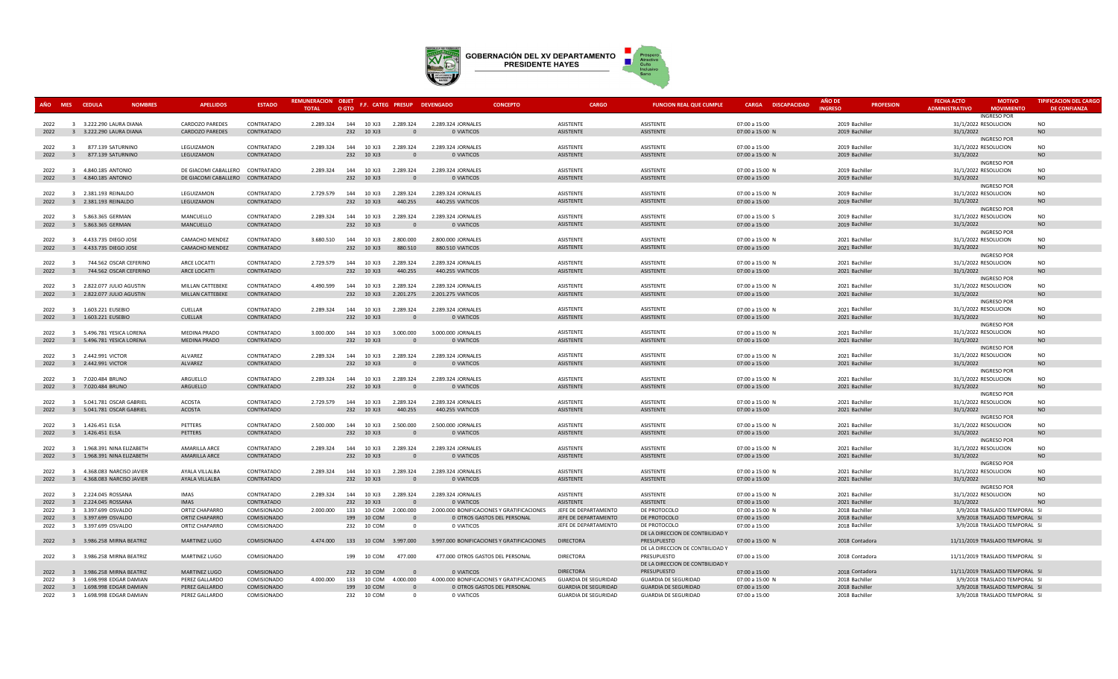

| AÑO MES CEDULA |                | <b>NOMBRES</b>             | <b>APELLIDOS</b>                | <b>ESTADO</b> | REMUNERACION OBJET |       |            |                        | F.F. CATEG PRESUP DEVENGADO       | <b>CONCEPTO</b>                            | <b>CARGO</b>                | <b>FUNCION REAL QUE CUMPLE</b>                   | <b>CARGA DISCAPACIDAD</b> | AÑO DE         | <b>PROFESION</b> | <b>FECHA ACTO</b>     | <b>MOTIVO</b>                   | <b>TIPIFICACION DEL CARGO</b> |
|----------------|----------------|----------------------------|---------------------------------|---------------|--------------------|-------|------------|------------------------|-----------------------------------|--------------------------------------------|-----------------------------|--------------------------------------------------|---------------------------|----------------|------------------|-----------------------|---------------------------------|-------------------------------|
|                |                |                            |                                 |               | <b>TOTAL</b>       | O GTO |            |                        |                                   |                                            |                             |                                                  |                           | <b>INGRESO</b> |                  | <b>ADMINISTRATIVO</b> | <b>MOVIMIENTO</b>               | <b>DE CONFIANZA</b>           |
| 2022           |                | 3 3.222.290 LAURA DIANA    | CARDOZO PAREDES                 | CONTRATADO    | 2.289.324          |       | 144 10 XJ3 | 2.289.324              | 2.289.324 JORNALES                |                                            | ASISTENTE                   | ASISTENTE                                        | 07:00 a 15:00             | 2019 Bachiller |                  | 31/1/2022 RESOLUCION  | <b>INGRESO POR</b>              | <b>NO</b>                     |
| 2022           |                | 3 3.222.290 LAURA DIANA    | CARDOZO PAREDES                 | CONTRATADO    |                    | 232   | 10 XJ3     |                        | 0 VIATICOS                        |                                            | ASISTENTE                   | ASISTENTE                                        | 07:00 a 15:00 N           | 2019 Bachiller |                  | 31/1/2022             |                                 | <b>NO</b>                     |
|                |                |                            |                                 |               |                    |       |            |                        |                                   |                                            |                             |                                                  |                           |                |                  |                       | <b>INGRESO POR</b>              |                               |
| 2022           |                | 3 877.139 SATURNINO        | LEGUIZAMON                      | CONTRATADO    | 2.289.324          |       |            | 144  10 XJ3  2.289.324 | 2.289.324 JORNALES                |                                            | ASISTENTE                   | ASISTENTE                                        | 07:00 a 15:00             | 2019 Bachiller |                  | 31/1/2022 RESOLUCION  |                                 | <b>NO</b>                     |
| 2022           |                | 3 877.139 SATURNINO        | LEGUIZAMON                      | CONTRATADO    |                    |       | 232 10 XJ3 |                        | 0 VIATICOS                        |                                            | ASISTENTE                   | ASISTENTE                                        | 07:00 a 15:00 N           | 2019 Bachiller |                  | 31/1/2022             |                                 | <b>NO</b>                     |
|                |                |                            |                                 |               |                    |       |            |                        |                                   |                                            |                             |                                                  |                           |                |                  |                       | <b>INGRESO POR</b>              |                               |
| 2022           |                | 3 4.840.185 ANTONIO        | DE GIACOMI CABALLERO CONTRATADO |               | 2.289.324          | 144   | 10 XJ3     | 2.289.324              | 2.289.324 JORNALES                |                                            | ASISTENTE                   | ASISTENTE                                        | 07:00 a 15:00 N           | 2019 Bachiller |                  | 31/1/2022 RESOLUCION  |                                 | NO                            |
| 2022           |                | 3 4.840.185 ANTONIO        | DE GIACOMI CABALLERO CONTRATADO |               |                    |       | 232 10 XJ3 | $\Omega$               | 0 VIATICOS                        |                                            | ASISTENTE                   | ASISTENTE                                        | 07:00 a 15:00             | 2019 Bachiller |                  | 31/1/2022             | <b>INGRESO POR</b>              | <b>NO</b>                     |
| 2022           |                | 3 2.381.193 REINALDO       | LEGUIZAMON                      | CONTRATADO    | 2.729.579          |       |            | 144  10 XJ3  2.289.324 | 2.289.324 JORNALES                |                                            | <b>ASISTENTE</b>            | ASISTENTE                                        | 07:00 a 15:00 N           | 2019 Bachiller |                  | 31/1/2022 RESOLUCION  |                                 | <b>NO</b>                     |
| 2022           |                | 3 2.381.193 REINALDO       | LEGUIZAMON                      | CONTRATADO    |                    |       | 232 10 XJ3 | 440.255                | 440.255 VIATICOS                  |                                            | ASISTENTE                   | ASISTENTE                                        | 07:00 a 15:00             | 2019 Bachiller |                  | 31/1/2022             |                                 | <b>NO</b>                     |
|                |                |                            |                                 |               |                    |       |            |                        |                                   |                                            |                             |                                                  |                           |                |                  |                       | <b>INGRESO POR</b>              |                               |
| 2022           |                | 3 5.863.365 GERMAN         | MANCUELLO                       | CONTRATADO    | 2.289.324          |       | 144 10 XJ3 | 2.289.324              | 2.289.324 JORNALES                |                                            | ASISTENTE                   | ASISTENTE                                        | 07:00 a 15:00 S           | 2019 Bachiller |                  | 31/1/2022 RESOLUCION  |                                 | NO                            |
| 2022           |                | 3 5.863.365 GERMAN         | MANCUELLO                       | CONTRATADO    |                    |       | 232 10 XJ3 | $\Omega$               | 0 VIATICOS                        |                                            | ASISTENTE                   | ASISTENTE                                        | 07:00 a 15:00             | 2019 Bachiller |                  | 31/1/2022             |                                 | <b>NO</b>                     |
|                |                |                            |                                 |               |                    |       |            |                        |                                   |                                            |                             |                                                  |                           |                |                  |                       | <b>INGRESO POR</b>              |                               |
| 2022           |                | 3 4.433.735 DIEGO JOSE     | CAMACHO MENDEZ                  | CONTRATADO    | 3.680.510          |       | 144 10 XJ3 | 2.800.000              | 2.800.000 JORNALES                |                                            | ASISTENTE                   | ASISTENTE                                        | 07:00 a 15:00 N           | 2021 Bachiller |                  | 31/1/2022 RESOLUCION  |                                 | <b>NO</b>                     |
| 2022           |                | 3 4.433.735 DIEGO JOSE     | CAMACHO MENDEZ                  | CONTRATADO    |                    |       | 232 10 XJ3 | 880.510                | 880.510 VIATICOS                  |                                            | <b>ASISTENTE</b>            | ASISTENTE                                        | 07:00 a 15:00             | 2021 Bachiller |                  | 31/1/2022             |                                 | <b>NO</b>                     |
| 2022           |                | 3 744.562 OSCAR CEFERINO   | ARCE LOCATTI                    | CONTRATADO    | 2.729.579          |       | 144 10 XJ3 | 2.289.324              | 2.289.324 JORNALES                |                                            | <b>ASISTENTE</b>            | ASISTENTE                                        | 07:00 a 15:00 N           | 2021 Bachiller |                  | 31/1/2022 RESOLUCION  | <b>INGRESO POR</b>              | <b>NO</b>                     |
| 2022           | $\overline{3}$ | 744.562 OSCAR CEFERINO     | ARCE LOCATTI                    | CONTRATADO    |                    |       | 232 10 XJ3 | 440.255                | 440.255 VIATICOS                  |                                            | ASISTENTE                   | ASISTENTE                                        | 07:00 a 15:00             | 2021 Bachiller |                  | 31/1/2022             |                                 | <b>NO</b>                     |
|                |                |                            |                                 |               |                    |       |            |                        |                                   |                                            |                             |                                                  |                           |                |                  |                       | <b>INGRESO POR</b>              |                               |
| 2022           |                | 3 2.822.077 JULIO AGUSTIN  | MILLAN CATTEBEKE                | CONTRATADO    | 4.490.599          |       | 144 10 XJ3 | 2.289.324              | 2.289.324 JORNALES                |                                            | ASISTENTE                   | ASISTENTE                                        | 07:00 a 15:00 N           | 2021 Bachiller |                  | 31/1/2022 RESOLUCION  |                                 | <b>NO</b>                     |
| 2022           |                | 3 2.822.077 JULIO AGUSTIN  | MILLAN CATTEBEKE                | CONTRATADO    |                    |       | 232 10 XJ3 | 2.201.275              | 2.201.275 VIATICOS                |                                            | ASISTENTE                   | ASISTENTE                                        | 07:00 a 15:00             | 2021 Bachiller |                  | 31/1/2022             |                                 | <b>NO</b>                     |
|                |                |                            |                                 |               |                    |       |            |                        |                                   |                                            |                             |                                                  |                           |                |                  |                       | <b>INGRESO POR</b>              |                               |
| 2022           |                | 3 1.603.221 EUSEBIO        | CUELLAR                         | CONTRATADO    | 2.289.324          |       | 144 10 XJ3 | 2.289.324              | 2.289.324 JORNALES                |                                            | ASISTENTE                   | ASISTENTE                                        | 07:00 a 15:00 N           | 2021 Bachiller |                  | 31/1/2022 RESOLUCION  |                                 | <b>NO</b>                     |
| 2022           |                | 3 1.603.221 EUSEBIO        | CUELLAR                         | CONTRATADO    |                    |       | 232 10 XJ3 |                        | 0 VIATICOS                        |                                            | ASISTENTE                   | ASISTENTE                                        | 07:00 a 15:00             | 2021 Bachiller |                  | 31/1/2022             |                                 | <b>NO</b>                     |
| 2022           |                | 3 5.496.781 YESICA LORENA  | <b>MEDINA PRADO</b>             | CONTRATADO    | 3.000.000          |       | 144 10 XJ3 | 3.000.000              | 3.000.000 JORNALES                |                                            | <b>ASISTENTE</b>            | ASISTENTE                                        | 07:00 a 15:00 N           | 2021 Bachiller |                  | 31/1/2022 RESOLUCION  | <b>INGRESO POR</b>              | N <sub>O</sub>                |
| 2022           |                | 3 5.496.781 YESICA LORENA  | <b>MEDINA PRADO</b>             | CONTRATADO    |                    |       | 232 10 XJ3 |                        | 0 VIATICOS                        |                                            | ASISTENTE                   | ASISTENTE                                        | 07:00 a 15:00             | 2021 Bachiller |                  | 31/1/2022             |                                 | <b>NO</b>                     |
|                |                |                            |                                 |               |                    |       |            |                        |                                   |                                            |                             |                                                  |                           |                |                  |                       | <b>INGRESO POR</b>              |                               |
| 2022           |                | 3 2.442.991 VICTOR         | ALVAREZ                         | CONTRATADO    | 2.289.324          |       |            | 144 10 XJ3 2.289.324   | 2.289.324 JORNALES                |                                            | <b>ASISTENTE</b>            | ASISTENTE                                        | 07:00 a 15:00 N           | 2021 Bachiller |                  | 31/1/2022 RESOLUCION  |                                 | <b>NO</b>                     |
| 2022           |                | 3 2.442.991 VICTOR         | ALVAREZ                         | CONTRATADO    |                    |       | 232 10 XJ3 | $\Omega$               | 0 VIATICOS                        |                                            | ASISTENTE                   | ASISTENTE                                        | 07:00 a 15:00             | 2021 Bachiller |                  | 31/1/2022             |                                 | <b>NO</b>                     |
|                |                |                            |                                 |               |                    |       |            |                        |                                   |                                            |                             |                                                  |                           |                |                  |                       | <b>INGRESO POR</b>              |                               |
| 2022           |                | 3 7.020.484 BRUNO          | ARGUELLO                        | CONTRATADO    | 2.289.324          |       | 144 10 XJ3 | 2.289.324              | 2.289.324 JORNALES                |                                            | ASISTENTE                   | ASISTENTE                                        | 07:00 a 15:00 N           | 2021 Bachiller |                  | 31/1/2022 RESOLUCION  |                                 | <b>NO</b>                     |
| 2022           |                | 3 7.020.484 BRUNO          | ARGUELLO                        | CONTRATADO    |                    |       | 232 10 XJ3 | $\sqrt{ }$             | 0 VIATICOS                        |                                            | ASISTENTE                   | ASISTENTE                                        | 07:00 a 15:00             | 2021 Bachiller |                  | 31/1/2022             |                                 | <b>NO</b>                     |
| 2022           |                | 3 5.041.781 OSCAR GABRIEL  | <b>ACOSTA</b>                   | CONTRATADO    | 2.729.579          |       | 144 10 XJ3 | 2.289.324              | 2.289.324 JORNALES                |                                            | ASISTENTE                   | ASISTENTE                                        | 07:00 a 15:00 N           | 2021 Bachiller |                  | 31/1/2022 RESOLUCION  | <b>INGRESO POR</b>              | <b>NO</b>                     |
| 2022           |                | 3 5.041.781 OSCAR GABRIEL  | <b>ACOSTA</b>                   | CONTRATADO    |                    |       | 232 10 XJ3 | 440,255                | 440.255 VIATICOS                  |                                            | <b>ASISTENTE</b>            | ASISTENTE                                        | 07:00 a 15:00             | 2021 Bachiller |                  | 31/1/2022             |                                 | <b>NO</b>                     |
|                |                |                            |                                 |               |                    |       |            |                        |                                   |                                            |                             |                                                  |                           |                |                  |                       | <b>INGRESO POR</b>              |                               |
| 2022           |                | 3 1.426.451 ELSA           | PETTERS                         | CONTRATADO    | 2.500.000          |       | 144 10 XJ3 | 2.500.000              | 2.500.000 JORNALES                |                                            | <b>ASISTENTE</b>            | ASISTENTE                                        | 07:00 a 15:00 N           | 2021 Bachiller |                  | 31/1/2022 RESOLUCION  |                                 | <b>NO</b>                     |
| 2022           |                | 3 1.426.451 ELSA           | PETTERS                         | CONTRATADO    |                    | 232   | 10 XJ3     |                        | 0 VIATICOS                        |                                            | ASISTENTE                   | ASISTENTE                                        | 07:00 a 15:00             | 2021 Bachiller |                  | 31/1/2022             |                                 | <b>NO</b>                     |
|                |                |                            |                                 |               |                    |       |            |                        |                                   |                                            |                             |                                                  |                           |                |                  |                       | <b>INGRESO POR</b>              |                               |
| 2022           |                | 3 1.968.391 NINA ELIZABETH | <b>AMARILLA ARCE</b>            | CONTRATADO    | 2.289.324          |       | 144 10 XJ3 | 2.289.324              | 2.289.324 JORNALES                |                                            | ASISTENTE                   | ASISTENTE                                        | 07:00 a 15:00 N           | 2021 Bachiller |                  | 31/1/2022 RESOLUCION  |                                 | <b>NO</b>                     |
| 2022           |                | 3 1.968.391 NINA ELIZABETH | <b>AMARILLA ARCE</b>            | CONTRATADO    |                    |       | 232 10 XJ3 | $\Omega$               | 0 VIATICOS                        |                                            | ASISTENTE                   | ASISTENTE                                        | 07:00 a 15:00             | 2021 Bachiller |                  | 31/1/2022             | <b>INGRESO POR</b>              | <b>NO</b>                     |
| 2022           |                | 3 4.368.083 NARCISO JAVIER | AYALA VILLALBA                  | CONTRATADO    | 2.289.324          |       |            | 144 10 XJ3 2.289.324   | 2.289.324 JORNALES                |                                            | ASISTENTE                   | ASISTENTE                                        | 07:00 a 15:00 N           | 2021 Bachiller |                  | 31/1/2022 RESOLUCION  |                                 | <b>NO</b>                     |
| 2022           |                | 3 4.368.083 NARCISO JAVIER | AYALA VILLALBA                  | CONTRATADO    |                    |       | 232 10 XJ3 | $\Omega$               | 0 VIATICOS                        |                                            | ASISTENTE                   | ASISTENTE                                        | 07:00 a 15:00             | 2021 Bachiller |                  | 31/1/2022             |                                 | <b>NO</b>                     |
|                |                |                            |                                 |               |                    |       |            |                        |                                   |                                            |                             |                                                  |                           |                |                  |                       | <b>INGRESO POR</b>              |                               |
| 2022           |                | 3 2.224.045 ROSSANA        | <b>IMAS</b>                     | CONTRATADO    | 2.289.324          |       | 144 10 XJ3 | 2.289.324              | 2.289.324 JORNALES                |                                            | ASISTENTE                   | ASISTENTE                                        | 07:00 a 15:00 N           | 2021 Bachiller |                  | 31/1/2022 RESOLUCION  |                                 | <b>NO</b>                     |
| 2022           |                | 3 2.224.045 ROSSANA        | <b>IMAS</b>                     | CONTRATADO    |                    |       | 232 10 XJ3 |                        | 0 VIATICOS                        |                                            | <b>ASISTENTE</b>            | ASISTENTE                                        | 07:00 a 15:00             | 2021 Bachiller |                  | 31/1/2022             |                                 | N <sub>O</sub>                |
| 2022           |                | 3 3.397.699 OSVALDO        | ORTIZ CHAPARRO                  | COMISIONADO   | 2.000.000          |       | 133 10 COM | 2.000.000              |                                   | 2.000.000 BONIFICACIONES Y GRATIFICACIONES | JEFE DE DEPARTAMENTO        | DE PROTOCOLO                                     | 07:00 a 15:00 N           | 2018 Bachiller |                  |                       | 3/9/2018 TRASLADO TEMPORAL SI   |                               |
| 2022           |                | 3 3.397.699 OSVALDO        | ORTIZ CHAPARRO                  | COMISIONADO   |                    |       | 199 10 COM | $\Omega$               |                                   | 0 OTROS GASTOS DEL PERSONAL                | JEFE DE DEPARTAMENTO        | DE PROTOCOLO                                     | 07:00 a 15:00             | 2018 Bachiller |                  |                       | 3/9/2018 TRASLADO TEMPORAL SI   |                               |
| 2022           |                | 3 3.397.699 OSVALDO        | ORTIZ CHAPARRO                  | COMISIONADO   |                    |       | 232 10 COM | $\mathbf{0}$           | 0 VIATICOS                        |                                            | JEFE DE DEPARTAMENTO        | DE PROTOCOLO<br>DE LA DIRECCION DE CONTBILIDAD Y | 07:00 a 15:00             | 2018 Bachiller |                  |                       | 3/9/2018 TRASLADO TEMPORAL SI   |                               |
| 2022           |                | 3 3.986.258 MIRNA BEATRIZ  | MARTINEZ LUGO                   | COMISIONADO   | 4.474.000          |       |            | 133 10 COM 3.997.000   |                                   | 3.997.000 BONIFICACIONES Y GRATIFICACIONES | <b>DIRECTORA</b>            | PRESUPUESTO                                      | 07:00 a 15:00 N           | 2018 Contadora |                  |                       | 11/11/2019 TRASLADO TEMPORAL SI |                               |
|                |                |                            |                                 |               |                    |       |            |                        |                                   |                                            |                             | DE LA DIRECCION DE CONTBILIDAD Y                 |                           |                |                  |                       |                                 |                               |
| 2022           |                | 3 3.986.258 MIRNA BEATRIZ  | MARTINEZ LUGO                   | COMISIONADO   |                    |       | 199 10 COM | 477.000                | 477.000 OTROS GASTOS DEL PERSONAL |                                            | <b>DIRECTORA</b>            | PRESUPUESTO                                      | 07:00 a 15:00             | 2018 Contadora |                  |                       | 11/11/2019 TRASLADO TEMPORAL SI |                               |
|                |                |                            |                                 |               |                    |       |            |                        |                                   |                                            |                             | DE LA DIRECCION DE CONTBILIDAD Y                 |                           |                |                  |                       |                                 |                               |
| 2022           |                | 3 3.986.258 MIRNA BEATRIZ  | MARTINEZ LUGO                   | COMISIONADO   |                    |       | 232 10 COM | $\Omega$               | 0 VIATICOS                        |                                            | <b>DIRECTORA</b>            | PRESUPUESTO                                      | 07:00 a 15:00             | 2018 Contadora |                  |                       | 11/11/2019 TRASLADO TEMPORAL SI |                               |
| 2022           |                | 3 1.698.998 EDGAR DAMIAN   | PEREZ GALLARDO                  | COMISIONADO   | 4.000.000          | 133   | 10 COM     | 4.000.000              |                                   | 4.000.000 BONIFICACIONES Y GRATIFICACIONES | <b>GUARDIA DE SEGURIDAD</b> | <b>GUARDIA DE SEGURIDAD</b>                      | 07:00 a 15:00 N           | 2018 Bachiller |                  |                       | 3/9/2018 TRASLADO TEMPORAL SI   |                               |
| 2022           |                | 3 1.698.998 EDGAR DAMIAN   | PEREZ GALLARDO                  | COMISIONADO   |                    |       | 199 10 COM |                        |                                   | 0 OTROS GASTOS DEL PERSONAL                | <b>GUARDIA DE SEGURIDAD</b> | <b>GUARDIA DE SEGURIDAD</b>                      | 07:00 a 15:00             | 2018 Bachiller |                  |                       | 3/9/2018 TRASLADO TEMPORAL SI   |                               |
| 2022           |                | 3 1.698.998 EDGAR DAMIAN   | PEREZ GALLARDO                  | COMISIONADO   |                    |       | 232 10 COM |                        | 0 VIATICOS                        |                                            | GUARDIA DE SEGURIDAD        | <b>GUARDIA DE SEGURIDAD</b>                      | 07:00 a 15:00             | 2018 Bachiller |                  |                       | 3/9/2018 TRASLADO TEMPORAL SI   |                               |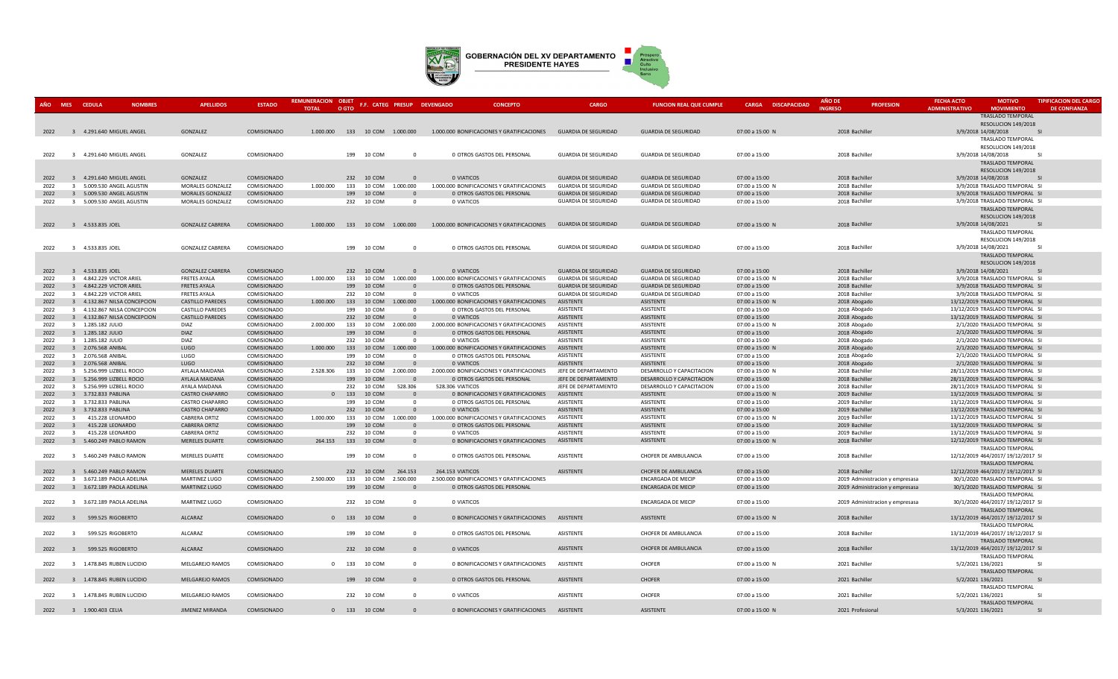

|              | AÑO MES CEDULA                   | <b>NOMBRES</b>               | <b>APELLIDOS</b>                                   | <b>ESTADO</b>              | <b>REMUNERACION OBJET</b><br><b>TOTAL</b> | O GTO      |                  | F.F. CATEG PRESUP DEVENGADO        | <b>CONCEPTO</b>                                                                                | <b>CARGO</b>                             | <b>FUNCION REAL QUE CUMPLE</b>           | CARGA DISCAPACIDAD               | <b>AÑO DE</b><br><b>INGRESO</b> | <b>PROFESION</b>                | <b>FECHA ACTO</b><br><b>ADMINISTRATIVO</b> | <b>MOTIVO</b><br><b>MOVIMIENTO</b>                                 | <b>TIPIFICACION DEL CARGO</b><br><b>DE CONFIANZA</b> |
|--------------|----------------------------------|------------------------------|----------------------------------------------------|----------------------------|-------------------------------------------|------------|------------------|------------------------------------|------------------------------------------------------------------------------------------------|------------------------------------------|------------------------------------------|----------------------------------|---------------------------------|---------------------------------|--------------------------------------------|--------------------------------------------------------------------|------------------------------------------------------|
|              |                                  |                              |                                                    |                            |                                           |            |                  |                                    |                                                                                                |                                          |                                          |                                  |                                 |                                 |                                            | <b>TRASLADO TEMPORAL</b><br>RESOLUCION 149/2018                    |                                                      |
| 2022         |                                  | 3 4.291.640 MIGUEL ANGEL     | GONZALEZ                                           | COMISIONADO                |                                           |            |                  |                                    | 1.000.000 133 10 COM 1.000.000 1.000.000 BONIFICACIONES Y GRATIFICACIONES GUARDIA DE SEGURIDAD |                                          | <b>GUARDIA DE SEGURIDAD</b>              | 07:00 a 15:00 N                  | 2018 Bachiller                  |                                 | 3/9/2018 14/08/2018                        | SI                                                                 |                                                      |
|              |                                  |                              |                                                    |                            |                                           |            |                  |                                    |                                                                                                |                                          |                                          |                                  |                                 |                                 |                                            | TRASLADO TEMPORAL                                                  |                                                      |
|              |                                  |                              |                                                    |                            |                                           |            |                  |                                    |                                                                                                |                                          |                                          |                                  |                                 |                                 |                                            | RESOLUCION 149/2018                                                |                                                      |
| 2022         |                                  | 3 4.291.640 MIGUEL ANGEL     | GONZALEZ                                           | COMISIONADO                |                                           |            | 199 10 COM       | $\Omega$                           | 0 OTROS GASTOS DEL PERSONAL                                                                    | <b>GUARDIA DE SEGURIDAD</b>              | <b>GUARDIA DE SEGURIDAD</b>              | 07:00 a 15:00                    | 2018 Bachiller                  |                                 | 3/9/2018 14/08/2018                        | - SI                                                               |                                                      |
|              |                                  |                              |                                                    |                            |                                           |            |                  |                                    |                                                                                                |                                          |                                          |                                  |                                 |                                 |                                            | <b>TRASLADO TEMPORAL</b>                                           |                                                      |
|              |                                  |                              |                                                    |                            |                                           |            |                  |                                    |                                                                                                |                                          |                                          |                                  |                                 |                                 |                                            | RESOLUCION 149/2018                                                |                                                      |
| 2022         |                                  | 3 4.291.640 MIGUEL ANGEL     | GONZALEZ                                           | COMISIONADO                |                                           |            | 232 10 COM       | $\overline{0}$                     | 0 VIATICOS                                                                                     | <b>GUARDIA DE SEGURIDAD</b>              | <b>GUARDIA DE SEGURIDAD</b>              | 07:00 a 15:00                    | 2018 Bachiller                  |                                 | 3/9/2018 14/08/2018                        | S                                                                  |                                                      |
| 2022         |                                  | 3 5.009.530 ANGEL AGUSTIN    | MORALES GONZALEZ                                   | COMISIONADO                | 1.000.000                                 | 133        | 10 COM           | 1.000.000                          | 1.000.000 BONIFICACIONES Y GRATIFICACIONES                                                     | <b>GUARDIA DE SEGURIDAD</b>              | GUARDIA DE SEGURIDAD                     | 07:00 a 15:00 l                  | 2018 Bachiller                  |                                 |                                            | 3/9/2018 TRASLADO TEMPORAL SI                                      |                                                      |
| 2022         |                                  | 3 5.009.530 ANGEL AGUSTIN    | MORALES GONZALEZ                                   | COMISIONADO                |                                           |            | 199 10 COM       | $\Omega$                           | 0 OTROS GASTOS DEL PERSONAL                                                                    | <b>GUARDIA DE SEGURIDAD</b>              | <b>GUARDIA DE SEGURIDAD</b>              | 07:00 a 15:00                    | 2018 Bachiller                  |                                 |                                            | 3/9/2018 TRASLADO TEMPORAL SI                                      |                                                      |
| 2022         |                                  | 3 5.009.530 ANGEL AGUSTIN    | MORALES GONZALEZ                                   | COMISIONADO                |                                           |            | 232 10 COM       | $\overline{0}$                     | 0 VIATICOS                                                                                     | <b>GUARDIA DE SEGURIDAD</b>              | <b>GUARDIA DE SEGURIDAD</b>              | 07:00 a 15:00                    | 2018 Bachiller                  |                                 |                                            | 3/9/2018 TRASLADO TEMPORAL SI                                      |                                                      |
|              |                                  |                              |                                                    |                            |                                           |            |                  |                                    |                                                                                                |                                          |                                          |                                  |                                 |                                 |                                            | TRASLADO TEMPORAL                                                  |                                                      |
|              |                                  |                              |                                                    |                            |                                           |            |                  |                                    |                                                                                                |                                          |                                          |                                  |                                 |                                 |                                            | RESOLUCION 149/2018                                                |                                                      |
| 2022         | 3 4.533.835 JOEL                 |                              | <b>GONZALEZ CABRERA</b>                            | COMISIONADO                |                                           |            |                  | 1.000.000  133  10  COM  1.000.000 | 1.000.000 BONIFICACIONES Y GRATIFICACIONES                                                     | <b>GUARDIA DE SEGURIDAD</b>              | <b>GUARDIA DE SEGURIDAD</b>              | 07:00 a 15:00 M                  | 2018 Bachiller                  |                                 | 3/9/2018 14/08/2021                        |                                                                    | $\mathsf{S}$                                         |
|              |                                  |                              |                                                    |                            |                                           |            |                  |                                    |                                                                                                |                                          |                                          |                                  |                                 |                                 |                                            | TRASLADO TEMPORAL                                                  |                                                      |
|              |                                  |                              |                                                    |                            |                                           |            |                  |                                    |                                                                                                |                                          |                                          |                                  |                                 |                                 |                                            | RESOLUCION 149/2018                                                |                                                      |
| 2022         | 4.533.835 JOEL<br>$\overline{3}$ |                              | <b>GONZALEZ CABRERA</b>                            | COMISIONADO                |                                           |            | 199 10 COM       | $\Omega$                           | 0 OTROS GASTOS DEL PERSONAL                                                                    | <b>GUARDIA DE SEGURIDAD</b>              | <b>GUARDIA DE SEGURIDAD</b>              | 07:00 a 15:00                    | 2018 Bachiller                  |                                 | 3/9/2018 14/08/2021                        | SI                                                                 |                                                      |
|              |                                  |                              |                                                    |                            |                                           |            |                  |                                    |                                                                                                |                                          |                                          |                                  |                                 |                                 |                                            | TRASLADO TEMPORAL                                                  |                                                      |
|              |                                  |                              |                                                    |                            |                                           |            |                  |                                    |                                                                                                |                                          |                                          |                                  |                                 |                                 |                                            | RESOLUCION 149/2018                                                |                                                      |
| 2022         | 3 4.533.835 JOEL                 |                              | <b>GONZALEZ CABRERA</b>                            | COMISIONADO                |                                           |            | 232 10 COM       | $\overline{0}$                     | O VIATICOS                                                                                     | <b>GUARDIA DE SEGURIDAD</b>              | <b>GUARDIA DE SEGURIDAD</b>              | 07:00 a 15:00                    | 2018 Bachiller                  |                                 | 3/9/2018 14/08/2021                        | - SI                                                               |                                                      |
| 2022         |                                  | 3 4.842.229 VICTOR ARIEL     | <b>FRETES AYALA</b>                                | COMISIONADO                | 1.000.000                                 | 133        | 10 COM           | 1.000.000                          | 1.000.000 BONIFICACIONES Y GRATIFICACIONES                                                     | <b>GUARDIA DE SEGURIDAD</b>              | <b>GUARDIA DE SEGURIDAD</b>              | 07:00 a 15:00 N                  | 2018 Bachiller                  |                                 |                                            | 3/9/2018 TRASLADO TEMPORAL SI                                      |                                                      |
| 2022         |                                  | 3 4.842.229 VICTOR ARIEL     | <b>FRETES AYALA</b>                                | COMISIONADO                |                                           |            | 199 10 COM       | $\overline{0}$                     | 0 OTROS GASTOS DEL PERSONAL                                                                    | <b>GUARDIA DE SEGURIDAD</b>              | <b>GUARDIA DE SEGURIDAD</b>              | 07:00 a 15:00                    | 2018 Bachiller                  |                                 |                                            | 3/9/2018 TRASLADO TEMPORAL SI                                      |                                                      |
| 2022         |                                  | 3 4.842.229 VICTOR ARIEL     | <b>FRETES AYALA</b>                                | COMISIONADO                |                                           |            | 232 10 COM       | $\Omega$                           | 0 VIATICOS                                                                                     | <b>GUARDIA DE SEGURIDAD</b><br>ASISTENTE | <b>GUARDIA DE SEGURIDAD</b><br>ASISTENTE | 07:00 a 15:00                    | 2018 Bachiller                  |                                 |                                            | 3/9/2018 TRASLADO TEMPORAL SI<br>13/12/2019 TRASLADO TEMPORAL SI   |                                                      |
| 2022         |                                  | 3 4.132.867 NILSA CONCEPCION | <b>CASTILLO PAREDES</b>                            | COMISIONADO                | 1.000.000                                 | 133        | 10 COM           | .000.000                           | 1.000.000 BONIFICACIONES Y GRATIFICACIONES                                                     |                                          |                                          | 07:00 a 15:00 N                  | 2018 Abogado                    |                                 |                                            |                                                                    |                                                      |
| 2022<br>2022 |                                  | 3 4.132.867 NILSA CONCEPCION | <b>CASTILLO PAREDES</b><br><b>CASTILLO PAREDES</b> | COMISIONADO<br>COMISIONADO |                                           | 199        | 10 COM           | $\overline{0}$<br>$\overline{0}$   | 0 OTROS GASTOS DEL PERSONAL<br>0 VIATICOS                                                      | ASISTENTE<br>ASISTENTE                   | ASISTENTE<br>ASISTENTE                   | 07:00 a 15:00                    | 2018 Abogado                    |                                 |                                            | 13/12/2019 TRASLADO TEMPORAL SI<br>13/12/2019 TRASLADO TEMPORAL SI |                                                      |
| 2022         | 3 1.285.182 JULIO                | 3 4.132.867 NILSA CONCEPCION | <b>DIAZ</b>                                        | COMISIONADO                | 2.000.000                                 | 232<br>133 | 10 COM<br>10 COM | 2.000.000                          | 2.000.000 BONIFICACIONES Y GRATIFICACIONES                                                     | ASISTENTE                                | ASISTENTE                                | 07:00 a 15:00<br>07:00 a 15:00 N | 2018 Abogado<br>2018 Abogado    |                                 |                                            | 2/1/2020 TRASLADO TEMPORAL SI                                      |                                                      |
| 2022         | 3 1.285.182 JULIO                |                              | <b>DIAZ</b>                                        | COMISIONADO                |                                           |            | 199 10 COM       | $\Omega$                           | 0 OTROS GASTOS DEL PERSONAL                                                                    | <b>ASISTENTE</b>                         | ASISTENTE                                | 07:00 a 15:00                    | 2018 Abogado                    |                                 |                                            | 2/1/2020 TRASLADO TEMPORAL SI                                      |                                                      |
| 2022         | 3 1.285.182 JULIO                |                              | DIA7                                               | COMISIONADO                |                                           |            | 232 10 COM       | $\Omega$                           | 0 VIATICOS                                                                                     | ASISTENTE                                | ASISTENTE                                | 07:00 a 15:00                    | 2018 Abogado                    |                                 |                                            | 2/1/2020 TRASLADO TEMPORAL SI                                      |                                                      |
| 2022         | 3 2.076.568 ANIBAL               |                              | LUGO                                               | COMISIONADO                | 1.000.000                                 | 133        | 10 COM           | .000.000                           | 1.000.000 BONIFICACIONES Y GRATIFICACIONES                                                     | ASISTENTE                                | ASISTENTE                                | 07:00 a 15:00 N                  | 2018 Abogado                    |                                 |                                            | 2/1/2020 TRASLADO TEMPORAL SI                                      |                                                      |
| 2022         | 3 2.076.568 ANIBAL               |                              | LUGO                                               | COMISIONADO                |                                           | 199        | 10 COM           | $\Omega$                           | 0 OTROS GASTOS DEL PERSONAL                                                                    | ASISTENTE                                | ASISTENTE                                | 07:00 a 15:00                    | 2018 Abogado                    |                                 |                                            | 2/1/2020 TRASLADO TEMPORAL SI                                      |                                                      |
| 2022         | 3 2.076.568 ANIBAL               |                              | LUGO                                               | COMISIONADO                |                                           |            | 232 10 COM       | $\overline{0}$                     | 0 VIATICOS                                                                                     | ASISTENTE                                | ASISTENTE                                | 07:00 a 15:00                    | 2018 Abogado                    |                                 |                                            | 2/1/2020 TRASLADO TEMPORAL SI                                      |                                                      |
| 2022         |                                  | 3 5.256.999 LIZBELL ROCIO    | AYLALA MAIDANA                                     | COMISIONADO                | 2.528.306                                 | 133        | 10 COM           | 2.000.000                          | 2.000.000 BONIFICACIONES Y GRATIFICACIONES                                                     | JEFE DE DEPARTAMENTO                     | DESARROLLO Y CAPACITACION                | 07:00 a 15:00 N                  | 2018 Bachiller                  |                                 |                                            | 28/11/2019 TRASLADO TEMPORAL SI                                    |                                                      |
| 2022         |                                  | 3 5.256.999 LIZBELL ROCIO    | AYLALA MAIDANA                                     | COMISIONADO                |                                           | 199        | 10 COM           | $\overline{0}$                     | 0 OTROS GASTOS DEL PERSONAL                                                                    | JEFE DE DEPARTAMENTO                     | DESARROLLO Y CAPACITACION                | 07:00 a 15:00                    | 2018 Bachiller                  |                                 |                                            | 28/11/2019 TRASLADO TEMPORAL SI                                    |                                                      |
| 2022         |                                  | 3 5.256.999 LIZBELL ROCIO    | AYALA MAIDANA                                      | COMISIONADO                |                                           | 232        | 10 COM           | 528.306                            | 528.306 VIATICOS                                                                               | JEFE DE DEPARTAMENTO                     | DESARROLLO Y CAPACITACION                | 07:00 a 15:00                    | 2018 Bachiller                  |                                 |                                            | 28/11/2019 TRASLADO TEMPORAL SI                                    |                                                      |
| 2022         |                                  | 3 3.732.833 PABLINA          | CASTRO CHAPARRO                                    | COMISIONADO                |                                           | 133        | 10 COM           | $\overline{0}$                     | 0 BONIFICACIONES Y GRATIFICACIONES                                                             | ASISTENTE                                | ASISTENTE                                | 07:00 a 15:00 M                  | 2019 Bachiller                  |                                 |                                            | 13/12/2019 TRASLADO TEMPORAL SI                                    |                                                      |
| 2022         | 3 3.732.833 PABLINA              |                              | <b>CASTRO CHAPARRO</b>                             | COMISIONADO                |                                           | 199        | 10 COM           | $\overline{0}$                     | 0 OTROS GASTOS DEL PERSONAL                                                                    | ASISTENTE                                | ASISTENTE                                | 07:00 a 15:00                    | 2019 Bachiller                  |                                 |                                            | 13/12/2019 TRASLADO TEMPORAL SI                                    |                                                      |
| 2022         |                                  | 3 3.732.833 PABLINA          | <b>CASTRO CHAPARRO</b>                             | COMISIONADO                |                                           | 232        | 10 COM           | $\Omega$                           | 0 VIATICOS                                                                                     | <b>ASISTENTE</b>                         | <b>ASISTENTE</b>                         | 07:00 a 15:00                    | 2019 Bachiller                  |                                 |                                            | 13/12/2019 TRASLADO TEMPORAL SI                                    |                                                      |
| 2022         | $\overline{3}$                   | 415.228 LEONARDO             | <b>CABRERA ORTIZ</b>                               | COMISIONADO                | 1.000.000                                 | 133        | 10 COM           | 1.000.000                          | 1.000.000 BONIFICACIONES Y GRATIFICACIONES                                                     | ASISTENTE                                | ASISTENTE                                | 07:00 a 15:00 N                  | 2019 Bachiller                  |                                 |                                            | 13/12/2019 TRASLADO TEMPORAL SI                                    |                                                      |
| 2022         |                                  | 415.228 LEONARDO             | <b>CABRERA ORTIZ</b>                               | COMISIONADO                |                                           | 199        | <b>10 COM</b>    | $\mathbf{0}$                       | 0 OTROS GASTOS DEL PERSONAL                                                                    | ASISTENTE                                | ASISTENTE                                | 07:00 a 15:00                    | 2019 Bachiller                  |                                 |                                            | 13/12/2019 TRASLADO TEMPORAL SI                                    |                                                      |
| 2022         | $\overline{\mathbf{3}}$          | 415.228 LEONARDO             | <b>CABRERA ORTIZ</b>                               | COMISIONADO                |                                           |            | 232 10 COM       | $\overline{0}$                     | 0 VIATICOS                                                                                     | ASISTENTE                                | ASISTENTE                                | 07:00 a 15:00                    | 2019 Bachiller                  |                                 |                                            | 13/12/2019 TRASLADO TEMPORAL SI                                    |                                                      |
| 2022         |                                  | 3 5.460.249 PABLO RAMON      | MERELES DUARTE                                     | COMISIONADO                | 264.153 133 10 COM                        |            |                  | $\Omega$                           | 0 BONIFICACIONES Y GRATIFICACIONES                                                             | ASISTENTE                                | ASISTENTE                                | 07:00 a 15:00 N                  | 2018 Bachiller                  |                                 |                                            | 12/12/2019 TRASLADO TEMPORAL SI                                    |                                                      |
|              |                                  |                              |                                                    |                            |                                           |            |                  |                                    |                                                                                                |                                          |                                          |                                  |                                 |                                 |                                            | TRASLADO TEMPORAL                                                  |                                                      |
| 2022         |                                  | 3 5.460.249 PABLO RAMON      | <b>MERELES DUARTE</b>                              | COMISIONADO                |                                           | 199        | 10 COM           | $\overline{0}$                     | 0 OTROS GASTOS DEL PERSONAL                                                                    | ASISTENTE                                | CHOFER DE AMBULANCIA                     | 07:00 a 15:00                    | 2018 Bachiller                  |                                 |                                            | 12/12/2019 464/2017/ 19/12/2017 SI                                 |                                                      |
|              |                                  |                              |                                                    |                            |                                           |            |                  |                                    |                                                                                                |                                          |                                          |                                  |                                 |                                 |                                            | TRASLADO TEMPORAL                                                  |                                                      |
| 2022         |                                  | 3 5.460.249 PABLO RAMON      | <b>MERELES DUARTE</b>                              | COMISIONADO                |                                           |            | 232 10 COM       | 264.153                            | 264.153 VIATICOS                                                                               | <b>ASISTENTE</b>                         | CHOFER DE AMBULANCIA                     | 07:00 a 15:00                    | 2018 Bachiller                  |                                 |                                            | 12/12/2019 464/2017/ 19/12/2017 SI                                 |                                                      |
| 2022         |                                  | 3 3.672.189 PAOLA ADELINA    | MARTINEZ LUGO                                      | COMISIONADO                | 2.500.000                                 | 133        | 10 COM           | 2.500.000                          | 2.500.000 BONIFICACIONES Y GRATIFICACIONES                                                     |                                          | ENCARGADA DE MECIP                       | 07:00 a 15:00                    |                                 | 2019 Administracion y empresasa |                                            | 30/1/2020 TRASLADO TEMPORAL SI                                     |                                                      |
| 2022         |                                  | 3 3.672.189 PAOLA ADELINA    | MARTINEZ LUGO                                      | COMISIONADO                |                                           |            | 199 10 COM       | $\overline{0}$                     | 0 OTROS GASTOS DEL PERSONAL                                                                    |                                          | <b>ENCARGADA DE MECIP</b>                | 07:00 a 15:00                    |                                 | 2019 Administracion y empresasa |                                            | 30/1/2020 TRASLADO TEMPORAL SI                                     |                                                      |
|              |                                  |                              |                                                    |                            |                                           |            |                  |                                    |                                                                                                |                                          |                                          |                                  |                                 |                                 |                                            | TRASLADO TEMPORAL                                                  |                                                      |
| 2022         |                                  | 3 3.672.189 PAOLA ADELINA    | MARTINEZ LUGO                                      | COMISIONADO                |                                           |            | 232 10 COM       | $\overline{\mathbf{0}}$            | 0 VIATICOS                                                                                     |                                          | ENCARGADA DE MECIP                       | 07:00 a 15:00                    |                                 | 2019 Administracion y empresasa |                                            | 30/1/2020 464/2017/ 19/12/2017 SI                                  |                                                      |
|              |                                  |                              |                                                    |                            |                                           |            |                  |                                    |                                                                                                |                                          |                                          |                                  |                                 |                                 |                                            | <b>TRASLADO TEMPORAL</b>                                           |                                                      |
| 2022         | $\overline{3}$                   | 599.525 RIGOBERTO            | ALCARAZ                                            | COMISIONADO                |                                           |            | 0 133 10 COM     | $\overline{0}$                     | 0 BONIFICACIONES Y GRATIFICACIONES                                                             | ASISTENTE                                | ASISTENTE                                | 07:00 a 15:00 N                  | 2018 Bachiller                  |                                 |                                            | 13/12/2019 464/2017/ 19/12/2017 SI                                 |                                                      |
|              |                                  |                              |                                                    |                            |                                           |            |                  |                                    |                                                                                                |                                          |                                          |                                  |                                 |                                 |                                            | <b>TRASI ADO TEMPORAL</b>                                          |                                                      |
| 2022         | $\mathbf{R}$                     | 599.525 RIGOBERTO            | ALCARAZ                                            | COMISIONADO                |                                           |            | 199 10 COM       | $\Omega$                           | 0 OTROS GASTOS DEL PERSONAL                                                                    | ASISTENTE                                | CHOFER DE AMBULANCIA                     | 07:00 a 15:00                    | 2018 Bachiller                  |                                 |                                            | 13/12/2019 464/2017/ 19/12/2017 SI                                 |                                                      |
| 2022         | $\overline{3}$                   | 599.525 RIGOBERTO            | <b>ALCARAZ</b>                                     | COMISIONADO                |                                           |            | 232 10 COM       | $\Omega$                           | 0 VIATICOS                                                                                     | ASISTENTE                                | CHOFER DE AMBULANCIA                     | 07:00 a 15:00                    | 2018 Bachiller                  |                                 |                                            | TRASLADO TEMPORAL<br>13/12/2019 464/2017/ 19/12/2017 SI            |                                                      |
|              |                                  |                              |                                                    |                            |                                           |            |                  |                                    |                                                                                                |                                          |                                          |                                  |                                 |                                 |                                            |                                                                    |                                                      |
|              |                                  | 3 1.478.845 RUBEN LUCIDIO    | <b>MELGAREJO RAMOS</b>                             | COMISIONADO                |                                           |            | 0 133 10 COM     | $\Omega$                           | 0 BONIFICACIONES Y GRATIFICACIONES                                                             | ASISTENTE                                | CHOFER                                   | 07:00 a 15:00 N                  | 2021 Bachiller                  |                                 | 5/2/2021 136/2021                          | TRASLADO TEMPORAL                                                  | SI                                                   |
| 2022         |                                  |                              |                                                    |                            |                                           |            |                  |                                    |                                                                                                |                                          |                                          |                                  |                                 |                                 |                                            | TRASLADO TEMPORAL                                                  |                                                      |
| 2022         |                                  | 3 1.478.845 RUBEN LUCIDIO    | <b>MELGAREJO RAMOS</b>                             | COMISIONADO                |                                           |            | 199 10 COM       | $\Omega$                           | 0 OTROS GASTOS DEL PERSONAL                                                                    | ASISTENTE                                | <b>CHOFER</b>                            | 07:00 a 15:00                    | 2021 Bachiller                  |                                 | 5/2/2021 136/2021                          |                                                                    | $\overline{S}$                                       |
|              |                                  |                              |                                                    |                            |                                           |            |                  |                                    |                                                                                                |                                          |                                          |                                  |                                 |                                 |                                            | TRASLADO TEMPORAL                                                  |                                                      |
| 2022         |                                  | 3 1.478.845 RUBEN LUCIDIO    | MELGAREJO RAMOS                                    | COMISIONADO                |                                           |            | 232 10 COM       | $\overline{0}$                     | 0 VIATICOS                                                                                     | ASISTENTE                                | <b>CHOFER</b>                            | 07:00 a 15:00                    | 2021 Bachiller                  |                                 | 5/2/2021 136/2021                          | - SI                                                               |                                                      |
|              |                                  |                              |                                                    |                            |                                           |            |                  |                                    |                                                                                                |                                          |                                          |                                  |                                 |                                 |                                            | TRASLADO TEMPORAL                                                  |                                                      |
|              | 2022 3 1.900.403 CELIA           |                              | JIMENEZ MIRANDA                                    | COMISIONADO                |                                           |            | 0 133 10 COM     | $\Omega$                           | 0 BONIFICACIONES Y GRATIFICACIONES                                                             | ASISTENTE                                | ASISTENTE                                | 07:00 a 15:00 N                  | 2021 Profesional                |                                 | 5/3/2021 136/2021                          |                                                                    | $\overline{S}$                                       |
|              |                                  |                              |                                                    |                            |                                           |            |                  |                                    |                                                                                                |                                          |                                          |                                  |                                 |                                 |                                            |                                                                    |                                                      |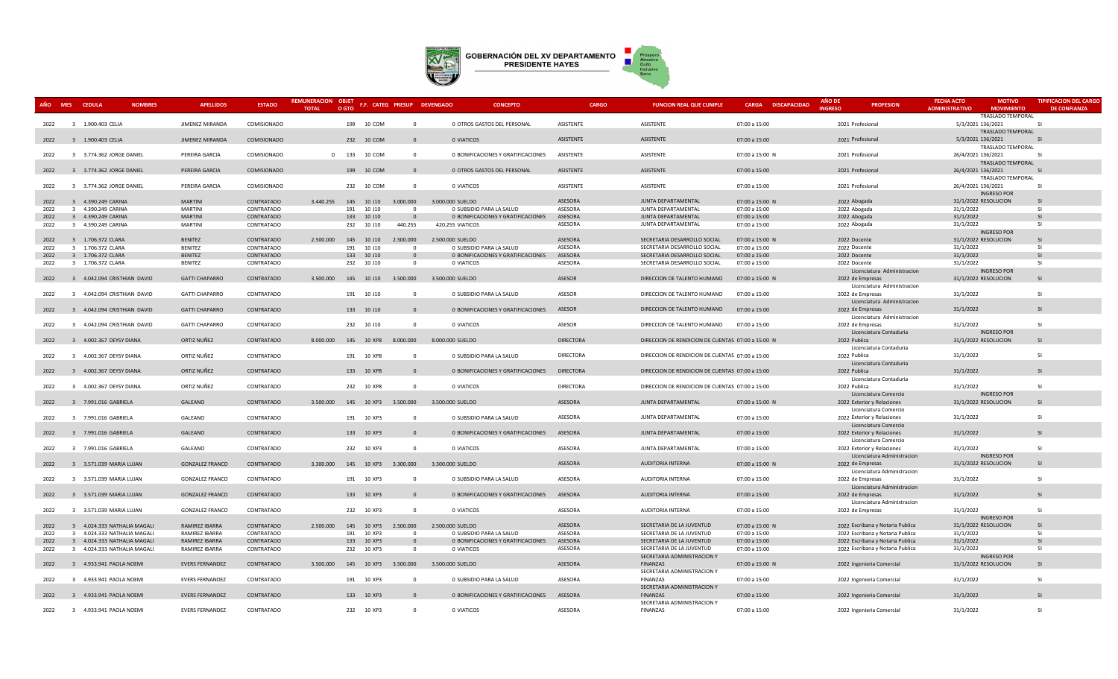

| AÑO MES CEDULA | <b>NOMBRES</b>                                             | <b>APELLIDOS</b>                 | <b>ESTADO</b>            | REMUNERACION OBJET<br><b>TOTAL</b> | O GTO                              | F.F. CATEG PRESUP DEVENGADO               | <b>CONCEPTO</b>                                                | CARGO              | <b>FUNCION REAL QUE CUMPLE</b>                               | CARGA DISCAPACIDAD             | <b>AÑO DE</b><br><b>PROFESION</b><br><b>INGRES</b>                   | <b>FECHA ACTO</b><br><b>ADMINISTRATIVO</b> | <b>MOTIVO</b><br><b>MOVIMIENTO</b> | <b>TIPIFICACION DEL CARGO</b><br><b>DE CONFIANZA</b> |
|----------------|------------------------------------------------------------|----------------------------------|--------------------------|------------------------------------|------------------------------------|-------------------------------------------|----------------------------------------------------------------|--------------------|--------------------------------------------------------------|--------------------------------|----------------------------------------------------------------------|--------------------------------------------|------------------------------------|------------------------------------------------------|
| 2022           | 3 1.900.403 CELIA                                          | JIMENEZ MIRANDA                  | COMISIONADO              |                                    | 199 10 COM                         | $\Omega$                                  | 0 OTROS GASTOS DEL PERSONAL                                    | ASISTENTE          | ASISTENTE                                                    | 07:00 a 15:00                  | 2021 Profesional                                                     | 5/3/2021 136/2021                          | TRASLADO TEMPORAL                  | -SI                                                  |
| 2022           | 3 1.900.403 CELIA                                          | JIMENEZ MIRANDA                  | COMISIONADO              |                                    | 232 10 COM                         | $\mathbf{0}$                              | 0 VIATICOS                                                     | ASISTENTE          | ASISTENTE                                                    | 07:00 a 15:00                  | 2021 Profesional                                                     | 5/3/2021 136/2021                          | TRASLADO TEMPORAL                  | $\overline{S}$                                       |
|                |                                                            |                                  |                          |                                    |                                    |                                           |                                                                |                    |                                                              |                                |                                                                      |                                            | TRASLADO TEMPORAL                  |                                                      |
| 2022           | 3 3.774.362 JORGE DANIEL                                   | PEREIRA GARCIA                   | COMISIONADO              |                                    | 0 133 10 COM                       | $\Omega$                                  | 0 BONIFICACIONES Y GRATIFICACIONES                             | ASISTENTE          | ASISTENTE                                                    | 07:00 a 15:00 N                | 2021 Profesional                                                     | 26/4/2021 136/2021                         | TRASLADO TEMPORAL                  | -SI                                                  |
| 2022           | 3 3.774.362 JORGE DANIEL                                   | PEREIRA GARCIA                   | COMISIONADO              |                                    | 199 10 COM                         | $\mathbf{0}$                              | 0 OTROS GASTOS DEL PERSONAL                                    | ASISTENTE          | ASISTENTE                                                    | 07:00 a 15:00                  | 2021 Profesional                                                     | 26/4/2021 136/2021                         |                                    | -SI                                                  |
|                |                                                            |                                  |                          |                                    |                                    |                                           |                                                                |                    |                                                              |                                |                                                                      |                                            | TRASLADO TEMPORAL                  |                                                      |
| 2022           | 3 3.774.362 JORGE DANIEL                                   | PEREIRA GARCIA                   | COMISIONADO              |                                    | 232 10 COM                         | $\overline{\mathbf{0}}$                   | 0 VIATICOS                                                     | ASISTENTE          | ASISTENTE                                                    | 07:00 a 15:00                  | 2021 Profesional                                                     | 26/4/2021 136/2021                         | <b>INGRESO POR</b>                 | -SI                                                  |
| 2022           | 3 4.390.249 CARINA                                         | <b>MARTINI</b>                   | CONTRATADO               | 3.440.255                          | 145 10 J10                         | 3.000.000                                 | 3.000.000 SUELDO                                               | <b>ASESORA</b>     | <b>JUNTA DEPARTAMENTAL</b>                                   | 07:00 a 15:00 N                | 2022 Abogada                                                         | 31/1/2022 RESOLUCION                       |                                    | -SI                                                  |
| 2022           | 3 4.390.249 CARINA                                         | <b>MARTINI</b>                   | CONTRATADO               |                                    | 191 10 J10                         | $\Omega$                                  | 0 SUBSIDIO PARA LA SALUD                                       | ASESORA            | JUNTA DEPARTAMENTAL                                          | 07:00 a 15:00                  | 2022 Abogada                                                         | 31/1/2022                                  |                                    | -SI                                                  |
| 2022<br>2022   | 3 4.390.249 CARINA<br>3 4.390.249 CARINA                   | <b>MARTINI</b><br><b>MARTINI</b> | CONTRATADO<br>CONTRATADO |                                    | 133 10 J10<br>232 10 J10           | $\Omega$<br>440.255                       | 0 BONIFICACIONES Y GRATIFICACIONES<br>420.255 VIATICOS         | ASESORA<br>ASESORA | JUNTA DEPARTAMENTAL<br>JUNTA DEPARTAMENTAL                   | 07:00 a 15:00<br>07:00 a 15:00 | 2022 Abogada<br>2022 Abogada                                         | 31/1/2022<br>31/1/2022                     |                                    | <b>SI</b><br>-SI                                     |
|                |                                                            |                                  |                          |                                    |                                    |                                           |                                                                |                    |                                                              |                                |                                                                      |                                            | <b>INGRESO POR</b>                 |                                                      |
| 2022           | 3 1.706.372 CLARA                                          | <b>BENITEZ</b>                   | CONTRATADO               | 2.500.000                          | 145 10 J10                         | 2.500.000                                 | 2.500.000 SUELDO                                               | ASESORA            | SECRETARIA DESARROLLO SOCIAL                                 | 07:00 a 15:00 N                | 2022 Docente                                                         | 31/1/2022 RESOLUCION                       |                                    | SI                                                   |
| 2022<br>2022   | 3 1.706.372 CLARA<br>3 1.706.372 CLARA                     | <b>BENITEZ</b><br><b>BENITEZ</b> | CONTRATADO<br>CONTRATADO |                                    | 191 10 J10<br>10 J10<br>133        | $\overline{0}$<br>$\overline{0}$          | 0 SUBSIDIO PARA LA SALUD<br>0 BONIFICACIONES Y GRATIFICACIONES | ASESORA<br>ASESORA | SECRETARIA DESARROLLO SOCIAL<br>SECRETARIA DESARROLLO SOCIAL | 07:00 a 15:00<br>07:00 a 15:00 | 2022 Docente<br>2022 Docente                                         | 31/1/2022<br>31/1/2022                     |                                    | -SI<br><sub>SI</sub>                                 |
| 2022           | 3 1.706.372 CLARA                                          | <b>BENITEZ</b>                   | CONTRATADO               |                                    | 232 10 J10                         | $\overline{0}$                            | 0 VIATICOS                                                     | ASESORA            | SECRETARIA DESARROLLO SOCIAL                                 | 07:00 a 15:00                  | 2022 Docente                                                         | 31/1/2022                                  |                                    | SI                                                   |
|                |                                                            |                                  |                          |                                    |                                    |                                           |                                                                |                    |                                                              |                                | Licenciatura Administracion                                          |                                            | <b>INGRESO POR</b>                 |                                                      |
| 2022           | 3 4.042.094 CRISTHIAN DAVID                                | <b>GATTI CHAPARRO</b>            | CONTRATADO               |                                    |                                    |                                           | 3.500.000  145  10  110  3.500.000  3.500.000  SUELDO          | ASESOR             | DIRECCION DE TALENTO HUMANO                                  | 07:00 a 15:00 N                | 2022 de Empresas<br>Licenciatura Administracion                      | 31/1/2022 RESOLUCION                       |                                    | -SI                                                  |
| 2022           | 3 4.042.094 CRISTHIAN DAVID                                | <b>GATTI CHAPARRO</b>            | CONTRATADO               |                                    | 191 10 J10                         | $\overline{0}$                            | 0 SUBSIDIO PARA LA SALUD                                       | ASESOR             | DIRECCION DE TALENTO HUMANO                                  | 07:00 a 15:00                  | 2022 de Empresas                                                     | 31/1/2022                                  |                                    | -SI                                                  |
|                |                                                            |                                  |                          |                                    |                                    |                                           |                                                                |                    |                                                              |                                | Licenciatura Administracion                                          |                                            |                                    |                                                      |
| 2022           | 3 4.042.094 CRISTHIAN DAVID                                | <b>GATTI CHAPARRO</b>            | CONTRATADO               |                                    | 133 10 J10                         | $\overline{0}$                            | 0 BONIFICACIONES Y GRATIFICACIONES                             | ASESOR             | DIRECCION DE TALENTO HUMANO                                  | 07:00 a 15:00                  | 2022 de Empresas<br>Licenciatura Administracion                      | 31/1/2022                                  |                                    | $\mathsf{S}$                                         |
| 2022           | 3 4.042.094 CRISTHIAN DAVID                                | <b>GATTI CHAPARRO</b>            | CONTRATADO               |                                    | 232 10 J10                         | $\Omega$                                  | 0 VIATICOS                                                     | <b>ASESOR</b>      | DIRECCION DE TALENTO HUMANO                                  | 07:00 a 15:00                  | 2022 de Empresas                                                     | 31/1/2022                                  |                                    | $\mathsf{S}$                                         |
|                |                                                            |                                  |                          |                                    |                                    |                                           |                                                                |                    |                                                              |                                | Licenciatura Contaduria                                              |                                            | <b>INGRESO POR</b>                 |                                                      |
| 2022           | 3 4.002.367 DEYSY DIANA                                    | ORTIZ NUÑEZ                      | CONTRATADO               |                                    | 8.000.000  145  10 XP8  8.000.000  |                                           | 8,000,000 SUELDO                                               | <b>DIRECTORA</b>   | DIRECCION DE RENDICION DE CUENTAS 07:00 a 15:00 N            |                                | 2022 Publica                                                         | 31/1/2022 RESOLUCION                       |                                    | -SI                                                  |
| 2022           | 3 4.002.367 DEYSY DIANA                                    | ORTIZ NUÑEZ                      | CONTRATADO               |                                    | 191 10 XP8                         | $\overline{0}$                            | 0 SUBSIDIO PARA LA SALUD                                       | <b>DIRECTORA</b>   | DIRECCION DE RENDICION DE CUENTAS 07:00 a 15:00              |                                | Licenciatura Contaduria<br>2022 Publica                              | 31/1/2022                                  |                                    | -SI                                                  |
|                |                                                            |                                  |                          |                                    |                                    |                                           |                                                                |                    |                                                              |                                | Licenciatura Contaduria                                              |                                            |                                    |                                                      |
| 2022           | 3 4.002.367 DEYSY DIANA                                    | ORTIZ NUÑEZ                      | CONTRATADO               |                                    | 133 10 XP8                         | $\Omega$                                  | 0 BONIFICACIONES Y GRATIFICACIONES                             | <b>DIRECTORA</b>   | DIRECCION DE RENDICION DE CUENTAS 07:00 a 15:00              |                                | 2022 Publica                                                         | 31/1/2022                                  |                                    | $\overline{S}$                                       |
| 2022           | 3 4.002.367 DEYSY DIANA                                    | ORTIZ NUÑEZ                      | CONTRATADO               |                                    | 232 10 XP8                         | $\Omega$                                  | 0 VIATICOS                                                     | <b>DIRECTORA</b>   | DIRECCION DE RENDICION DE CUENTAS 07:00 a 15:00              |                                | Licenciatura Contaduria<br>2022 Publica                              | 31/1/2022                                  |                                    | -SI                                                  |
|                |                                                            |                                  |                          |                                    |                                    |                                           |                                                                |                    |                                                              |                                | Licenciatura Comercio                                                |                                            | <b>INGRESO POR</b>                 |                                                      |
| 2022           | 3 7.991.016 GABRIELA                                       | GALEANO                          | CONTRATADO               | 3.500.000                          | 145  10 XP3  3.500.000             |                                           | 3.500.000 SUELDO                                               | ASESORA            | JUNTA DEPARTAMENTAL                                          | 07:00 a 15:00 N                | 2022 Exterior y Relaciones                                           | 31/1/2022 RESOLUCION                       |                                    | -SI                                                  |
| 2022           | 3 7.991.016 GABRIELA                                       | GALEANO                          | CONTRATADO               |                                    | 191 10 XP3                         | $\overline{0}$                            | 0 SUBSIDIO PARA LA SALUD                                       | ASESORA            | JUNTA DEPARTAMENTAL                                          | 07:00 a 15:00                  | Licenciatura Comercio<br>2022 Exterior y Relaciones                  | 31/1/2022                                  |                                    | -SI                                                  |
|                |                                                            |                                  |                          |                                    |                                    |                                           |                                                                |                    |                                                              |                                | Licenciatura Comercio                                                |                                            |                                    |                                                      |
| 2022           | 3 7.991.016 GABRIELA                                       | GALEANO                          | CONTRATADO               |                                    | 133 10 XP3                         | $\Omega$                                  | 0 BONIFICACIONES Y GRATIFICACIONES                             | ASESORA            | JUNTA DEPARTAMENTAL                                          | 07:00 a 15:00                  | 2022 Exterior y Relaciones                                           | 31/1/2022                                  |                                    | - 51                                                 |
| 2022           | 3 7.991.016 GABRIELA                                       | GALEANO                          | CONTRATADO               |                                    | 232 10 XP3                         | $\Omega$                                  | 0 VIATICOS                                                     | ASESORA            | JUNTA DEPARTAMENTAL                                          | 07:00 a 15:00                  | Licenciatura Comercio<br>2022 Exterior y Relaciones                  | 31/1/2022                                  |                                    | SI                                                   |
|                |                                                            |                                  |                          |                                    |                                    |                                           |                                                                |                    |                                                              |                                | Licenciatura Administracion                                          |                                            | <b>INGRESO POR</b>                 |                                                      |
| 2022           | 3 3.571.039 MARIA LUJAN                                    | <b>GONZALEZ FRANCO</b>           | CONTRATADO               | 3.300.000                          | 145 10 XP3 3.300.000               |                                           | 3.300.000 SUELDO                                               | ASESORA            | AUDITORIA INTERNA                                            | 07:00 a 15:00 N                | 2022 de Empresas                                                     | 31/1/2022 RESOLUCION                       |                                    | -SI                                                  |
| 2022           | 3 3.571.039 MARIA LUJAN                                    | <b>GONZALEZ FRANCO</b>           | CONTRATADO               |                                    | 191 10 XP3                         | $\Omega$                                  | 0 SUBSIDIO PARA LA SALUD                                       | ASESORA            | AUDITORIA INTERNA                                            | 07:00 a 15:00                  | Licenciatura Administracion<br>2022 de Empresas                      | 31/1/2022                                  |                                    | SI                                                   |
|                |                                                            |                                  |                          |                                    |                                    |                                           |                                                                |                    |                                                              |                                | Licenciatura Administracion                                          |                                            |                                    |                                                      |
| 2022           | 3 3.571.039 MARIA LUJAN                                    | <b>GONZALEZ FRANCO</b>           | CONTRATADO               |                                    | 133 10 XP3                         | $\Omega$                                  | 0 BONIFICACIONES Y GRATIFICACIONES                             | ASESORA            | AUDITORIA INTERNA                                            | 07:00 a 15:00                  | 2022 de Empresas                                                     | 31/1/2022                                  |                                    | -SI                                                  |
| 2022           | 3 3.571.039 MARIA LUJAN                                    | <b>GONZALEZ FRANCO</b>           | CONTRATADO               |                                    | 232 10 XP3                         | $\Omega$                                  | 0 VIATICOS                                                     | ASESORA            | AUDITORIA INTERNA                                            | 07:00 a 15:00                  | Licenciatura Administracion<br>2022 de Empresas                      | 31/1/2022                                  |                                    | -SI                                                  |
|                |                                                            |                                  |                          |                                    |                                    |                                           |                                                                |                    |                                                              |                                |                                                                      |                                            | <b>INGRESO POR</b>                 |                                                      |
| 2022           | 3 4.024.333 NATHALIA MAGALI                                | RAMIREZ IBARRA                   | CONTRATADO               | 2.500.000                          | 145<br>10 XP3                      | 2.500.000                                 | 2.500.000 SUELDO                                               | ASESORA            | SECRETARIA DE LA JUVENTUD                                    | 07:00 a 15:00 N                | 2022 Escribana y Notaria Publica                                     | 31/1/2022 RESOLUCION                       |                                    | SI<br>-SI                                            |
| 2022<br>2022   | 3 4.024.333 NATHALIA MAGALI<br>3 4.024.333 NATHALIA MAGALI | RAMIREZ IBARRA<br>RAMIREZ IBARRA | CONTRATADO<br>CONTRATADO |                                    | 191 10 XP3<br>133 10 XP3           | $\overline{\mathbf{0}}$<br>$\overline{0}$ | 0 SUBSIDIO PARA LA SALUD<br>0 BONIFICACIONES Y GRATIFICACIONES | ASESORA<br>ASESORA | SECRETARIA DE LA JUVENTUD<br>SECRETARIA DE LA JUVENTUD       | 07:00 a 15:00<br>07:00 a 15:00 | 2022 Escribana y Notaria Publica<br>2022 Escribana y Notaria Publica | 31/1/2022<br>31/1/2022                     |                                    | -SI                                                  |
| 2022           | 3 4.024.333 NATHALIA MAGALI                                | RAMIREZ IBARRA                   | CONTRATADO               |                                    | 232 10 XP3                         | $\Omega$                                  | 0 VIATICOS                                                     | ASESORA            | SECRETARIA DE LA JUVENTUD                                    | 07:00 a 15:00                  | 2022 Escribana y Notaria Publica                                     | 31/1/2022                                  |                                    | -SI                                                  |
|                |                                                            |                                  |                          |                                    |                                    |                                           |                                                                |                    | SECRETARIA ADMINISTRACION Y                                  |                                |                                                                      |                                            | <b>INGRESO POR</b>                 |                                                      |
| 2022           | 3 4.933.941 PAOLA NOEMI                                    | <b>EVERS FERNANDEZ</b>           | CONTRATADO               |                                    | 3.500.000  145  10  XP3  3.500.000 |                                           | 3.500.000 SUELDO                                               | ASESORA            | FINANZAS<br>SECRETARIA ADMINISTRACION Y                      | 07:00 a 15:00 N                | 2022 Ingenieria Comercial                                            | 31/1/2022 RESOLUCION                       |                                    | -SI                                                  |
| 2022           | 3 4.933.941 PAOLA NOEMI                                    | <b>EVERS FERNANDEZ</b>           | CONTRATADO               |                                    | 191 10 XP3                         | $\overline{0}$                            | 0 SUBSIDIO PARA LA SALUD                                       | ASESORA            | FINANZAS                                                     | 07:00 a 15:00                  | 2022 Ingenieria Comercial                                            | 31/1/2022                                  |                                    | -SI                                                  |
|                |                                                            |                                  |                          |                                    |                                    |                                           |                                                                |                    | SECRETARIA ADMINISTRACION Y                                  |                                |                                                                      |                                            |                                    |                                                      |
| 2022           | 3 4.933.941 PAOLA NOEMI                                    | <b>EVERS FERNANDEZ</b>           | CONTRATADO               |                                    | 133 10 XP3                         | $\Omega$                                  | 0 BONIFICACIONES Y GRATIFICACIONES                             | ASESORA            | <b>FINANZAS</b><br>SECRETARIA ADMINISTRACION Y               | 07:00 a 15:00                  | 2022 Ingenieria Comercial                                            | 31/1/2022                                  |                                    | $\mathsf{S}$                                         |
| 2022           | 3 4.933.941 PAOLA NOEMI                                    | <b>EVERS FERNANDEZ</b>           | CONTRATADO               |                                    | 232 10 XP3                         | $\Omega$                                  | 0 VIATICOS                                                     | ASESORA            | <b>FINANZAS</b>                                              | 07:00 a 15:00                  | 2022 Ingenieria Comercial                                            | 31/1/2022                                  |                                    | -SI                                                  |